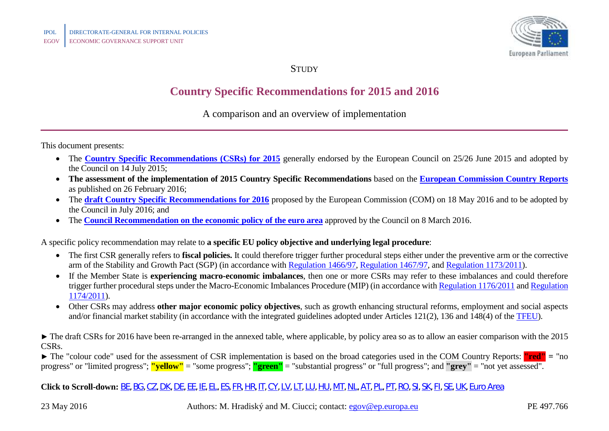

**STUDY** 

## **Country Specific Recommendations for 2015 and 2016**

A comparison and an overview of implementation

This document presents:

- The **[Country Specific Recommendations \(CSRs\) for 2015](http://ec.europa.eu/europe2020/making-it-happen/country-specific-recommendations/index_en.htm)** generally endorsed by the European Council on 25/26 June 2015 and adopted by the Council on 14 July 2015;
- **The assessment of the implementation of 2015 Country Specific Recommendations** based on the **[European Commission Country Reports](http://ec.europa.eu/europe2020/making-it-happen/country-specific-recommendations/index_en.htm)** as published on 26 February 2016;
- The **[draft Country Specific Recommendations for 2016](http://ec.europa.eu/europe2020/making-it-happen/country-specific-recommendations/index_en.htm)** proposed by the European Commission (COM) on 18 May 2016 and to be adopted by the Council in July 2016; and
- The **[Council Recommendation on the economic policy of the euro area](http://eur-lex.europa.eu/legal-content/EN/TXT/PDF/?uri=CELEX:32016H0311(01)&from=EN)** approved by the Council on 8 March 2016.

A specific policy recommendation may relate to **a specific EU policy objective and underlying legal procedure**:

- The first CSR generally refers to **fiscal policies.** It could therefore trigger further procedural steps either under the preventive arm or the corrective arm of the Stability and Growth Pact (SGP) (in accordance with [Regulation 1466/97,](http://eur-lex.europa.eu/LexUriServ/LexUriServ.do?uri=CONSLEG:1997R1466:20111213:EN:PDF) [Regulation 1467/97,](http://eur-lex.europa.eu/LexUriServ/LexUriServ.do?uri=CONSLEG:1997R1467:20111213:EN:PDF) and [Regulation 1173/2011\)](http://eur-lex.europa.eu/LexUriServ/LexUriServ.do?uri=OJ:L:2011:306:0001:0007:EN:PDF).
- If the Member State is **experiencing macro-economic imbalances**, then one or more CSRs may refer to these imbalances and could therefore trigger further procedural steps under the Macro-Economic Imbalances Procedure (MIP) (in accordance wit[h Regulation 1176/2011](http://eur-lex.europa.eu/LexUriServ/LexUriServ.do?uri=OJ:L:2011:306:0025:0032:EN:PDF) an[d Regulation](http://eur-lex.europa.eu/LexUriServ/LexUriServ.do?uri=OJ:L:2011:306:0008:0011:EN:PDF)  [1174/2011\)](http://eur-lex.europa.eu/LexUriServ/LexUriServ.do?uri=OJ:L:2011:306:0008:0011:EN:PDF).
- Other CSRs may address **other major economic policy objectives**, such as growth enhancing structural reforms, employment and social aspects and/or financial market stability (in accordance with the integrated guidelines adopted under Articles 121(2), 136 and 148(4) of the [TFEU\)](http://eur-lex.europa.eu/legal-content/EN/TXT/?uri=CELEX:12012E/TXT).

► The draft CSRs for 2016 have been re-arranged in the annexed table, where applicable, by policy area so as to allow an easier comparison with the 2015 CSRs.

► The "colour code" used for the assessment of CSR implementation is based on the broad categories used in the COM Country Reports: **"red" =** "no progress" or "limited progress"; **"yellow"** = "some progress"; **"green"** = "substantial progress" or "full progress"; and **"grey"** = "not yet assessed".

**Click to Scroll-down:** [BE,](#page-1-0) [BG,](#page-6-0) [CZ,](#page-10-0) [DK,](#page-13-0) [DE,](#page-14-0) [EE,](#page-17-0) [IE,](#page-20-0) [EL,](#page-24-0) [ES,](#page-25-0) [FR,](#page-29-0) [HR,](#page-35-0) [IT,](#page-39-0) [CY,](#page-45-0) [LV,](#page-47-0) [LT,](#page-50-0) [LU,](#page-53-0) [HU,](#page-56-0) [MT,](#page-60-0) [NL,](#page-61-0) [AT,](#page-63-0) [PL,](#page-66-0) [PT,](#page-67-0) [RO,](#page-72-0) [SI,](#page-77-0) [SK,](#page-81-0) [FI,](#page-83-0) [SE,](#page-85-0) [UK,](#page-86-0) [Euro](#page-88-0) Area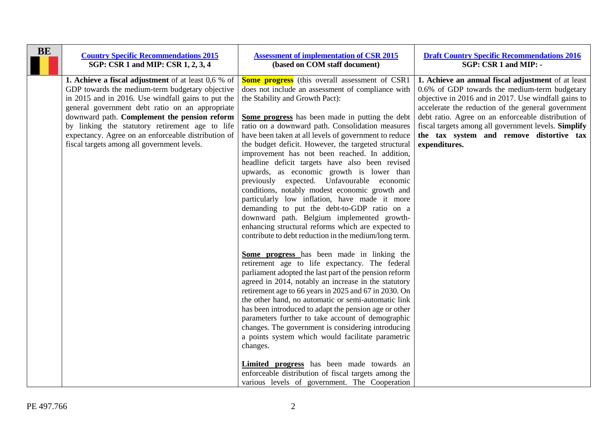<span id="page-1-0"></span>

| <b>BE</b> | <b>Country Specific Recommendations 2015</b><br>SGP: CSR 1 and MIP: CSR 1, 2, 3, 4                                                                                                                                                                                                                                                                                                                                              | <b>Assessment of implementation of CSR 2015</b><br>(based on COM staff document)                                                                                                                                                                                                                                                                                                                                                                                                                                                                                                                                                                                                                                                                                                                                                                                                                                                                                                                                                                                                                                                                                                                                                                                                                                                                                                                                                                                                                                                                                 | <b>Draft Country Specific Recommendations 2016</b><br>SGP: CSR 1 and MIP: -                                                                                                                                                                                                                                                                                                                   |
|-----------|---------------------------------------------------------------------------------------------------------------------------------------------------------------------------------------------------------------------------------------------------------------------------------------------------------------------------------------------------------------------------------------------------------------------------------|------------------------------------------------------------------------------------------------------------------------------------------------------------------------------------------------------------------------------------------------------------------------------------------------------------------------------------------------------------------------------------------------------------------------------------------------------------------------------------------------------------------------------------------------------------------------------------------------------------------------------------------------------------------------------------------------------------------------------------------------------------------------------------------------------------------------------------------------------------------------------------------------------------------------------------------------------------------------------------------------------------------------------------------------------------------------------------------------------------------------------------------------------------------------------------------------------------------------------------------------------------------------------------------------------------------------------------------------------------------------------------------------------------------------------------------------------------------------------------------------------------------------------------------------------------------|-----------------------------------------------------------------------------------------------------------------------------------------------------------------------------------------------------------------------------------------------------------------------------------------------------------------------------------------------------------------------------------------------|
|           | <b>1. Achieve a fiscal adjustment</b> of at least 0,6 % of<br>GDP towards the medium-term budgetary objective<br>in 2015 and in 2016. Use windfall gains to put the<br>general government debt ratio on an appropriate<br>downward path. Complement the pension reform<br>by linking the statutory retirement age to life<br>expectancy. Agree on an enforceable distribution of<br>fiscal targets among all government levels. | <b>Some progress</b> (this overall assessment of CSR1<br>does not include an assessment of compliance with<br>the Stability and Growth Pact):<br>Some progress has been made in putting the debt<br>ratio on a downward path. Consolidation measures<br>have been taken at all levels of government to reduce<br>the budget deficit. However, the targeted structural<br>improvement has not been reached. In addition,<br>headline deficit targets have also been revised<br>upwards, as economic growth is lower than<br>previously expected. Unfavourable economic<br>conditions, notably modest economic growth and<br>particularly low inflation, have made it more<br>demanding to put the debt-to-GDP ratio on a<br>downward path. Belgium implemented growth-<br>enhancing structural reforms which are expected to<br>contribute to debt reduction in the medium/long term.<br>Some progress has been made in linking the<br>retirement age to life expectancy. The federal<br>parliament adopted the last part of the pension reform<br>agreed in 2014, notably an increase in the statutory<br>retirement age to 66 years in 2025 and 67 in 2030. On<br>the other hand, no automatic or semi-automatic link<br>has been introduced to adapt the pension age or other<br>parameters further to take account of demographic<br>changes. The government is considering introducing<br>a points system which would facilitate parametric<br>changes.<br>Limited progress has been made towards an<br>enforceable distribution of fiscal targets among the | 1. Achieve an annual fiscal adjustment of at least<br>0.6% of GDP towards the medium-term budgetary<br>objective in 2016 and in 2017. Use windfall gains to<br>accelerate the reduction of the general government<br>debt ratio. Agree on an enforceable distribution of<br>fiscal targets among all government levels. Simplify<br>the tax system and remove distortive tax<br>expenditures. |
|           |                                                                                                                                                                                                                                                                                                                                                                                                                                 | various levels of government. The Cooperation                                                                                                                                                                                                                                                                                                                                                                                                                                                                                                                                                                                                                                                                                                                                                                                                                                                                                                                                                                                                                                                                                                                                                                                                                                                                                                                                                                                                                                                                                                                    |                                                                                                                                                                                                                                                                                                                                                                                               |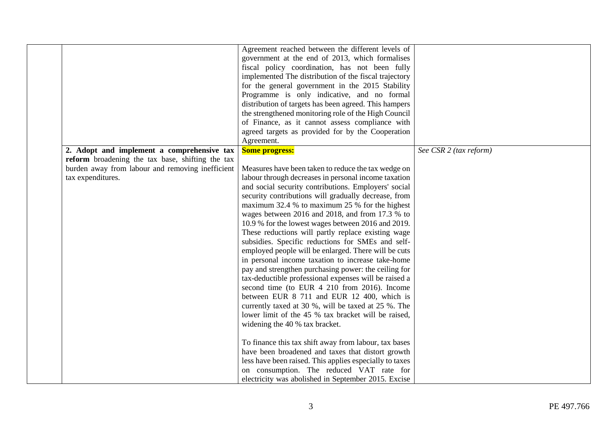| 2. Adopt and implement a comprehensive tax       | Agreement reached between the different levels of<br>government at the end of 2013, which formalises<br>fiscal policy coordination, has not been fully<br>implemented The distribution of the fiscal trajectory<br>for the general government in the 2015 Stability<br>Programme is only indicative, and no formal<br>distribution of targets has been agreed. This hampers<br>the strengthened monitoring role of the High Council<br>of Finance, as it cannot assess compliance with<br>agreed targets as provided for by the Cooperation<br>Agreement.<br><b>Some progress:</b> | See CSR 2 (tax reform) |
|--------------------------------------------------|------------------------------------------------------------------------------------------------------------------------------------------------------------------------------------------------------------------------------------------------------------------------------------------------------------------------------------------------------------------------------------------------------------------------------------------------------------------------------------------------------------------------------------------------------------------------------------|------------------------|
| reform broadening the tax base, shifting the tax |                                                                                                                                                                                                                                                                                                                                                                                                                                                                                                                                                                                    |                        |
| burden away from labour and removing inefficient | Measures have been taken to reduce the tax wedge on                                                                                                                                                                                                                                                                                                                                                                                                                                                                                                                                |                        |
| tax expenditures.                                | labour through decreases in personal income taxation                                                                                                                                                                                                                                                                                                                                                                                                                                                                                                                               |                        |
|                                                  | and social security contributions. Employers' social                                                                                                                                                                                                                                                                                                                                                                                                                                                                                                                               |                        |
|                                                  | security contributions will gradually decrease, from                                                                                                                                                                                                                                                                                                                                                                                                                                                                                                                               |                        |
|                                                  | maximum 32.4 % to maximum 25 % for the highest                                                                                                                                                                                                                                                                                                                                                                                                                                                                                                                                     |                        |
|                                                  | wages between 2016 and 2018, and from 17.3 % to                                                                                                                                                                                                                                                                                                                                                                                                                                                                                                                                    |                        |
|                                                  | 10.9 % for the lowest wages between 2016 and 2019.<br>These reductions will partly replace existing wage                                                                                                                                                                                                                                                                                                                                                                                                                                                                           |                        |
|                                                  | subsidies. Specific reductions for SMEs and self-                                                                                                                                                                                                                                                                                                                                                                                                                                                                                                                                  |                        |
|                                                  | employed people will be enlarged. There will be cuts                                                                                                                                                                                                                                                                                                                                                                                                                                                                                                                               |                        |
|                                                  | in personal income taxation to increase take-home                                                                                                                                                                                                                                                                                                                                                                                                                                                                                                                                  |                        |
|                                                  | pay and strengthen purchasing power: the ceiling for                                                                                                                                                                                                                                                                                                                                                                                                                                                                                                                               |                        |
|                                                  | tax-deductible professional expenses will be raised a                                                                                                                                                                                                                                                                                                                                                                                                                                                                                                                              |                        |
|                                                  | second time (to EUR 4 210 from 2016). Income                                                                                                                                                                                                                                                                                                                                                                                                                                                                                                                                       |                        |
|                                                  | between EUR 8 711 and EUR 12 400, which is                                                                                                                                                                                                                                                                                                                                                                                                                                                                                                                                         |                        |
|                                                  | currently taxed at 30 %, will be taxed at 25 %. The<br>lower limit of the 45 % tax bracket will be raised,                                                                                                                                                                                                                                                                                                                                                                                                                                                                         |                        |
|                                                  | widening the 40 % tax bracket.                                                                                                                                                                                                                                                                                                                                                                                                                                                                                                                                                     |                        |
|                                                  |                                                                                                                                                                                                                                                                                                                                                                                                                                                                                                                                                                                    |                        |
|                                                  | To finance this tax shift away from labour, tax bases                                                                                                                                                                                                                                                                                                                                                                                                                                                                                                                              |                        |
|                                                  | have been broadened and taxes that distort growth                                                                                                                                                                                                                                                                                                                                                                                                                                                                                                                                  |                        |
|                                                  | less have been raised. This applies especially to taxes                                                                                                                                                                                                                                                                                                                                                                                                                                                                                                                            |                        |
|                                                  | on consumption. The reduced VAT rate for                                                                                                                                                                                                                                                                                                                                                                                                                                                                                                                                           |                        |
|                                                  | electricity was abolished in September 2015. Excise                                                                                                                                                                                                                                                                                                                                                                                                                                                                                                                                |                        |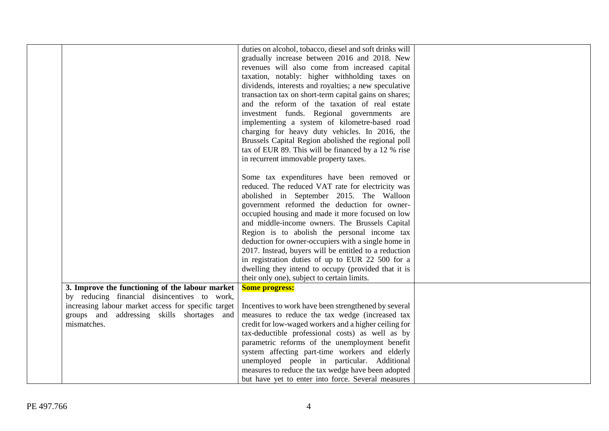|                                                                                                   | duties on alcohol, tobacco, diesel and soft drinks will<br>gradually increase between 2016 and 2018. New<br>revenues will also come from increased capital<br>taxation, notably: higher withholding taxes on<br>dividends, interests and royalties; a new speculative<br>transaction tax on short-term capital gains on shares;<br>and the reform of the taxation of real estate<br>investment funds. Regional governments are<br>implementing a system of kilometre-based road<br>charging for heavy duty vehicles. In 2016, the<br>Brussels Capital Region abolished the regional poll<br>tax of EUR 89. This will be financed by a 12 % rise<br>in recurrent immovable property taxes.<br>Some tax expenditures have been removed or<br>reduced. The reduced VAT rate for electricity was<br>abolished in September 2015. The Walloon<br>government reformed the deduction for owner-<br>occupied housing and made it more focused on low<br>and middle-income owners. The Brussels Capital<br>Region is to abolish the personal income tax<br>deduction for owner-occupiers with a single home in<br>2017. Instead, buyers will be entitled to a reduction<br>in registration duties of up to EUR 22 500 for a<br>dwelling they intend to occupy (provided that it is<br>their only one), subject to certain limits. |  |
|---------------------------------------------------------------------------------------------------|--------------------------------------------------------------------------------------------------------------------------------------------------------------------------------------------------------------------------------------------------------------------------------------------------------------------------------------------------------------------------------------------------------------------------------------------------------------------------------------------------------------------------------------------------------------------------------------------------------------------------------------------------------------------------------------------------------------------------------------------------------------------------------------------------------------------------------------------------------------------------------------------------------------------------------------------------------------------------------------------------------------------------------------------------------------------------------------------------------------------------------------------------------------------------------------------------------------------------------------------------------------------------------------------------------------------------|--|
| 3. Improve the functioning of the labour market                                                   | <b>Some progress:</b>                                                                                                                                                                                                                                                                                                                                                                                                                                                                                                                                                                                                                                                                                                                                                                                                                                                                                                                                                                                                                                                                                                                                                                                                                                                                                                    |  |
| by reducing financial disincentives to work,                                                      |                                                                                                                                                                                                                                                                                                                                                                                                                                                                                                                                                                                                                                                                                                                                                                                                                                                                                                                                                                                                                                                                                                                                                                                                                                                                                                                          |  |
| increasing labour market access for specific target<br>groups and addressing skills shortages and | Incentives to work have been strengthened by several<br>measures to reduce the tax wedge (increased tax                                                                                                                                                                                                                                                                                                                                                                                                                                                                                                                                                                                                                                                                                                                                                                                                                                                                                                                                                                                                                                                                                                                                                                                                                  |  |
| mismatches.                                                                                       | credit for low-waged workers and a higher ceiling for                                                                                                                                                                                                                                                                                                                                                                                                                                                                                                                                                                                                                                                                                                                                                                                                                                                                                                                                                                                                                                                                                                                                                                                                                                                                    |  |
|                                                                                                   | tax-deductible professional costs) as well as by                                                                                                                                                                                                                                                                                                                                                                                                                                                                                                                                                                                                                                                                                                                                                                                                                                                                                                                                                                                                                                                                                                                                                                                                                                                                         |  |
|                                                                                                   | parametric reforms of the unemployment benefit                                                                                                                                                                                                                                                                                                                                                                                                                                                                                                                                                                                                                                                                                                                                                                                                                                                                                                                                                                                                                                                                                                                                                                                                                                                                           |  |
|                                                                                                   | system affecting part-time workers and elderly                                                                                                                                                                                                                                                                                                                                                                                                                                                                                                                                                                                                                                                                                                                                                                                                                                                                                                                                                                                                                                                                                                                                                                                                                                                                           |  |
|                                                                                                   | unemployed people in particular. Additional                                                                                                                                                                                                                                                                                                                                                                                                                                                                                                                                                                                                                                                                                                                                                                                                                                                                                                                                                                                                                                                                                                                                                                                                                                                                              |  |
|                                                                                                   | measures to reduce the tax wedge have been adopted                                                                                                                                                                                                                                                                                                                                                                                                                                                                                                                                                                                                                                                                                                                                                                                                                                                                                                                                                                                                                                                                                                                                                                                                                                                                       |  |
|                                                                                                   | but have yet to enter into force. Several measures                                                                                                                                                                                                                                                                                                                                                                                                                                                                                                                                                                                                                                                                                                                                                                                                                                                                                                                                                                                                                                                                                                                                                                                                                                                                       |  |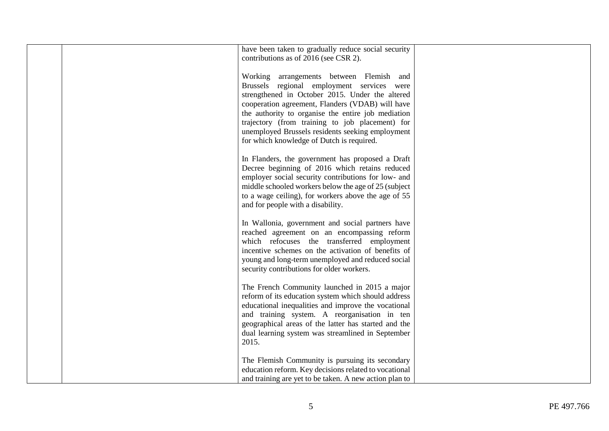| have been taken to gradually reduce social security<br>contributions as of 2016 (see CSR 2).                    |  |
|-----------------------------------------------------------------------------------------------------------------|--|
| Working arrangements between Flemish and<br>Brussels regional employment services were                          |  |
| strengthened in October 2015. Under the altered<br>cooperation agreement, Flanders (VDAB) will have             |  |
| the authority to organise the entire job mediation<br>trajectory (from training to job placement) for           |  |
| unemployed Brussels residents seeking employment<br>for which knowledge of Dutch is required.                   |  |
| In Flanders, the government has proposed a Draft<br>Decree beginning of 2016 which retains reduced              |  |
| employer social security contributions for low- and<br>middle schooled workers below the age of 25 (subject     |  |
| to a wage ceiling), for workers above the age of 55<br>and for people with a disability.                        |  |
| In Wallonia, government and social partners have                                                                |  |
| reached agreement on an encompassing reform<br>which refocuses the transferred employment                       |  |
| incentive schemes on the activation of benefits of<br>young and long-term unemployed and reduced social         |  |
| security contributions for older workers.                                                                       |  |
| The French Community launched in 2015 a major<br>reform of its education system which should address            |  |
| educational inequalities and improve the vocational<br>and training system. A reorganisation in ten             |  |
| geographical areas of the latter has started and the<br>dual learning system was streamlined in September       |  |
| 2015.                                                                                                           |  |
| The Flemish Community is pursuing its secondary                                                                 |  |
| education reform. Key decisions related to vocational<br>and training are yet to be taken. A new action plan to |  |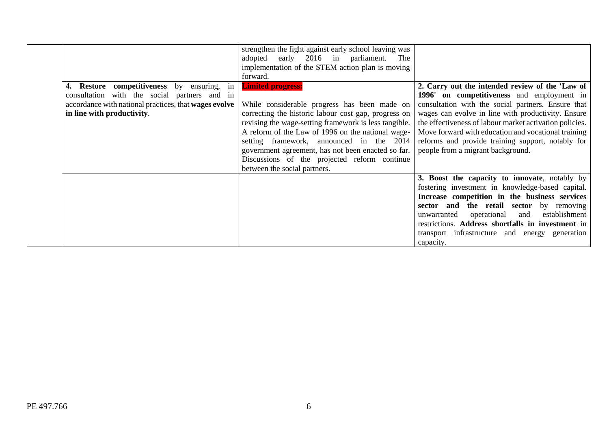|                                                       | strengthen the fight against early school leaving was<br>adopted early 2016 in parliament. The<br>implementation of the STEM action plan is moving<br>forward. |                                                         |
|-------------------------------------------------------|----------------------------------------------------------------------------------------------------------------------------------------------------------------|---------------------------------------------------------|
| 4. Restore competitiveness by ensuring, in            | <b>Limited progress:</b>                                                                                                                                       | 2. Carry out the intended review of the 'Law of         |
| consultation with the social partners and in          |                                                                                                                                                                | 1996' on competitiveness and employment in              |
| accordance with national practices, that wages evolve | While considerable progress has been made on                                                                                                                   | consultation with the social partners. Ensure that      |
| in line with productivity.                            | correcting the historic labour cost gap, progress on                                                                                                           | wages can evolve in line with productivity. Ensure      |
|                                                       | revising the wage-setting framework is less tangible.                                                                                                          | the effectiveness of labour market activation policies. |
|                                                       | A reform of the Law of 1996 on the national wage-                                                                                                              | Move forward with education and vocational training     |
|                                                       | setting framework, announced in the 2014                                                                                                                       | reforms and provide training support, notably for       |
|                                                       | government agreement, has not been enacted so far.                                                                                                             | people from a migrant background.                       |
|                                                       | Discussions of the projected reform continue                                                                                                                   |                                                         |
|                                                       | between the social partners.                                                                                                                                   |                                                         |
|                                                       |                                                                                                                                                                | 3. Boost the capacity to innovate, notably by           |
|                                                       |                                                                                                                                                                | fostering investment in knowledge-based capital.        |
|                                                       |                                                                                                                                                                | Increase competition in the business services           |
|                                                       |                                                                                                                                                                | sector and the retail sector by removing                |
|                                                       |                                                                                                                                                                | operational and establishment<br>unwarranted            |
|                                                       |                                                                                                                                                                | restrictions. Address shortfalls in investment in       |
|                                                       |                                                                                                                                                                | transport infrastructure and energy generation          |
|                                                       |                                                                                                                                                                | capacity.                                               |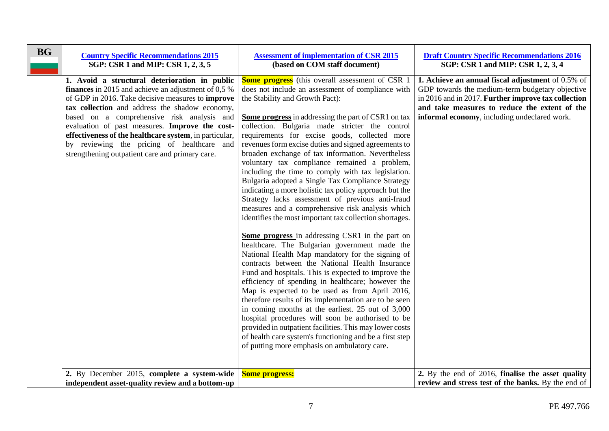<span id="page-6-0"></span>

| <b>BG</b> | <b>Country Specific Recommendations 2015</b><br>SGP: CSR 1 and MIP: CSR 1, 2, 3, 5                                                                                                                                                                                                                                                                                                                                                                                                   | <b>Assessment of implementation of CSR 2015</b><br>(based on COM staff document)                                                                                                                                                                                                                                                                                                                                                                                                                                                                                                                                                                                                                                                                                                                                                                                                                                                                                                                                                                                                                                                                                                                                                                                                                                                                                                                                                                                                                                                        | <b>Draft Country Specific Recommendations 2016</b><br>SGP: CSR 1 and MIP: CSR 1, 2, 3, 4                                                                                                                                                                     |
|-----------|--------------------------------------------------------------------------------------------------------------------------------------------------------------------------------------------------------------------------------------------------------------------------------------------------------------------------------------------------------------------------------------------------------------------------------------------------------------------------------------|-----------------------------------------------------------------------------------------------------------------------------------------------------------------------------------------------------------------------------------------------------------------------------------------------------------------------------------------------------------------------------------------------------------------------------------------------------------------------------------------------------------------------------------------------------------------------------------------------------------------------------------------------------------------------------------------------------------------------------------------------------------------------------------------------------------------------------------------------------------------------------------------------------------------------------------------------------------------------------------------------------------------------------------------------------------------------------------------------------------------------------------------------------------------------------------------------------------------------------------------------------------------------------------------------------------------------------------------------------------------------------------------------------------------------------------------------------------------------------------------------------------------------------------------|--------------------------------------------------------------------------------------------------------------------------------------------------------------------------------------------------------------------------------------------------------------|
|           | 1. Avoid a structural deterioration in public<br><b>finances</b> in 2015 and achieve an adjustment of 0,5 %<br>of GDP in 2016. Take decisive measures to <b>improve</b><br>tax collection and address the shadow economy,<br>based on a comprehensive risk analysis and<br>evaluation of past measures. Improve the cost-<br>effectiveness of the healthcare system, in particular,<br>by reviewing the pricing of healthcare and<br>strengthening outpatient care and primary care. | <b>Some progress</b> (this overall assessment of CSR 1<br>does not include an assessment of compliance with<br>the Stability and Growth Pact):<br><b>Some progress</b> in addressing the part of CSR1 on tax<br>collection. Bulgaria made stricter the control<br>requirements for excise goods, collected more<br>revenues form excise duties and signed agreements to<br>broaden exchange of tax information. Nevertheless<br>voluntary tax compliance remained a problem,<br>including the time to comply with tax legislation.<br>Bulgaria adopted a Single Tax Compliance Strategy<br>indicating a more holistic tax policy approach but the<br>Strategy lacks assessment of previous anti-fraud<br>measures and a comprehensive risk analysis which<br>identifies the most important tax collection shortages.<br>Some progress in addressing CSR1 in the part on<br>healthcare. The Bulgarian government made the<br>National Health Map mandatory for the signing of<br>contracts between the National Health Insurance<br>Fund and hospitals. This is expected to improve the<br>efficiency of spending in healthcare; however the<br>Map is expected to be used as from April 2016,<br>therefore results of its implementation are to be seen<br>in coming months at the earliest. 25 out of 3,000<br>hospital procedures will soon be authorised to be<br>provided in outpatient facilities. This may lower costs<br>of health care system's functioning and be a first step<br>of putting more emphasis on ambulatory care. | 1. Achieve an annual fiscal adjustment of 0.5% of<br>GDP towards the medium-term budgetary objective<br>in 2016 and in 2017. Further improve tax collection<br>and take measures to reduce the extent of the<br>informal economy, including undeclared work. |
|           | 2. By December 2015, complete a system-wide<br>independent asset-quality review and a bottom-up                                                                                                                                                                                                                                                                                                                                                                                      | <b>Some progress:</b>                                                                                                                                                                                                                                                                                                                                                                                                                                                                                                                                                                                                                                                                                                                                                                                                                                                                                                                                                                                                                                                                                                                                                                                                                                                                                                                                                                                                                                                                                                                   | 2. By the end of 2016, finalise the asset quality<br>review and stress test of the banks. By the end of                                                                                                                                                      |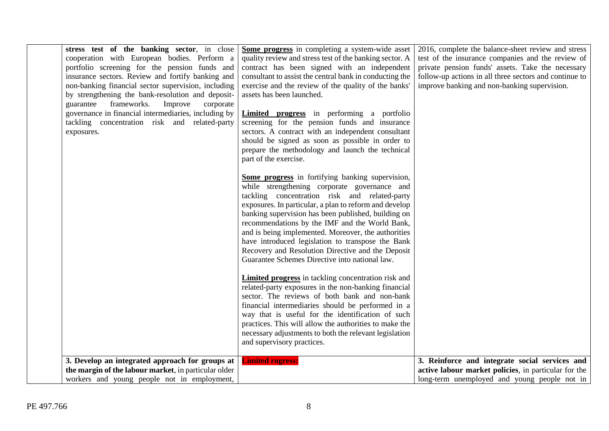| stress test of the banking sector, in close<br>cooperation with European bodies. Perform a<br>portfolio screening for the pension funds and<br>insurance sectors. Review and fortify banking and<br>non-banking financial sector supervision, including<br>by strengthening the bank-resolution and deposit-<br>frameworks.<br>Improve<br>guarantee<br>corporate<br>governance in financial intermediaries, including by<br>tackling concentration risk and related-party<br>exposures. | Some progress in completing a system-wide asset<br>quality review and stress test of the banking sector. A<br>contract has been signed with an independent<br>consultant to assist the central bank in conducting the<br>exercise and the review of the quality of the banks'<br>assets has been launched.<br><b>Limited progress</b> in performing a portfolio<br>screening for the pension funds and insurance<br>sectors. A contract with an independent consultant<br>should be signed as soon as possible in order to<br>prepare the methodology and launch the technical<br>part of the exercise.<br>Some progress in fortifying banking supervision,<br>while strengthening corporate governance and<br>tackling concentration risk and related-party<br>exposures. In particular, a plan to reform and develop<br>banking supervision has been published, building on<br>recommendations by the IMF and the World Bank,<br>and is being implemented. Moreover, the authorities<br>have introduced legislation to transpose the Bank<br>Recovery and Resolution Directive and the Deposit<br>Guarantee Schemes Directive into national law.<br><b>Limited progress</b> in tackling concentration risk and<br>related-party exposures in the non-banking financial<br>sector. The reviews of both bank and non-bank<br>financial intermediaries should be performed in a<br>way that is useful for the identification of such<br>practices. This will allow the authorities to make the<br>necessary adjustments to both the relevant legislation<br>and supervisory practices. | 2016, complete the balance-sheet review and stress<br>test of the insurance companies and the review of<br>private pension funds' assets. Take the necessary<br>follow-up actions in all three sectors and continue to<br>improve banking and non-banking supervision. |
|-----------------------------------------------------------------------------------------------------------------------------------------------------------------------------------------------------------------------------------------------------------------------------------------------------------------------------------------------------------------------------------------------------------------------------------------------------------------------------------------|---------------------------------------------------------------------------------------------------------------------------------------------------------------------------------------------------------------------------------------------------------------------------------------------------------------------------------------------------------------------------------------------------------------------------------------------------------------------------------------------------------------------------------------------------------------------------------------------------------------------------------------------------------------------------------------------------------------------------------------------------------------------------------------------------------------------------------------------------------------------------------------------------------------------------------------------------------------------------------------------------------------------------------------------------------------------------------------------------------------------------------------------------------------------------------------------------------------------------------------------------------------------------------------------------------------------------------------------------------------------------------------------------------------------------------------------------------------------------------------------------------------------------------------------------------------------------------------|------------------------------------------------------------------------------------------------------------------------------------------------------------------------------------------------------------------------------------------------------------------------|
| 3. Develop an integrated approach for groups at<br>the margin of the labour market, in particular older<br>workers and young people not in employment,                                                                                                                                                                                                                                                                                                                                  | <b>Limited rogress:</b>                                                                                                                                                                                                                                                                                                                                                                                                                                                                                                                                                                                                                                                                                                                                                                                                                                                                                                                                                                                                                                                                                                                                                                                                                                                                                                                                                                                                                                                                                                                                                               | 3. Reinforce and integrate social services and<br>active labour market policies, in particular for the<br>long-term unemployed and young people not in                                                                                                                 |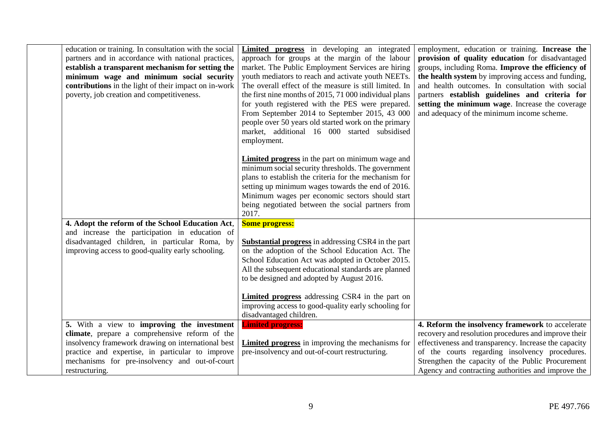| education or training. In consultation with the social<br>partners and in accordance with national practices,<br>establish a transparent mechanism for setting the<br>minimum wage and minimum social security<br>contributions in the light of their impact on in-work<br>poverty, job creation and competitiveness. | Limited progress in developing an integrated<br>approach for groups at the margin of the labour<br>market. The Public Employment Services are hiring<br>youth mediators to reach and activate youth NEETs.<br>The overall effect of the measure is still limited. In<br>the first nine months of 2015, 71 000 individual plans<br>for youth registered with the PES were prepared.<br>From September 2014 to September 2015, 43 000<br>people over 50 years old started work on the primary<br>market, additional 16 000 started subsidised<br>employment. | employment, education or training. Increase the<br>provision of quality education for disadvantaged<br>groups, including Roma. Improve the efficiency of<br>the health system by improving access and funding,<br>and health outcomes. In consultation with social<br>partners establish guidelines and criteria for<br>setting the minimum wage. Increase the coverage<br>and adequacy of the minimum income scheme. |
|-----------------------------------------------------------------------------------------------------------------------------------------------------------------------------------------------------------------------------------------------------------------------------------------------------------------------|------------------------------------------------------------------------------------------------------------------------------------------------------------------------------------------------------------------------------------------------------------------------------------------------------------------------------------------------------------------------------------------------------------------------------------------------------------------------------------------------------------------------------------------------------------|-----------------------------------------------------------------------------------------------------------------------------------------------------------------------------------------------------------------------------------------------------------------------------------------------------------------------------------------------------------------------------------------------------------------------|
|                                                                                                                                                                                                                                                                                                                       | <b>Limited progress</b> in the part on minimum wage and<br>minimum social security thresholds. The government<br>plans to establish the criteria for the mechanism for<br>setting up minimum wages towards the end of 2016.<br>Minimum wages per economic sectors should start<br>being negotiated between the social partners from<br>2017.                                                                                                                                                                                                               |                                                                                                                                                                                                                                                                                                                                                                                                                       |
| 4. Adopt the reform of the School Education Act,                                                                                                                                                                                                                                                                      | <b>Some progress:</b>                                                                                                                                                                                                                                                                                                                                                                                                                                                                                                                                      |                                                                                                                                                                                                                                                                                                                                                                                                                       |
| and increase the participation in education of                                                                                                                                                                                                                                                                        |                                                                                                                                                                                                                                                                                                                                                                                                                                                                                                                                                            |                                                                                                                                                                                                                                                                                                                                                                                                                       |
| disadvantaged children, in particular Roma, by                                                                                                                                                                                                                                                                        | <b>Substantial progress</b> in addressing CSR4 in the part                                                                                                                                                                                                                                                                                                                                                                                                                                                                                                 |                                                                                                                                                                                                                                                                                                                                                                                                                       |
| improving access to good-quality early schooling.                                                                                                                                                                                                                                                                     | on the adoption of the School Education Act. The                                                                                                                                                                                                                                                                                                                                                                                                                                                                                                           |                                                                                                                                                                                                                                                                                                                                                                                                                       |
|                                                                                                                                                                                                                                                                                                                       | School Education Act was adopted in October 2015.<br>All the subsequent educational standards are planned                                                                                                                                                                                                                                                                                                                                                                                                                                                  |                                                                                                                                                                                                                                                                                                                                                                                                                       |
|                                                                                                                                                                                                                                                                                                                       | to be designed and adopted by August 2016.                                                                                                                                                                                                                                                                                                                                                                                                                                                                                                                 |                                                                                                                                                                                                                                                                                                                                                                                                                       |
|                                                                                                                                                                                                                                                                                                                       |                                                                                                                                                                                                                                                                                                                                                                                                                                                                                                                                                            |                                                                                                                                                                                                                                                                                                                                                                                                                       |
|                                                                                                                                                                                                                                                                                                                       | <b>Limited progress</b> addressing CSR4 in the part on                                                                                                                                                                                                                                                                                                                                                                                                                                                                                                     |                                                                                                                                                                                                                                                                                                                                                                                                                       |
|                                                                                                                                                                                                                                                                                                                       | improving access to good-quality early schooling for                                                                                                                                                                                                                                                                                                                                                                                                                                                                                                       |                                                                                                                                                                                                                                                                                                                                                                                                                       |
|                                                                                                                                                                                                                                                                                                                       | disadvantaged children.                                                                                                                                                                                                                                                                                                                                                                                                                                                                                                                                    |                                                                                                                                                                                                                                                                                                                                                                                                                       |
| 5. With a view to improving the investment                                                                                                                                                                                                                                                                            | <b>Limited progress:</b>                                                                                                                                                                                                                                                                                                                                                                                                                                                                                                                                   | 4. Reform the insolvency framework to accelerate                                                                                                                                                                                                                                                                                                                                                                      |
| climate, prepare a comprehensive reform of the                                                                                                                                                                                                                                                                        |                                                                                                                                                                                                                                                                                                                                                                                                                                                                                                                                                            | recovery and resolution procedures and improve their                                                                                                                                                                                                                                                                                                                                                                  |
| insolvency framework drawing on international best                                                                                                                                                                                                                                                                    | <b>Limited progress</b> in improving the mechanisms for                                                                                                                                                                                                                                                                                                                                                                                                                                                                                                    | effectiveness and transparency. Increase the capacity                                                                                                                                                                                                                                                                                                                                                                 |
| practice and expertise, in particular to improve                                                                                                                                                                                                                                                                      | pre-insolvency and out-of-court restructuring.                                                                                                                                                                                                                                                                                                                                                                                                                                                                                                             | of the courts regarding insolvency procedures.                                                                                                                                                                                                                                                                                                                                                                        |
| mechanisms for pre-insolvency and out-of-court                                                                                                                                                                                                                                                                        |                                                                                                                                                                                                                                                                                                                                                                                                                                                                                                                                                            | Strengthen the capacity of the Public Procurement                                                                                                                                                                                                                                                                                                                                                                     |
| restructuring.                                                                                                                                                                                                                                                                                                        |                                                                                                                                                                                                                                                                                                                                                                                                                                                                                                                                                            | Agency and contracting authorities and improve the                                                                                                                                                                                                                                                                                                                                                                    |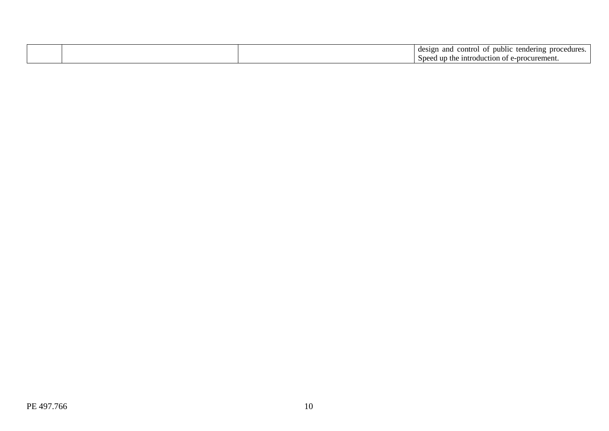|  | design<br>and<br>tendering<br>nublic<br>nro<br>control<br>edur<br>$^{\circ}$ |
|--|------------------------------------------------------------------------------|
|  | up<br>curemen<br>. introduction<br>Speed<br>1 OT<br>nn.<br><b>LHC</b>        |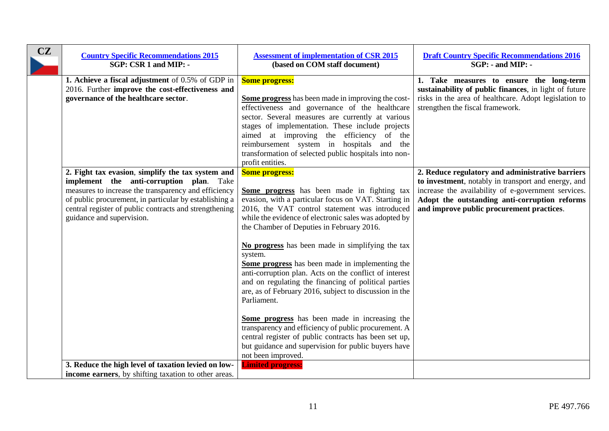<span id="page-10-0"></span>

| CZ | <b>Country Specific Recommendations 2015</b><br>SGP: CSR 1 and MIP: -                                                                                                                                                                                                                                  | <b>Assessment of implementation of CSR 2015</b><br>(based on COM staff document)                                                                                                                                                                                                                                                                                                                                                                                                                                                                                                                                                                                                                                                                                                                                                                 | <b>Draft Country Specific Recommendations 2016</b><br>$SGP: -$ and MIP: -                                                                                                                                                                                    |
|----|--------------------------------------------------------------------------------------------------------------------------------------------------------------------------------------------------------------------------------------------------------------------------------------------------------|--------------------------------------------------------------------------------------------------------------------------------------------------------------------------------------------------------------------------------------------------------------------------------------------------------------------------------------------------------------------------------------------------------------------------------------------------------------------------------------------------------------------------------------------------------------------------------------------------------------------------------------------------------------------------------------------------------------------------------------------------------------------------------------------------------------------------------------------------|--------------------------------------------------------------------------------------------------------------------------------------------------------------------------------------------------------------------------------------------------------------|
|    | 1. Achieve a fiscal adjustment of 0.5% of GDP in<br>2016. Further improve the cost-effectiveness and<br>governance of the healthcare sector.                                                                                                                                                           | <b>Some progress:</b><br>Some progress has been made in improving the cost-<br>effectiveness and governance of the healthcare<br>sector. Several measures are currently at various<br>stages of implementation. These include projects<br>aimed at improving the efficiency of the<br>reimbursement system in hospitals and the<br>transformation of selected public hospitals into non-<br>profit entities.                                                                                                                                                                                                                                                                                                                                                                                                                                     | 1. Take measures to ensure the long-term<br>sustainability of public finances, in light of future<br>risks in the area of healthcare. Adopt legislation to<br>strengthen the fiscal framework.                                                               |
|    | 2. Fight tax evasion, simplify the tax system and<br>implement the anti-corruption plan. Take<br>measures to increase the transparency and efficiency<br>of public procurement, in particular by establishing a<br>central register of public contracts and strengthening<br>guidance and supervision. | <b>Some progress:</b><br>Some progress has been made in fighting tax<br>evasion, with a particular focus on VAT. Starting in<br>2016, the VAT control statement was introduced<br>while the evidence of electronic sales was adopted by<br>the Chamber of Deputies in February 2016.<br>No progress has been made in simplifying the tax<br>system.<br>Some progress has been made in implementing the<br>anti-corruption plan. Acts on the conflict of interest<br>and on regulating the financing of political parties<br>are, as of February 2016, subject to discussion in the<br>Parliament.<br>Some progress has been made in increasing the<br>transparency and efficiency of public procurement. A<br>central register of public contracts has been set up,<br>but guidance and supervision for public buyers have<br>not been improved. | 2. Reduce regulatory and administrative barriers<br>to investment, notably in transport and energy, and<br>increase the availability of e-government services.<br>Adopt the outstanding anti-corruption reforms<br>and improve public procurement practices. |
|    | 3. Reduce the high level of taxation levied on low-<br>income earners, by shifting taxation to other areas.                                                                                                                                                                                            | <b>Limited progress:</b>                                                                                                                                                                                                                                                                                                                                                                                                                                                                                                                                                                                                                                                                                                                                                                                                                         |                                                                                                                                                                                                                                                              |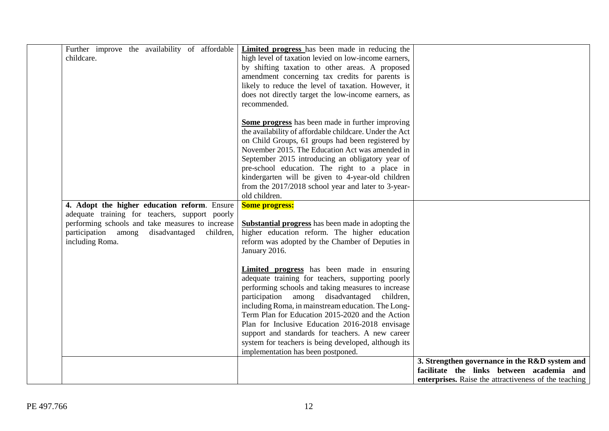| childcare. | Further improve the availability of affordable                                                                                                                                                                             | <b>Limited progress</b> has been made in reducing the<br>high level of taxation levied on low-income earners,<br>by shifting taxation to other areas. A proposed<br>amendment concerning tax credits for parents is<br>likely to reduce the level of taxation. However, it<br>does not directly target the low-income earners, as<br>recommended.                                                                                                                                                                             |                                                                                                                                                      |
|------------|----------------------------------------------------------------------------------------------------------------------------------------------------------------------------------------------------------------------------|-------------------------------------------------------------------------------------------------------------------------------------------------------------------------------------------------------------------------------------------------------------------------------------------------------------------------------------------------------------------------------------------------------------------------------------------------------------------------------------------------------------------------------|------------------------------------------------------------------------------------------------------------------------------------------------------|
|            |                                                                                                                                                                                                                            | Some progress has been made in further improving<br>the availability of affordable childcare. Under the Act<br>on Child Groups, 61 groups had been registered by<br>November 2015. The Education Act was amended in<br>September 2015 introducing an obligatory year of<br>pre-school education. The right to a place in<br>kindergarten will be given to 4-year-old children<br>from the 2017/2018 school year and later to 3-year-<br>old children.                                                                         |                                                                                                                                                      |
|            | 4. Adopt the higher education reform. Ensure<br>adequate training for teachers, support poorly<br>performing schools and take measures to increase<br>participation among<br>disadvantaged<br>children,<br>including Roma. | <b>Some progress:</b><br><b>Substantial progress</b> has been made in adopting the<br>higher education reform. The higher education<br>reform was adopted by the Chamber of Deputies in<br>January 2016.                                                                                                                                                                                                                                                                                                                      |                                                                                                                                                      |
|            |                                                                                                                                                                                                                            | <b>Limited progress</b> has been made in ensuring<br>adequate training for teachers, supporting poorly<br>performing schools and taking measures to increase<br>participation among disadvantaged<br>children,<br>including Roma, in mainstream education. The Long-<br>Term Plan for Education 2015-2020 and the Action<br>Plan for Inclusive Education 2016-2018 envisage<br>support and standards for teachers. A new career<br>system for teachers is being developed, although its<br>implementation has been postponed. |                                                                                                                                                      |
|            |                                                                                                                                                                                                                            |                                                                                                                                                                                                                                                                                                                                                                                                                                                                                                                               | 3. Strengthen governance in the R&D system and<br>facilitate the links between academia and<br>enterprises. Raise the attractiveness of the teaching |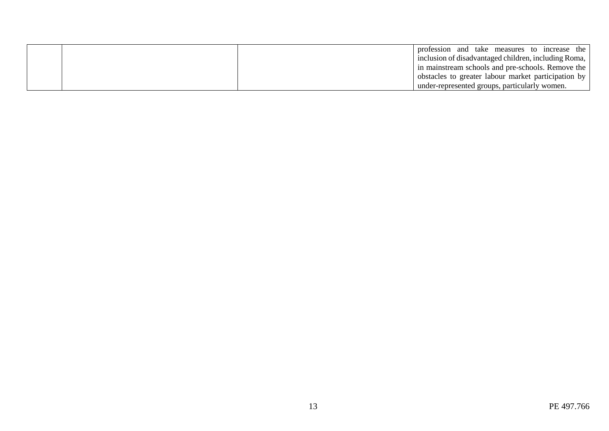|  | profession and take measures to increase the<br>inclusion of disadvantaged children, including Roma, |
|--|------------------------------------------------------------------------------------------------------|
|  | in mainstream schools and pre-schools. Remove the                                                    |
|  | obstacles to greater labour market participation by                                                  |
|  | under-represented groups, particularly women.                                                        |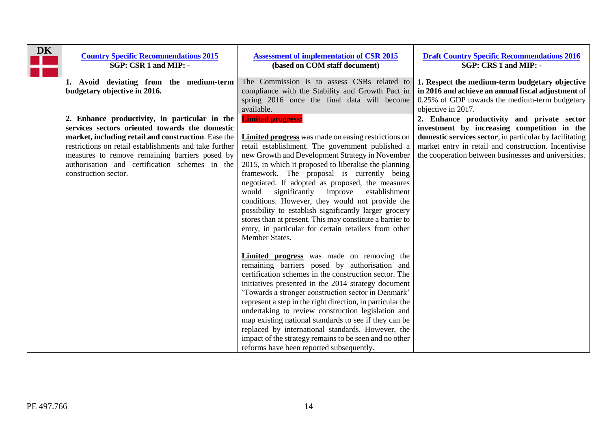<span id="page-13-0"></span>

| <b>DK</b> | <b>Country Specific Recommendations 2015</b><br>SGP: CSR 1 and MIP: -                                                                                                                                                                                                                                                                        | <b>Assessment of implementation of CSR 2015</b><br>(based on COM staff document)                                                                                                                                                                                                                                                                                                                                                                                                                                                                                                                                                                                                                                                                                                                                                                                                                                                                                                                                                                                                                                                                                                                                                          | <b>Draft Country Specific Recommendations 2016</b><br>SGP: CRS 1 and MIP: -                                                                                                                                                                                          |
|-----------|----------------------------------------------------------------------------------------------------------------------------------------------------------------------------------------------------------------------------------------------------------------------------------------------------------------------------------------------|-------------------------------------------------------------------------------------------------------------------------------------------------------------------------------------------------------------------------------------------------------------------------------------------------------------------------------------------------------------------------------------------------------------------------------------------------------------------------------------------------------------------------------------------------------------------------------------------------------------------------------------------------------------------------------------------------------------------------------------------------------------------------------------------------------------------------------------------------------------------------------------------------------------------------------------------------------------------------------------------------------------------------------------------------------------------------------------------------------------------------------------------------------------------------------------------------------------------------------------------|----------------------------------------------------------------------------------------------------------------------------------------------------------------------------------------------------------------------------------------------------------------------|
|           | 1. Avoid deviating from the medium-term<br>budgetary objective in 2016.                                                                                                                                                                                                                                                                      | The Commission is to assess CSRs related to<br>compliance with the Stability and Growth Pact in<br>spring 2016 once the final data will become<br>available.                                                                                                                                                                                                                                                                                                                                                                                                                                                                                                                                                                                                                                                                                                                                                                                                                                                                                                                                                                                                                                                                              | 1. Respect the medium-term budgetary objective<br>in 2016 and achieve an annual fiscal adjustment of<br>0.25% of GDP towards the medium-term budgetary<br>objective in 2017.                                                                                         |
|           | 2. Enhance productivity, in particular in the<br>services sectors oriented towards the domestic<br>market, including retail and construction. Ease the<br>restrictions on retail establishments and take further<br>measures to remove remaining barriers posed by<br>authorisation and certification schemes in the<br>construction sector. | <b>Limited progress:</b><br><b>Limited progress</b> was made on easing restrictions on<br>retail establishment. The government published a<br>new Growth and Development Strategy in November<br>2015, in which it proposed to liberalise the planning<br>framework. The proposal is currently being<br>negotiated. If adopted as proposed, the measures<br>would<br>significantly<br>improve<br>establishment<br>conditions. However, they would not provide the<br>possibility to establish significantly larger grocery<br>stores than at present. This may constitute a barrier to<br>entry, in particular for certain retailers from other<br>Member States.<br><b>Limited progress</b> was made on removing the<br>remaining barriers posed by authorisation and<br>certification schemes in the construction sector. The<br>initiatives presented in the 2014 strategy document<br>'Towards a stronger construction sector in Denmark'<br>represent a step in the right direction, in particular the<br>undertaking to review construction legislation and<br>map existing national standards to see if they can be<br>replaced by international standards. However, the<br>impact of the strategy remains to be seen and no other | 2. Enhance productivity and private sector<br>investment by increasing competition in the<br>domestic services sector, in particular by facilitating<br>market entry in retail and construction. Incentivise<br>the cooperation between businesses and universities. |
|           |                                                                                                                                                                                                                                                                                                                                              | reforms have been reported subsequently.                                                                                                                                                                                                                                                                                                                                                                                                                                                                                                                                                                                                                                                                                                                                                                                                                                                                                                                                                                                                                                                                                                                                                                                                  |                                                                                                                                                                                                                                                                      |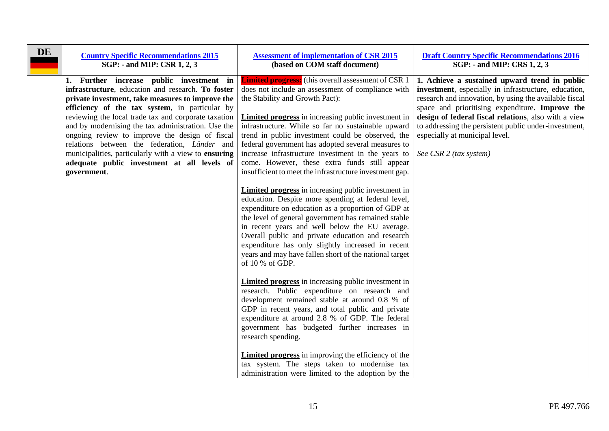<span id="page-14-0"></span>

| <b>Limited progress:</b> (this overall assessment of CSR 1<br>1. Further increase public investment in<br>infrastructure, education and research. To foster<br>does not include an assessment of compliance with<br>private investment, take measures to improve the<br>the Stability and Growth Pact):<br>efficiency of the tax system, in particular by<br>reviewing the local trade tax and corporate taxation<br><b>Limited progress</b> in increasing public investment in<br>and by modernising the tax administration. Use the<br>infrastructure. While so far no sustainable upward<br>ongoing review to improve the design of fiscal<br>trend in public investment could be observed, the<br>especially at municipal level.<br>relations between the federation, Länder and<br>federal government has adopted several measures to<br>municipalities, particularly with a view to ensuring<br>See CSR 2 (tax system)<br>increase infrastructure investment in the years to<br>come. However, these extra funds still appear<br>adequate public investment at all levels of | DE | <b>Country Specific Recommendations 2015</b><br>SGP: - and MIP: CSR 1, 2, 3 | <b>Assessment of implementation of CSR 2015</b><br>(based on COM staff document) | <b>Draft Country Specific Recommendations 2016</b><br>SGP: - and MIP: CRS 1, 2, 3                                                                                                                                                                                                                                                   |
|------------------------------------------------------------------------------------------------------------------------------------------------------------------------------------------------------------------------------------------------------------------------------------------------------------------------------------------------------------------------------------------------------------------------------------------------------------------------------------------------------------------------------------------------------------------------------------------------------------------------------------------------------------------------------------------------------------------------------------------------------------------------------------------------------------------------------------------------------------------------------------------------------------------------------------------------------------------------------------------------------------------------------------------------------------------------------------|----|-----------------------------------------------------------------------------|----------------------------------------------------------------------------------|-------------------------------------------------------------------------------------------------------------------------------------------------------------------------------------------------------------------------------------------------------------------------------------------------------------------------------------|
| <b>Limited progress</b> in increasing public investment in<br>education. Despite more spending at federal level,<br>expenditure on education as a proportion of GDP at<br>the level of general government has remained stable<br>in recent years and well below the EU average.<br>Overall public and private education and research<br>expenditure has only slightly increased in recent<br>years and may have fallen short of the national target<br>of 10 % of GDP.<br><b>Limited progress</b> in increasing public investment in<br>research. Public expenditure on research and<br>development remained stable at around 0.8 % of<br>GDP in recent years, and total public and private<br>expenditure at around 2.8 % of GDP. The federal<br>government has budgeted further increases in<br>research spending.<br><b>Limited progress</b> in improving the efficiency of the<br>tax system. The steps taken to modernise tax<br>administration were limited to the adoption by the                                                                                           |    | government.                                                                 | insufficient to meet the infrastructure investment gap.                          | 1. Achieve a sustained upward trend in public<br>investment, especially in infrastructure, education,<br>research and innovation, by using the available fiscal<br>space and prioritising expenditure. Improve the<br>design of federal fiscal relations, also with a view<br>to addressing the persistent public under-investment, |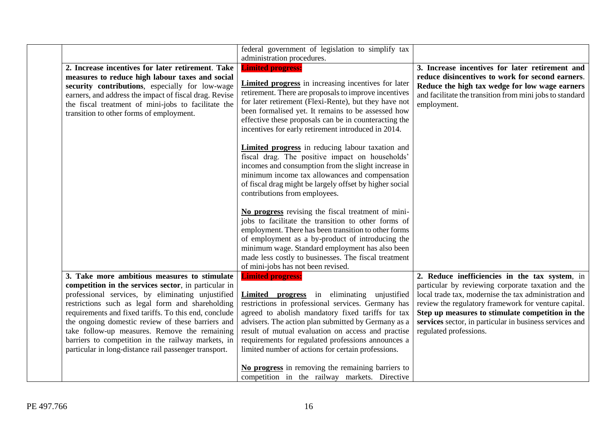|                                                                                                                                                                                                                                                                                                                                                                                                                                                                                             | federal government of legislation to simplify tax<br>administration procedures.                                                                                                                                                                                                                                                                                                                             |                                                                                                                                                                                                                                                                                                                                                                |
|---------------------------------------------------------------------------------------------------------------------------------------------------------------------------------------------------------------------------------------------------------------------------------------------------------------------------------------------------------------------------------------------------------------------------------------------------------------------------------------------|-------------------------------------------------------------------------------------------------------------------------------------------------------------------------------------------------------------------------------------------------------------------------------------------------------------------------------------------------------------------------------------------------------------|----------------------------------------------------------------------------------------------------------------------------------------------------------------------------------------------------------------------------------------------------------------------------------------------------------------------------------------------------------------|
| 2. Increase incentives for later retirement. Take<br>measures to reduce high labour taxes and social<br>security contributions, especially for low-wage<br>earners, and address the impact of fiscal drag. Revise<br>the fiscal treatment of mini-jobs to facilitate the<br>transition to other forms of employment.                                                                                                                                                                        | <b>Limited progress:</b><br><b>Limited progress</b> in increasing incentives for later<br>retirement. There are proposals to improve incentives<br>for later retirement (Flexi-Rente), but they have not<br>been formalised yet. It remains to be assessed how<br>effective these proposals can be in counteracting the<br>incentives for early retirement introduced in 2014.                              | 3. Increase incentives for later retirement and<br>reduce disincentives to work for second earners.<br>Reduce the high tax wedge for low wage earners<br>and facilitate the transition from mini jobs to standard<br>employment.                                                                                                                               |
|                                                                                                                                                                                                                                                                                                                                                                                                                                                                                             | <b>Limited progress</b> in reducing labour taxation and<br>fiscal drag. The positive impact on households'<br>incomes and consumption from the slight increase in<br>minimum income tax allowances and compensation<br>of fiscal drag might be largely offset by higher social<br>contributions from employees.                                                                                             |                                                                                                                                                                                                                                                                                                                                                                |
|                                                                                                                                                                                                                                                                                                                                                                                                                                                                                             | No progress revising the fiscal treatment of mini-<br>jobs to facilitate the transition to other forms of<br>employment. There has been transition to other forms<br>of employment as a by-product of introducing the<br>minimum wage. Standard employment has also been<br>made less costly to businesses. The fiscal treatment<br>of mini-jobs has not been revised.                                      |                                                                                                                                                                                                                                                                                                                                                                |
| 3. Take more ambitious measures to stimulate<br>competition in the services sector, in particular in<br>professional services, by eliminating unjustified<br>restrictions such as legal form and shareholding<br>requirements and fixed tariffs. To this end, conclude<br>the ongoing domestic review of these barriers and<br>take follow-up measures. Remove the remaining<br>barriers to competition in the railway markets, in<br>particular in long-distance rail passenger transport. | <b>Limited progress:</b><br>Limited progress in eliminating unjustified<br>restrictions in professional services. Germany has<br>agreed to abolish mandatory fixed tariffs for tax<br>advisers. The action plan submitted by Germany as a<br>result of mutual evaluation on access and practise<br>requirements for regulated professions announces a<br>limited number of actions for certain professions. | 2. Reduce inefficiencies in the tax system, in<br>particular by reviewing corporate taxation and the<br>local trade tax, modernise the tax administration and<br>review the regulatory framework for venture capital.<br>Step up measures to stimulate competition in the<br>services sector, in particular in business services and<br>regulated professions. |
|                                                                                                                                                                                                                                                                                                                                                                                                                                                                                             | No progress in removing the remaining barriers to<br>competition in the railway markets. Directive                                                                                                                                                                                                                                                                                                          |                                                                                                                                                                                                                                                                                                                                                                |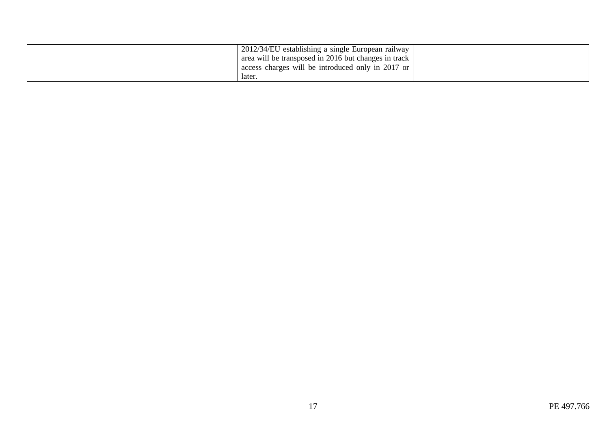| 2012/34/EU establishing a single European railway<br>area will be transposed in 2016 but changes in track |  |
|-----------------------------------------------------------------------------------------------------------|--|
| access charges will be introduced only in 2017 or<br>later.                                               |  |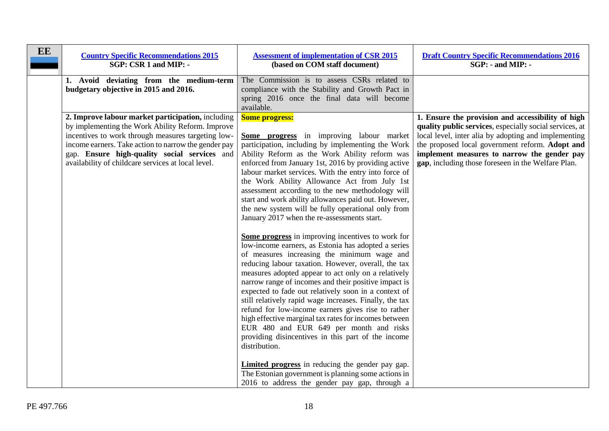<span id="page-17-0"></span>

| EE<br><b>Country Specific Recommendations 2015</b><br>SGP: CSR 1 and MIP: -                                                                                                                                                                                                                                               | <b>Assessment of implementation of CSR 2015</b><br>(based on COM staff document)                                                                                                                                                                                                                                                                                                                                                                                                                                                                                                                                                                                                                                                                                                                                                                                                                                                                                                                                                                                                                                                                                                                                                                                                                                                                                                                                       | <b>Draft Country Specific Recommendations 2016</b><br>SGP: - and MIP: -                                                                                                                                                                                                                                                      |
|---------------------------------------------------------------------------------------------------------------------------------------------------------------------------------------------------------------------------------------------------------------------------------------------------------------------------|------------------------------------------------------------------------------------------------------------------------------------------------------------------------------------------------------------------------------------------------------------------------------------------------------------------------------------------------------------------------------------------------------------------------------------------------------------------------------------------------------------------------------------------------------------------------------------------------------------------------------------------------------------------------------------------------------------------------------------------------------------------------------------------------------------------------------------------------------------------------------------------------------------------------------------------------------------------------------------------------------------------------------------------------------------------------------------------------------------------------------------------------------------------------------------------------------------------------------------------------------------------------------------------------------------------------------------------------------------------------------------------------------------------------|------------------------------------------------------------------------------------------------------------------------------------------------------------------------------------------------------------------------------------------------------------------------------------------------------------------------------|
| 1. Avoid deviating from the medium-term<br>budgetary objective in 2015 and 2016.                                                                                                                                                                                                                                          | The Commission is to assess CSRs related to<br>compliance with the Stability and Growth Pact in<br>spring 2016 once the final data will become<br>available.                                                                                                                                                                                                                                                                                                                                                                                                                                                                                                                                                                                                                                                                                                                                                                                                                                                                                                                                                                                                                                                                                                                                                                                                                                                           |                                                                                                                                                                                                                                                                                                                              |
| 2. Improve labour market participation, including<br>by implementing the Work Ability Reform. Improve<br>incentives to work through measures targeting low-<br>income earners. Take action to narrow the gender pay<br>gap. Ensure high-quality social services and<br>availability of childcare services at local level. | <b>Some progress:</b><br><b>Some progress</b> in improving labour market<br>participation, including by implementing the Work<br>Ability Reform as the Work Ability reform was<br>enforced from January 1st, 2016 by providing active<br>labour market services. With the entry into force of<br>the Work Ability Allowance Act from July 1st<br>assessment according to the new methodology will<br>start and work ability allowances paid out. However,<br>the new system will be fully operational only from<br>January 2017 when the re-assessments start.<br>Some progress in improving incentives to work for<br>low-income earners, as Estonia has adopted a series<br>of measures increasing the minimum wage and<br>reducing labour taxation. However, overall, the tax<br>measures adopted appear to act only on a relatively<br>narrow range of incomes and their positive impact is<br>expected to fade out relatively soon in a context of<br>still relatively rapid wage increases. Finally, the tax<br>refund for low-income earners gives rise to rather<br>high effective marginal tax rates for incomes between<br>EUR 480 and EUR 649 per month and risks<br>providing disincentives in this part of the income<br>distribution.<br><b>Limited progress</b> in reducing the gender pay gap.<br>The Estonian government is planning some actions in<br>2016 to address the gender pay gap, through a | 1. Ensure the provision and accessibility of high<br>quality public services, especially social services, at<br>local level, inter alia by adopting and implementing<br>the proposed local government reform. Adopt and<br>implement measures to narrow the gender pay<br>gap, including those foreseen in the Welfare Plan. |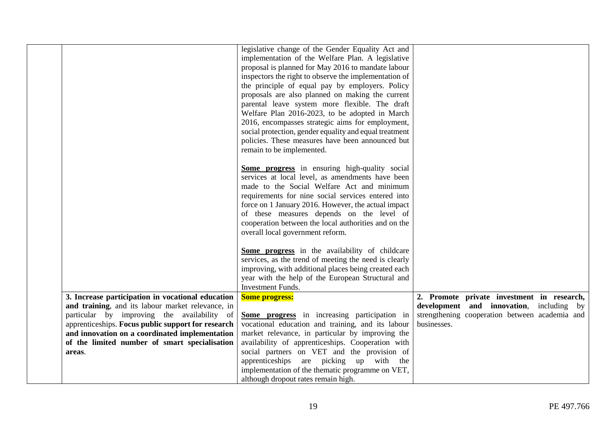|                                                                                                                                                                                                             | legislative change of the Gender Equality Act and<br>implementation of the Welfare Plan. A legislative<br>proposal is planned for May 2016 to mandate labour<br>inspectors the right to observe the implementation of<br>the principle of equal pay by employers. Policy<br>proposals are also planned on making the current<br>parental leave system more flexible. The draft<br>Welfare Plan 2016-2023, to be adopted in March<br>2016, encompasses strategic aims for employment,<br>social protection, gender equality and equal treatment<br>policies. These measures have been announced but<br>remain to be implemented.<br>Some progress in ensuring high-quality social<br>services at local level, as amendments have been<br>made to the Social Welfare Act and minimum<br>requirements for nine social services entered into<br>force on 1 January 2016. However, the actual impact<br>of these measures depends on the level of<br>cooperation between the local authorities and on the<br>overall local government reform.<br>Some progress in the availability of childcare<br>services, as the trend of meeting the need is clearly<br>improving, with additional places being created each<br>year with the help of the European Structural and |                                                                                                                                                         |
|-------------------------------------------------------------------------------------------------------------------------------------------------------------------------------------------------------------|------------------------------------------------------------------------------------------------------------------------------------------------------------------------------------------------------------------------------------------------------------------------------------------------------------------------------------------------------------------------------------------------------------------------------------------------------------------------------------------------------------------------------------------------------------------------------------------------------------------------------------------------------------------------------------------------------------------------------------------------------------------------------------------------------------------------------------------------------------------------------------------------------------------------------------------------------------------------------------------------------------------------------------------------------------------------------------------------------------------------------------------------------------------------------------------------------------------------------------------------------------------|---------------------------------------------------------------------------------------------------------------------------------------------------------|
|                                                                                                                                                                                                             | <b>Investment Funds.</b>                                                                                                                                                                                                                                                                                                                                                                                                                                                                                                                                                                                                                                                                                                                                                                                                                                                                                                                                                                                                                                                                                                                                                                                                                                         |                                                                                                                                                         |
| 3. Increase participation in vocational education<br>and training, and its labour market relevance, in<br>particular by improving the availability of<br>apprenticeships. Focus public support for research | <b>Some progress:</b><br>Some progress in increasing participation in<br>vocational education and training, and its labour                                                                                                                                                                                                                                                                                                                                                                                                                                                                                                                                                                                                                                                                                                                                                                                                                                                                                                                                                                                                                                                                                                                                       | 2. Promote private investment in research,<br>development and innovation, including by<br>strengthening cooperation between academia and<br>businesses. |
| and innovation on a coordinated implementation                                                                                                                                                              | market relevance, in particular by improving the                                                                                                                                                                                                                                                                                                                                                                                                                                                                                                                                                                                                                                                                                                                                                                                                                                                                                                                                                                                                                                                                                                                                                                                                                 |                                                                                                                                                         |
| of the limited number of smart specialisation                                                                                                                                                               | availability of apprenticeships. Cooperation with                                                                                                                                                                                                                                                                                                                                                                                                                                                                                                                                                                                                                                                                                                                                                                                                                                                                                                                                                                                                                                                                                                                                                                                                                |                                                                                                                                                         |
| areas.                                                                                                                                                                                                      | social partners on VET and the provision of<br>apprenticeships are picking up with the<br>implementation of the thematic programme on VET,<br>although dropout rates remain high.                                                                                                                                                                                                                                                                                                                                                                                                                                                                                                                                                                                                                                                                                                                                                                                                                                                                                                                                                                                                                                                                                |                                                                                                                                                         |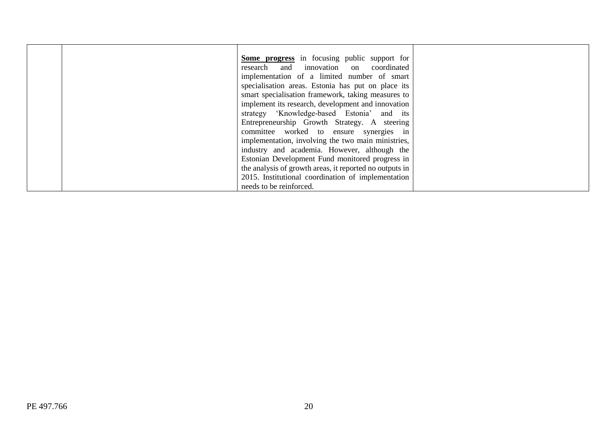| <b>Some progress</b> in focusing public support for     |  |
|---------------------------------------------------------|--|
| research and innovation on coordinated                  |  |
| implementation of a limited number of smart             |  |
| specialisation areas. Estonia has put on place its      |  |
| smart specialisation framework, taking measures to      |  |
| implement its research, development and innovation      |  |
| strategy 'Knowledge-based Estonia' and its              |  |
| Entrepreneurship Growth Strategy. A steering            |  |
| committee worked to ensure synergies in                 |  |
| implementation, involving the two main ministries,      |  |
| industry and academia. However, although the            |  |
| Estonian Development Fund monitored progress in         |  |
| the analysis of growth areas, it reported no outputs in |  |
| 2015. Institutional coordination of implementation      |  |
| needs to be reinforced.                                 |  |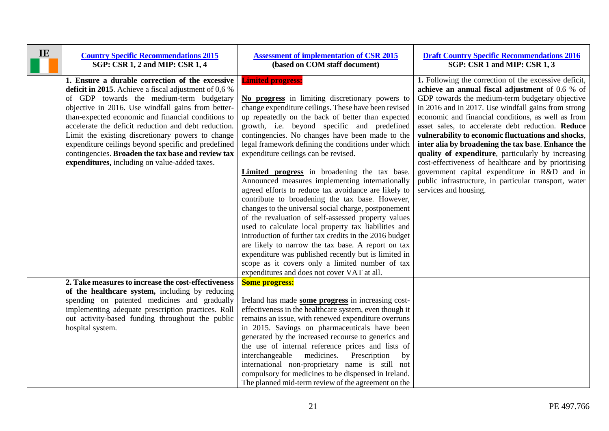<span id="page-20-0"></span>

| IE | <b>Country Specific Recommendations 2015</b><br>SGP: CSR 1, 2 and MIP: CSR 1, 4                                                                                                                                                                                                                                                                                                                                                                                                                                                               | <b>Assessment of implementation of CSR 2015</b><br>(based on COM staff document)                                                                                                                                                                                                                                                                                                                                                                                                                                                                                                                                                                                                                                                                                                                                                                                                                                                                                                                                                                         | <b>Draft Country Specific Recommendations 2016</b><br>SGP: CSR 1 and MIP: CSR 1, 3                                                                                                                                                                                                                                                                                                                                                                                                                                                                                                                                                                                                        |
|----|-----------------------------------------------------------------------------------------------------------------------------------------------------------------------------------------------------------------------------------------------------------------------------------------------------------------------------------------------------------------------------------------------------------------------------------------------------------------------------------------------------------------------------------------------|----------------------------------------------------------------------------------------------------------------------------------------------------------------------------------------------------------------------------------------------------------------------------------------------------------------------------------------------------------------------------------------------------------------------------------------------------------------------------------------------------------------------------------------------------------------------------------------------------------------------------------------------------------------------------------------------------------------------------------------------------------------------------------------------------------------------------------------------------------------------------------------------------------------------------------------------------------------------------------------------------------------------------------------------------------|-------------------------------------------------------------------------------------------------------------------------------------------------------------------------------------------------------------------------------------------------------------------------------------------------------------------------------------------------------------------------------------------------------------------------------------------------------------------------------------------------------------------------------------------------------------------------------------------------------------------------------------------------------------------------------------------|
|    | 1. Ensure a durable correction of the excessive<br>deficit in 2015. Achieve a fiscal adjustment of $0.6\%$<br>of GDP towards the medium-term budgetary<br>objective in 2016. Use windfall gains from better-<br>than-expected economic and financial conditions to<br>accelerate the deficit reduction and debt reduction.<br>Limit the existing discretionary powers to change<br>expenditure ceilings beyond specific and predefined<br>contingencies. Broaden the tax base and review tax<br>expenditures, including on value-added taxes. | <b>Limited progress:</b><br>No progress in limiting discretionary powers to<br>change expenditure ceilings. These have been revised<br>up repeatedly on the back of better than expected<br>growth, i.e. beyond specific and predefined<br>contingencies. No changes have been made to the<br>legal framework defining the conditions under which<br>expenditure ceilings can be revised.<br>Limited progress in broadening the tax base.<br>Announced measures implementing internationally<br>agreed efforts to reduce tax avoidance are likely to<br>contribute to broadening the tax base. However,<br>changes to the universal social charge, postponement<br>of the revaluation of self-assessed property values<br>used to calculate local property tax liabilities and<br>introduction of further tax credits in the 2016 budget<br>are likely to narrow the tax base. A report on tax<br>expenditure was published recently but is limited in<br>scope as it covers only a limited number of tax<br>expenditures and does not cover VAT at all. | 1. Following the correction of the excessive deficit,<br>achieve an annual fiscal adjustment of 0.6 % of<br>GDP towards the medium-term budgetary objective<br>in 2016 and in 2017. Use windfall gains from strong<br>economic and financial conditions, as well as from<br>asset sales, to accelerate debt reduction. Reduce<br>vulnerability to economic fluctuations and shocks,<br>inter alia by broadening the tax base. Enhance the<br>quality of expenditure, particularly by increasing<br>cost-effectiveness of healthcare and by prioritising<br>government capital expenditure in R&D and in<br>public infrastructure, in particular transport, water<br>services and housing. |
|    | 2. Take measures to increase the cost-effectiveness<br>of the healthcare system, including by reducing<br>spending on patented medicines and gradually<br>implementing adequate prescription practices. Roll<br>out activity-based funding throughout the public<br>hospital system.                                                                                                                                                                                                                                                          | <b>Some progress:</b><br>Ireland has made some progress in increasing cost-<br>effectiveness in the healthcare system, even though it<br>remains an issue, with renewed expenditure overruns<br>in 2015. Savings on pharmaceuticals have been<br>generated by the increased recourse to generics and<br>the use of internal reference prices and lists of<br>interchangeable medicines.<br>Prescription<br>by<br>international non-proprietary name is still not<br>compulsory for medicines to be dispensed in Ireland.<br>The planned mid-term review of the agreement on the                                                                                                                                                                                                                                                                                                                                                                                                                                                                          |                                                                                                                                                                                                                                                                                                                                                                                                                                                                                                                                                                                                                                                                                           |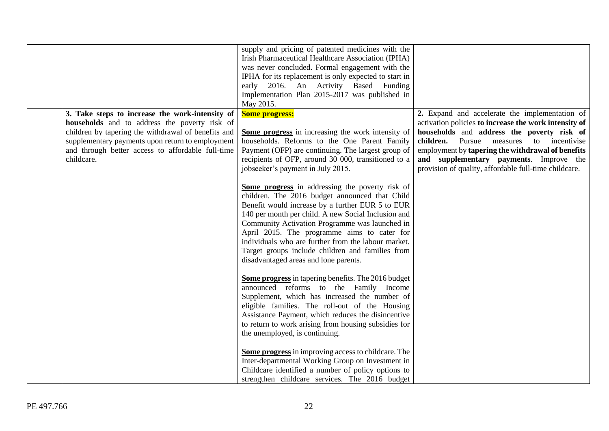|                                                                                                                                                                                                                                                                                | supply and pricing of patented medicines with the<br>Irish Pharmaceutical Healthcare Association (IPHA)<br>was never concluded. Formal engagement with the<br>IPHA for its replacement is only expected to start in<br>early 2016. An Activity Based Funding<br>Implementation Plan 2015-2017 was published in<br>May 2015.                                                                                                                                                                                                                                                                                                                                                                                                                       |                                                                                                                                                                                                                                                                                                                                                                     |
|--------------------------------------------------------------------------------------------------------------------------------------------------------------------------------------------------------------------------------------------------------------------------------|---------------------------------------------------------------------------------------------------------------------------------------------------------------------------------------------------------------------------------------------------------------------------------------------------------------------------------------------------------------------------------------------------------------------------------------------------------------------------------------------------------------------------------------------------------------------------------------------------------------------------------------------------------------------------------------------------------------------------------------------------|---------------------------------------------------------------------------------------------------------------------------------------------------------------------------------------------------------------------------------------------------------------------------------------------------------------------------------------------------------------------|
| 3. Take steps to increase the work-intensity of<br>households and to address the poverty risk of<br>children by tapering the withdrawal of benefits and<br>supplementary payments upon return to employment<br>and through better access to affordable full-time<br>childcare. | <b>Some progress:</b><br>Some progress in increasing the work intensity of<br>households. Reforms to the One Parent Family<br>Payment (OFP) are continuing. The largest group of<br>recipients of OFP, around 30 000, transitioned to a<br>jobseeker's payment in July 2015.<br>Some progress in addressing the poverty risk of<br>children. The 2016 budget announced that Child<br>Benefit would increase by a further EUR 5 to EUR<br>140 per month per child. A new Social Inclusion and<br>Community Activation Programme was launched in<br>April 2015. The programme aims to cater for<br>individuals who are further from the labour market.<br>Target groups include children and families from<br>disadvantaged areas and lone parents. | 2. Expand and accelerate the implementation of<br>activation policies to increase the work intensity of<br>households and address the poverty risk of<br>Pursue<br>children.<br>measures<br>to incentivise<br>employment by tapering the withdrawal of benefits<br>and supplementary payments. Improve the<br>provision of quality, affordable full-time childcare. |
|                                                                                                                                                                                                                                                                                | Some progress in tapering benefits. The 2016 budget<br>announced reforms to the Family Income<br>Supplement, which has increased the number of<br>eligible families. The roll-out of the Housing<br>Assistance Payment, which reduces the disincentive<br>to return to work arising from housing subsidies for<br>the unemployed, is continuing.<br><b>Some progress</b> in improving access to childcare. The<br>Inter-departmental Working Group on Investment in<br>Childcare identified a number of policy options to<br>strengthen childcare services. The 2016 budget                                                                                                                                                                       |                                                                                                                                                                                                                                                                                                                                                                     |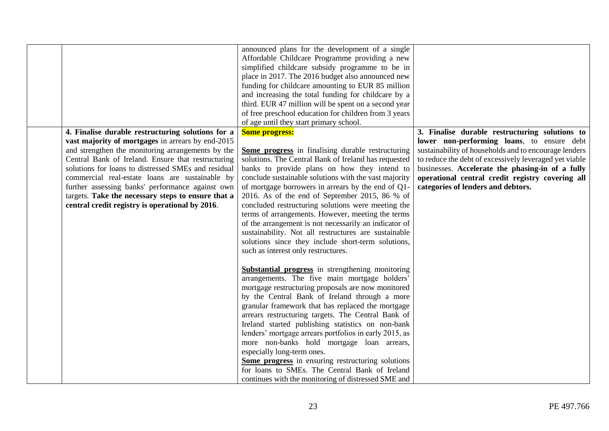|                                                                                                                                                                                                                                                                                                                                                                                                                                                                                          | announced plans for the development of a single<br>Affordable Childcare Programme providing a new<br>simplified childcare subsidy programme to be in<br>place in 2017. The 2016 budget also announced new<br>funding for childcare amounting to EUR 85 million<br>and increasing the total funding for childcare by a<br>third. EUR 47 million will be spent on a second year<br>of free preschool education for children from 3 years<br>of age until they start primary school.                                                                                                                                                                                                   |                                                                                                                                                                                                                                                                                                                                                               |
|------------------------------------------------------------------------------------------------------------------------------------------------------------------------------------------------------------------------------------------------------------------------------------------------------------------------------------------------------------------------------------------------------------------------------------------------------------------------------------------|-------------------------------------------------------------------------------------------------------------------------------------------------------------------------------------------------------------------------------------------------------------------------------------------------------------------------------------------------------------------------------------------------------------------------------------------------------------------------------------------------------------------------------------------------------------------------------------------------------------------------------------------------------------------------------------|---------------------------------------------------------------------------------------------------------------------------------------------------------------------------------------------------------------------------------------------------------------------------------------------------------------------------------------------------------------|
| 4. Finalise durable restructuring solutions for a<br>vast majority of mortgages in arrears by end-2015<br>and strengthen the monitoring arrangements by the<br>Central Bank of Ireland. Ensure that restructuring<br>solutions for loans to distressed SMEs and residual<br>commercial real-estate loans are sustainable by<br>further assessing banks' performance against own<br>targets. Take the necessary steps to ensure that a<br>central credit registry is operational by 2016. | <b>Some progress:</b><br><b>Some progress</b> in finalising durable restructuring<br>solutions. The Central Bank of Ireland has requested<br>banks to provide plans on how they intend to<br>conclude sustainable solutions with the vast majority<br>of mortgage borrowers in arrears by the end of Q1-<br>2016. As of the end of September 2015, 86 % of<br>concluded restructuring solutions were meeting the<br>terms of arrangements. However, meeting the terms<br>of the arrangement is not necessarily an indicator of<br>sustainability. Not all restructures are sustainable<br>solutions since they include short-term solutions,<br>such as interest only restructures. | 3. Finalise durable restructuring solutions to<br>lower non-performing loans, to ensure debt<br>sustainability of households and to encourage lenders<br>to reduce the debt of excessively leveraged yet viable<br>businesses. Accelerate the phasing-in of a fully<br>operational central credit registry covering all<br>categories of lenders and debtors. |
|                                                                                                                                                                                                                                                                                                                                                                                                                                                                                          | <b>Substantial progress</b> in strengthening monitoring<br>arrangements. The five main mortgage holders'<br>mortgage restructuring proposals are now monitored<br>by the Central Bank of Ireland through a more<br>granular framework that has replaced the mortgage<br>arrears restructuring targets. The Central Bank of<br>Ireland started publishing statistics on non-bank<br>lenders' mortgage arrears portfolios in early 2015, as<br>more non-banks hold mortgage loan arrears,<br>especially long-term ones.<br>Some progress in ensuring restructuring solutions<br>for loans to SMEs. The Central Bank of Ireland<br>continues with the monitoring of distressed SME and |                                                                                                                                                                                                                                                                                                                                                               |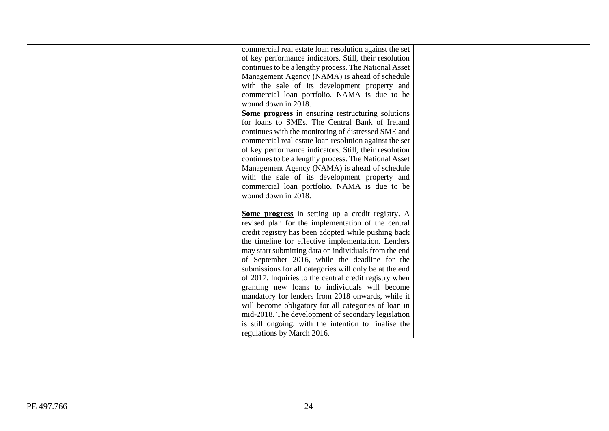|  | commercial real estate loan resolution against the set   |  |
|--|----------------------------------------------------------|--|
|  | of key performance indicators. Still, their resolution   |  |
|  | continues to be a lengthy process. The National Asset    |  |
|  | Management Agency (NAMA) is ahead of schedule            |  |
|  | with the sale of its development property and            |  |
|  | commercial loan portfolio. NAMA is due to be             |  |
|  | wound down in 2018.                                      |  |
|  | <b>Some progress</b> in ensuring restructuring solutions |  |
|  | for loans to SMEs. The Central Bank of Ireland           |  |
|  | continues with the monitoring of distressed SME and      |  |
|  | commercial real estate loan resolution against the set   |  |
|  | of key performance indicators. Still, their resolution   |  |
|  | continues to be a lengthy process. The National Asset    |  |
|  | Management Agency (NAMA) is ahead of schedule            |  |
|  | with the sale of its development property and            |  |
|  | commercial loan portfolio. NAMA is due to be             |  |
|  | wound down in 2018.                                      |  |
|  |                                                          |  |
|  | Some progress in setting up a credit registry. A         |  |
|  | revised plan for the implementation of the central       |  |
|  | credit registry has been adopted while pushing back      |  |
|  | the timeline for effective implementation. Lenders       |  |
|  | may start submitting data on individuals from the end    |  |
|  | of September 2016, while the deadline for the            |  |
|  | submissions for all categories will only be at the end   |  |
|  | of 2017. Inquiries to the central credit registry when   |  |
|  | granting new loans to individuals will become            |  |
|  | mandatory for lenders from 2018 onwards, while it        |  |
|  | will become obligatory for all categories of loan in     |  |
|  | mid-2018. The development of secondary legislation       |  |
|  | is still ongoing, with the intention to finalise the     |  |
|  | regulations by March 2016.                               |  |
|  |                                                          |  |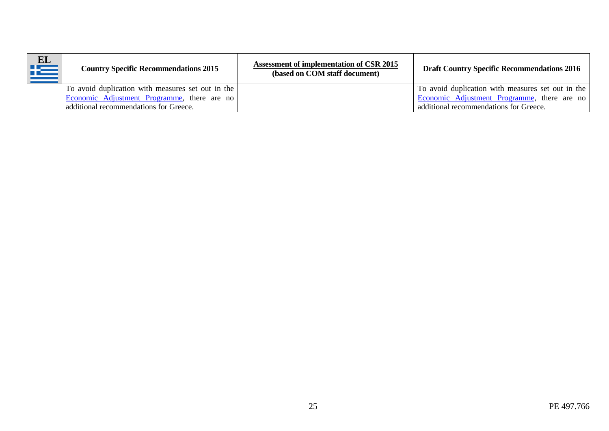<span id="page-24-0"></span>

| EL<br>Æ | <b>Country Specific Recommendations 2015</b>      | <b>Assessment of implementation of CSR 2015</b><br>(based on COM staff document) | <b>Draft Country Specific Recommendations 2016</b> |
|---------|---------------------------------------------------|----------------------------------------------------------------------------------|----------------------------------------------------|
|         | To avoid duplication with measures set out in the |                                                                                  | To avoid duplication with measures set out in the  |
|         | Economic Adjustment Programme, there are no       |                                                                                  | Economic Adjustment Programme, there are no        |
|         | additional recommendations for Greece.            |                                                                                  | additional recommendations for Greece.             |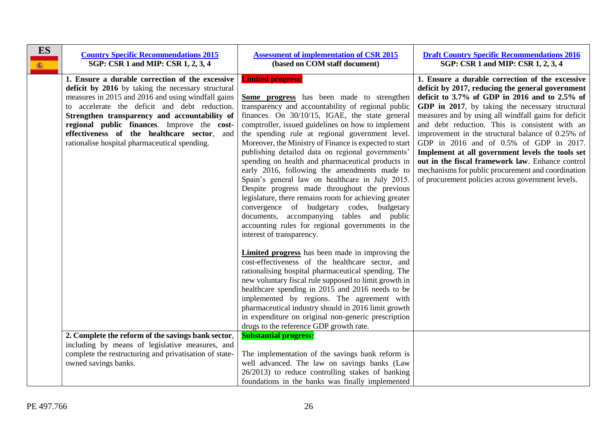<span id="page-25-0"></span>

| <b>ES</b><br><b>高</b> | <b>Country Specific Recommendations 2015</b><br>SGP: CSR 1 and MIP: CSR 1, 2, 3, 4                                                                                                                                                                                                                                                                                                                           | <b>Assessment of implementation of CSR 2015</b><br>(based on COM staff document)                                                                                                                                                                                                                                                                                                                                                                                                                                                                                                                                                                                                                                                                                                                                                                   | <b>Draft Country Specific Recommendations 2016</b><br>SGP: CSR 1 and MIP: CSR 1, 2, 3, 4                                                                                                                                                                                                                                                                                                                                                                                                                                                                                                                                                |
|-----------------------|--------------------------------------------------------------------------------------------------------------------------------------------------------------------------------------------------------------------------------------------------------------------------------------------------------------------------------------------------------------------------------------------------------------|----------------------------------------------------------------------------------------------------------------------------------------------------------------------------------------------------------------------------------------------------------------------------------------------------------------------------------------------------------------------------------------------------------------------------------------------------------------------------------------------------------------------------------------------------------------------------------------------------------------------------------------------------------------------------------------------------------------------------------------------------------------------------------------------------------------------------------------------------|-----------------------------------------------------------------------------------------------------------------------------------------------------------------------------------------------------------------------------------------------------------------------------------------------------------------------------------------------------------------------------------------------------------------------------------------------------------------------------------------------------------------------------------------------------------------------------------------------------------------------------------------|
|                       | 1. Ensure a durable correction of the excessive<br>deficit by 2016 by taking the necessary structural<br>measures in 2015 and 2016 and using windfall gains<br>to accelerate the deficit and debt reduction.<br>Strengthen transparency and accountability of<br>regional public finances. Improve the cost-<br>effectiveness of the healthcare sector, and<br>rationalise hospital pharmaceutical spending. | <b>Limited progress:</b><br>Some progress has been made to strengthen<br>transparency and accountability of regional public<br>finances. On 30/10/15, IGAE, the state general<br>comptroller, issued guidelines on how to implement<br>the spending rule at regional government level.<br>Moreover, the Ministry of Finance is expected to start<br>publishing detailed data on regional governments'<br>spending on health and pharmaceutical products in<br>early 2016, following the amendments made to<br>Spain's general law on healthcare in July 2015.<br>Despite progress made throughout the previous<br>legislature, there remains room for achieving greater<br>convergence of budgetary codes, budgetary<br>documents, accompanying tables and public<br>accounting rules for regional governments in the<br>interest of transparency. | 1. Ensure a durable correction of the excessive<br>deficit by 2017, reducing the general government<br>deficit to $3.7\%$ of GDP in 2016 and to 2.5% of<br>GDP in 2017, by taking the necessary structural<br>measures and by using all windfall gains for deficit<br>and debt reduction. This is consistent with an<br>improvement in the structural balance of 0.25% of<br>GDP in 2016 and of 0.5% of GDP in 2017.<br>Implement at all government levels the tools set<br>out in the fiscal framework law. Enhance control<br>mechanisms for public procurement and coordination<br>of procurement policies across government levels. |
|                       | 2. Complete the reform of the savings bank sector,<br>including by means of legislative measures, and                                                                                                                                                                                                                                                                                                        | <b>Limited progress</b> has been made in improving the<br>cost-effectiveness of the healthcare sector, and<br>rationalising hospital pharmaceutical spending. The<br>new voluntary fiscal rule supposed to limit growth in<br>healthcare spending in 2015 and 2016 needs to be<br>implemented by regions. The agreement with<br>pharmaceutical industry should in 2016 limit growth<br>in expenditure on original non-generic prescription<br>drugs to the reference GDP growth rate.<br><b>Substantial progress:</b>                                                                                                                                                                                                                                                                                                                              |                                                                                                                                                                                                                                                                                                                                                                                                                                                                                                                                                                                                                                         |
|                       | complete the restructuring and privatisation of state-<br>owned savings banks.                                                                                                                                                                                                                                                                                                                               | The implementation of the savings bank reform is<br>well advanced. The law on savings banks (Law<br>26/2013) to reduce controlling stakes of banking<br>foundations in the banks was finally implemented                                                                                                                                                                                                                                                                                                                                                                                                                                                                                                                                                                                                                                           |                                                                                                                                                                                                                                                                                                                                                                                                                                                                                                                                                                                                                                         |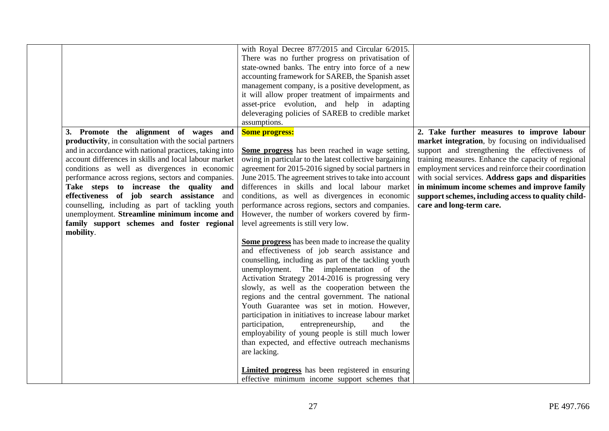|                                                                                                                                                                                                                                                                                                                                                                                                                                                                                                                                                                                 | with Royal Decree 877/2015 and Circular 6/2015.<br>There was no further progress on privatisation of<br>state-owned banks. The entry into force of a new<br>accounting framework for SAREB, the Spanish asset<br>management company, is a positive development, as<br>it will allow proper treatment of impairments and<br>asset-price evolution, and help in adapting<br>deleveraging policies of SAREB to credible market<br>assumptions.                                                                                                                                                                                                                                                                                                                                                                                                                                                                                                                                                                                                                                                                                                                           |                                                                                                                                                                                                                                                                                                                                                                                                                                                           |
|---------------------------------------------------------------------------------------------------------------------------------------------------------------------------------------------------------------------------------------------------------------------------------------------------------------------------------------------------------------------------------------------------------------------------------------------------------------------------------------------------------------------------------------------------------------------------------|-----------------------------------------------------------------------------------------------------------------------------------------------------------------------------------------------------------------------------------------------------------------------------------------------------------------------------------------------------------------------------------------------------------------------------------------------------------------------------------------------------------------------------------------------------------------------------------------------------------------------------------------------------------------------------------------------------------------------------------------------------------------------------------------------------------------------------------------------------------------------------------------------------------------------------------------------------------------------------------------------------------------------------------------------------------------------------------------------------------------------------------------------------------------------|-----------------------------------------------------------------------------------------------------------------------------------------------------------------------------------------------------------------------------------------------------------------------------------------------------------------------------------------------------------------------------------------------------------------------------------------------------------|
| 3. Promote the alignment of wages and<br>productivity, in consultation with the social partners<br>and in accordance with national practices, taking into<br>account differences in skills and local labour market<br>conditions as well as divergences in economic<br>performance across regions, sectors and companies.<br>Take steps to increase the quality and<br>effectiveness of job search assistance and<br>counselling, including as part of tackling youth<br>unemployment. Streamline minimum income and<br>family support schemes and foster regional<br>mobility. | <b>Some progress:</b><br>Some progress has been reached in wage setting,<br>owing in particular to the latest collective bargaining<br>agreement for 2015-2016 signed by social partners in<br>June 2015. The agreement strives to take into account<br>differences in skills and local labour market<br>conditions, as well as divergences in economic<br>performance across regions, sectors and companies.<br>However, the number of workers covered by firm-<br>level agreements is still very low.<br>Some progress has been made to increase the quality<br>and effectiveness of job search assistance and<br>counselling, including as part of the tackling youth<br>unemployment. The implementation of the<br>Activation Strategy 2014-2016 is progressing very<br>slowly, as well as the cooperation between the<br>regions and the central government. The national<br>Youth Guarantee was set in motion. However,<br>participation in initiatives to increase labour market<br>participation,<br>entrepreneurship,<br>and<br>the<br>employability of young people is still much lower<br>than expected, and effective outreach mechanisms<br>are lacking. | 2. Take further measures to improve labour<br>market integration, by focusing on individualised<br>support and strengthening the effectiveness of<br>training measures. Enhance the capacity of regional<br>employment services and reinforce their coordination<br>with social services. Address gaps and disparities<br>in minimum income schemes and improve family<br>support schemes, including access to quality child-<br>care and long-term care. |
|                                                                                                                                                                                                                                                                                                                                                                                                                                                                                                                                                                                 | <b>Limited progress</b> has been registered in ensuring<br>effective minimum income support schemes that                                                                                                                                                                                                                                                                                                                                                                                                                                                                                                                                                                                                                                                                                                                                                                                                                                                                                                                                                                                                                                                              |                                                                                                                                                                                                                                                                                                                                                                                                                                                           |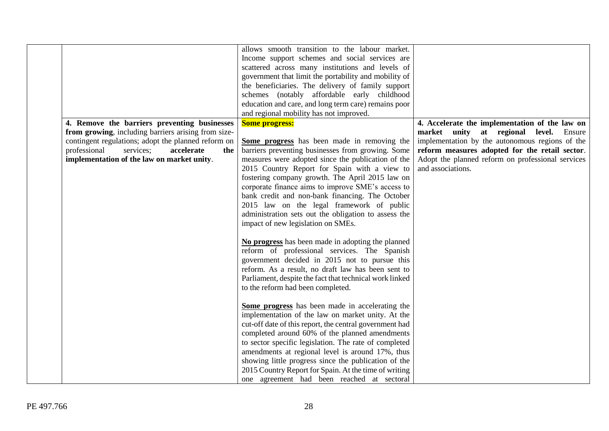|                                                     | allows smooth transition to the labour market.          |                                                   |
|-----------------------------------------------------|---------------------------------------------------------|---------------------------------------------------|
|                                                     | Income support schemes and social services are          |                                                   |
|                                                     | scattered across many institutions and levels of        |                                                   |
|                                                     | government that limit the portability and mobility of   |                                                   |
|                                                     | the beneficiaries. The delivery of family support       |                                                   |
|                                                     | schemes (notably affordable early childhood             |                                                   |
|                                                     | education and care, and long term care) remains poor    |                                                   |
|                                                     | and regional mobility has not improved.                 |                                                   |
| 4. Remove the barriers preventing businesses        | <b>Some progress:</b>                                   | 4. Accelerate the implementation of the law on    |
| from growing, including barriers arising from size- |                                                         | market unity at regional level. Ensure            |
| contingent regulations; adopt the planned reform on | Some progress has been made in removing the             | implementation by the autonomous regions of the   |
| professional<br>services;<br>accelerate<br>the      | barriers preventing businesses from growing. Some       | reform measures adopted for the retail sector.    |
| implementation of the law on market unity.          | measures were adopted since the publication of the      | Adopt the planned reform on professional services |
|                                                     | 2015 Country Report for Spain with a view to            | and associations.                                 |
|                                                     | fostering company growth. The April 2015 law on         |                                                   |
|                                                     | corporate finance aims to improve SME's access to       |                                                   |
|                                                     | bank credit and non-bank financing. The October         |                                                   |
|                                                     | 2015 law on the legal framework of public               |                                                   |
|                                                     | administration sets out the obligation to assess the    |                                                   |
|                                                     | impact of new legislation on SMEs.                      |                                                   |
|                                                     |                                                         |                                                   |
|                                                     | No progress has been made in adopting the planned       |                                                   |
|                                                     | reform of professional services. The Spanish            |                                                   |
|                                                     | government decided in 2015 not to pursue this           |                                                   |
|                                                     | reform. As a result, no draft law has been sent to      |                                                   |
|                                                     | Parliament, despite the fact that technical work linked |                                                   |
|                                                     | to the reform had been completed.                       |                                                   |
|                                                     |                                                         |                                                   |
|                                                     | Some progress has been made in accelerating the         |                                                   |
|                                                     | implementation of the law on market unity. At the       |                                                   |
|                                                     | cut-off date of this report, the central government had |                                                   |
|                                                     | completed around 60% of the planned amendments          |                                                   |
|                                                     | to sector specific legislation. The rate of completed   |                                                   |
|                                                     | amendments at regional level is around 17%, thus        |                                                   |
|                                                     | showing little progress since the publication of the    |                                                   |
|                                                     | 2015 Country Report for Spain. At the time of writing   |                                                   |
|                                                     | one agreement had been reached at sectoral              |                                                   |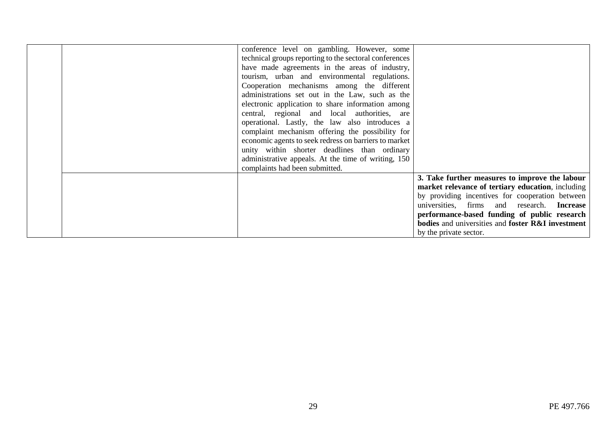|  | conference level on gambling. However, some            |                                                                     |
|--|--------------------------------------------------------|---------------------------------------------------------------------|
|  | technical groups reporting to the sectoral conferences |                                                                     |
|  | have made agreements in the areas of industry,         |                                                                     |
|  | tourism, urban and environmental regulations.          |                                                                     |
|  | Cooperation mechanisms among the different             |                                                                     |
|  | administrations set out in the Law, such as the        |                                                                     |
|  | electronic application to share information among      |                                                                     |
|  | central, regional and local authorities, are           |                                                                     |
|  | operational. Lastly, the law also introduces a         |                                                                     |
|  | complaint mechanism offering the possibility for       |                                                                     |
|  | economic agents to seek redress on barriers to market  |                                                                     |
|  | unity within shorter deadlines than ordinary           |                                                                     |
|  | administrative appeals. At the time of writing, 150    |                                                                     |
|  | complaints had been submitted.                         |                                                                     |
|  |                                                        | 3. Take further measures to improve the labour                      |
|  |                                                        | market relevance of tertiary education, including                   |
|  |                                                        | by providing incentives for cooperation between                     |
|  |                                                        | universities, firms and research. Increase                          |
|  |                                                        | performance-based funding of public research                        |
|  |                                                        | <b>bodies</b> and universities and <b>foster R&amp;I</b> investment |
|  |                                                        | by the private sector.                                              |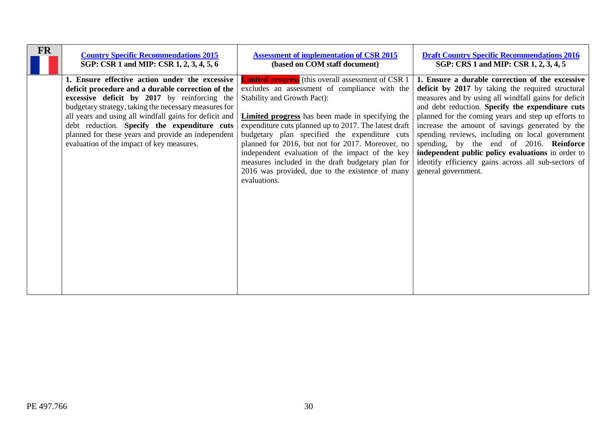<span id="page-29-0"></span>

| <b>FR</b> | <b>Country Specific Recommendations 2015</b>                                                                                                                                                                                                                                                                                                                                                                              | <b>Assessment of implementation of CSR 2015</b>                                                                                                                                                                                                                                                                                                                                                                                                                                                                                                       | <b>Draft Country Specific Recommendations 2016</b>                                                                                                                                                                                                                                                                                                                                                                                                                                                                                                          |
|-----------|---------------------------------------------------------------------------------------------------------------------------------------------------------------------------------------------------------------------------------------------------------------------------------------------------------------------------------------------------------------------------------------------------------------------------|-------------------------------------------------------------------------------------------------------------------------------------------------------------------------------------------------------------------------------------------------------------------------------------------------------------------------------------------------------------------------------------------------------------------------------------------------------------------------------------------------------------------------------------------------------|-------------------------------------------------------------------------------------------------------------------------------------------------------------------------------------------------------------------------------------------------------------------------------------------------------------------------------------------------------------------------------------------------------------------------------------------------------------------------------------------------------------------------------------------------------------|
|           | SGP: CSR 1 and MIP: CSR 1, 2, 3, 4, 5, 6                                                                                                                                                                                                                                                                                                                                                                                  | (based on COM staff document)                                                                                                                                                                                                                                                                                                                                                                                                                                                                                                                         | SGP: CRS 1 and MIP: CSR 1, 2, 3, 4, 5                                                                                                                                                                                                                                                                                                                                                                                                                                                                                                                       |
|           | 1. Ensure effective action under the excessive<br>deficit procedure and a durable correction of the<br>excessive deficit by 2017 by reinforcing the<br>budgetary strategy, taking the necessary measures for<br>all years and using all windfall gains for deficit and<br>debt reduction. Specify the expenditure cuts<br>planned for these years and provide an independent<br>evaluation of the impact of key measures. | <b>Limited progress</b> (this overall assessment of CSR 1)<br>excludes an assessment of compliance with the<br><b>Stability and Growth Pact):</b><br><b>Limited progress</b> has been made in specifying the<br>expenditure cuts planned up to 2017. The latest draft<br>budgetary plan specified the expenditure cuts<br>planned for 2016, but not for 2017. Moreover, no<br>independent evaluation of the impact of the key<br>measures included in the draft budgetary plan for<br>2016 was provided, due to the existence of many<br>evaluations. | 1. Ensure a durable correction of the excessive<br>deficit by 2017 by taking the required structural<br>measures and by using all windfall gains for deficit<br>and debt reduction. Specify the expenditure cuts<br>planned for the coming years and step up efforts to<br>increase the amount of savings generated by the<br>spending reviews, including on local government<br>spending, by the end of 2016. Reinforce<br>independent public policy evaluations in order to<br>identify efficiency gains across all sub-sectors of<br>general government. |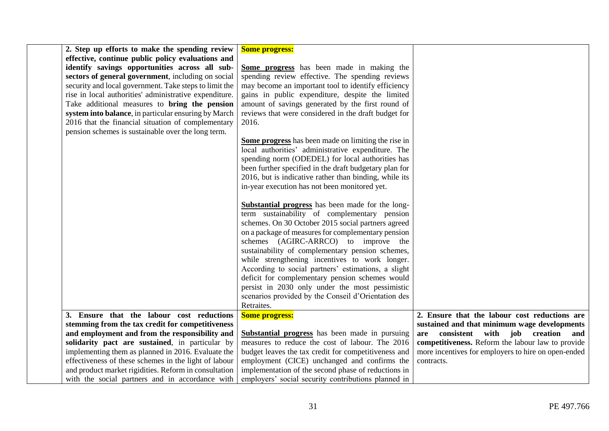| 2. Step up efforts to make the spending review         | <b>Some progress:</b>                                   |                                                     |
|--------------------------------------------------------|---------------------------------------------------------|-----------------------------------------------------|
| effective, continue public policy evaluations and      |                                                         |                                                     |
| identify savings opportunities across all sub-         | Some progress has been made in making the               |                                                     |
| sectors of general government, including on social     | spending review effective. The spending reviews         |                                                     |
| security and local government. Take steps to limit the | may become an important tool to identify efficiency     |                                                     |
| rise in local authorities' administrative expenditure. | gains in public expenditure, despite the limited        |                                                     |
| Take additional measures to bring the pension          | amount of savings generated by the first round of       |                                                     |
| system into balance, in particular ensuring by March   | reviews that were considered in the draft budget for    |                                                     |
| 2016 that the financial situation of complementary     | 2016.                                                   |                                                     |
| pension schemes is sustainable over the long term.     |                                                         |                                                     |
|                                                        | Some progress has been made on limiting the rise in     |                                                     |
|                                                        | local authorities' administrative expenditure. The      |                                                     |
|                                                        | spending norm (ODEDEL) for local authorities has        |                                                     |
|                                                        | been further specified in the draft budgetary plan for  |                                                     |
|                                                        | 2016, but is indicative rather than binding, while its  |                                                     |
|                                                        | in-year execution has not been monitored yet.           |                                                     |
|                                                        |                                                         |                                                     |
|                                                        | <b>Substantial progress</b> has been made for the long- |                                                     |
|                                                        | term sustainability of complementary pension            |                                                     |
|                                                        | schemes. On 30 October 2015 social partners agreed      |                                                     |
|                                                        | on a package of measures for complementary pension      |                                                     |
|                                                        | schemes (AGIRC-ARRCO) to improve the                    |                                                     |
|                                                        | sustainability of complementary pension schemes,        |                                                     |
|                                                        | while strengthening incentives to work longer.          |                                                     |
|                                                        | According to social partners' estimations, a slight     |                                                     |
|                                                        | deficit for complementary pension schemes would         |                                                     |
|                                                        | persist in 2030 only under the most pessimistic         |                                                     |
|                                                        | scenarios provided by the Conseil d'Orientation des     |                                                     |
|                                                        | Retraites.                                              |                                                     |
| 3. Ensure that the labour cost reductions              | <b>Some progress:</b>                                   | 2. Ensure that the labour cost reductions are       |
| stemming from the tax credit for competitiveness       |                                                         | sustained and that minimum wage developments        |
| and employment and from the responsibility and         | <b>Substantial progress</b> has been made in pursuing   | are consistent with job creation and                |
| solidarity pact are sustained, in particular by        | measures to reduce the cost of labour. The 2016         | competitiveness. Reform the labour law to provide   |
| implementing them as planned in 2016. Evaluate the     | budget leaves the tax credit for competitiveness and    | more incentives for employers to hire on open-ended |
| effectiveness of these schemes in the light of labour  | employment (CICE) unchanged and confirms the            | contracts.                                          |
| and product market rigidities. Reform in consultation  | implementation of the second phase of reductions in     |                                                     |
| with the social partners and in accordance with        | employers' social security contributions planned in     |                                                     |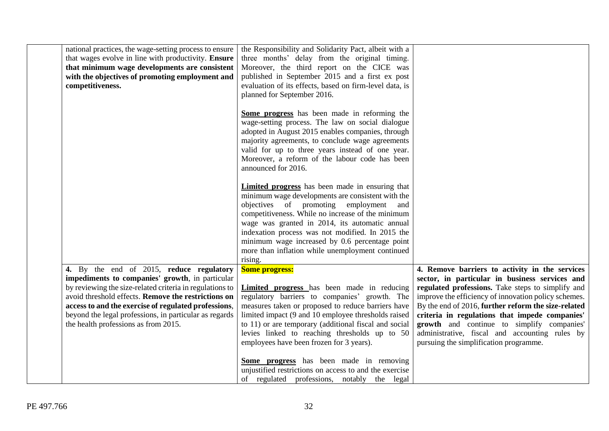| national practices, the wage-setting process to ensure<br>that wages evolve in line with productivity. Ensure<br>that minimum wage developments are consistent<br>with the objectives of promoting employment and<br>competitiveness.                                                                                                                                    | the Responsibility and Solidarity Pact, albeit with a<br>three months' delay from the original timing.<br>Moreover, the third report on the CICE was<br>published in September 2015 and a first ex post<br>evaluation of its effects, based on firm-level data, is<br>planned for September 2016.                                                                                                                                    |                                                                                                                                                                                                                                                                                                                                                                                                                                                                  |
|--------------------------------------------------------------------------------------------------------------------------------------------------------------------------------------------------------------------------------------------------------------------------------------------------------------------------------------------------------------------------|--------------------------------------------------------------------------------------------------------------------------------------------------------------------------------------------------------------------------------------------------------------------------------------------------------------------------------------------------------------------------------------------------------------------------------------|------------------------------------------------------------------------------------------------------------------------------------------------------------------------------------------------------------------------------------------------------------------------------------------------------------------------------------------------------------------------------------------------------------------------------------------------------------------|
|                                                                                                                                                                                                                                                                                                                                                                          | Some progress has been made in reforming the<br>wage-setting process. The law on social dialogue<br>adopted in August 2015 enables companies, through<br>majority agreements, to conclude wage agreements<br>valid for up to three years instead of one year.<br>Moreover, a reform of the labour code has been<br>announced for 2016.                                                                                               |                                                                                                                                                                                                                                                                                                                                                                                                                                                                  |
|                                                                                                                                                                                                                                                                                                                                                                          | <b>Limited progress</b> has been made in ensuring that<br>minimum wage developments are consistent with the<br>objectives of promoting employment<br>and<br>competitiveness. While no increase of the minimum<br>wage was granted in 2014, its automatic annual<br>indexation process was not modified. In 2015 the<br>minimum wage increased by 0.6 percentage point<br>more than inflation while unemployment continued<br>rising. |                                                                                                                                                                                                                                                                                                                                                                                                                                                                  |
| 4. By the end of 2015, reduce regulatory<br>impediments to companies' growth, in particular<br>by reviewing the size-related criteria in regulations to<br>avoid threshold effects. Remove the restrictions on<br>access to and the exercise of regulated professions,<br>beyond the legal professions, in particular as regards<br>the health professions as from 2015. | <b>Some progress:</b><br>Limited progress has been made in reducing<br>regulatory barriers to companies' growth. The<br>measures taken or proposed to reduce barriers have<br>limited impact (9 and 10 employee thresholds raised<br>to 11) or are temporary (additional fiscal and social<br>levies linked to reaching thresholds up to 50<br>employees have been frozen for 3 years).                                              | 4. Remove barriers to activity in the services<br>sector, in particular in business services and<br>regulated professions. Take steps to simplify and<br>improve the efficiency of innovation policy schemes.<br>By the end of 2016, further reform the size-related<br>criteria in regulations that impede companies'<br>growth and continue to simplify companies'<br>administrative, fiscal and accounting rules by<br>pursuing the simplification programme. |
|                                                                                                                                                                                                                                                                                                                                                                          | Some progress has been made in removing<br>unjustified restrictions on access to and the exercise<br>of regulated professions, notably the legal                                                                                                                                                                                                                                                                                     |                                                                                                                                                                                                                                                                                                                                                                                                                                                                  |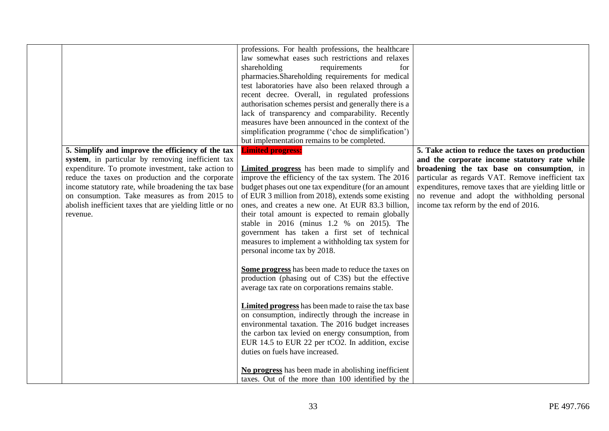| No progress has been made in abolishing inefficient<br>taxes. Out of the more than 100 identified by the |
|----------------------------------------------------------------------------------------------------------|
|----------------------------------------------------------------------------------------------------------|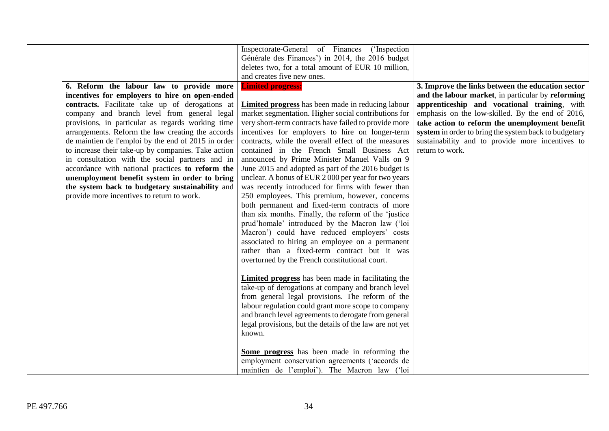| 6. Reform the labour law to provide more<br>incentives for employers to hire on open-ended<br>contracts. Facilitate take up of derogations at<br>company and branch level from general legal<br>provisions, in particular as regards working time<br>arrangements. Reform the law creating the accords<br>de maintien de l'emploi by the end of 2015 in order<br>to increase their take-up by companies. Take action<br>in consultation with the social partners and in<br>accordance with national practices to reform the<br>unemployment benefit system in order to bring<br>the system back to budgetary sustainability and<br>provide more incentives to return to work. | Inspectorate-General of Finances ('Inspection<br>Générale des Finances') in 2014, the 2016 budget<br>deletes two, for a total amount of EUR 10 million,<br>and creates five new ones.<br><b>Limited progress:</b><br><b>Limited progress</b> has been made in reducing labour<br>market segmentation. Higher social contributions for<br>very short-term contracts have failed to provide more<br>incentives for employers to hire on longer-term<br>contracts, while the overall effect of the measures<br>contained in the French Small Business Act<br>announced by Prime Minister Manuel Valls on 9<br>June 2015 and adopted as part of the 2016 budget is<br>unclear. A bonus of EUR 2000 per year for two years<br>was recently introduced for firms with fewer than<br>250 employees. This premium, however, concerns<br>both permanent and fixed-term contracts of more<br>than six months. Finally, the reform of the 'justice<br>prud'homale' introduced by the Macron law ('loi<br>Macron') could have reduced employers' costs<br>associated to hiring an employee on a permanent<br>rather than a fixed-term contract but it was<br>overturned by the French constitutional court.<br><b>Limited progress</b> has been made in facilitating the<br>take-up of derogations at company and branch level<br>from general legal provisions. The reform of the<br>labour regulation could grant more scope to company | 3. Improve the links between the education sector<br>and the labour market, in particular by reforming<br>apprenticeship and vocational training, with<br>emphasis on the low-skilled. By the end of 2016,<br>take action to reform the unemployment benefit<br>system in order to bring the system back to budgetary<br>sustainability and to provide more incentives to<br>return to work. |
|-------------------------------------------------------------------------------------------------------------------------------------------------------------------------------------------------------------------------------------------------------------------------------------------------------------------------------------------------------------------------------------------------------------------------------------------------------------------------------------------------------------------------------------------------------------------------------------------------------------------------------------------------------------------------------|-------------------------------------------------------------------------------------------------------------------------------------------------------------------------------------------------------------------------------------------------------------------------------------------------------------------------------------------------------------------------------------------------------------------------------------------------------------------------------------------------------------------------------------------------------------------------------------------------------------------------------------------------------------------------------------------------------------------------------------------------------------------------------------------------------------------------------------------------------------------------------------------------------------------------------------------------------------------------------------------------------------------------------------------------------------------------------------------------------------------------------------------------------------------------------------------------------------------------------------------------------------------------------------------------------------------------------------------------------------------------------------------------------------------------------|----------------------------------------------------------------------------------------------------------------------------------------------------------------------------------------------------------------------------------------------------------------------------------------------------------------------------------------------------------------------------------------------|
|                                                                                                                                                                                                                                                                                                                                                                                                                                                                                                                                                                                                                                                                               | and branch level agreements to derogate from general<br>legal provisions, but the details of the law are not yet<br>known.<br>Some progress has been made in reforming the<br>employment conservation agreements ('accords de<br>maintien de l'emploi'). The Macron law ('loi                                                                                                                                                                                                                                                                                                                                                                                                                                                                                                                                                                                                                                                                                                                                                                                                                                                                                                                                                                                                                                                                                                                                                 |                                                                                                                                                                                                                                                                                                                                                                                              |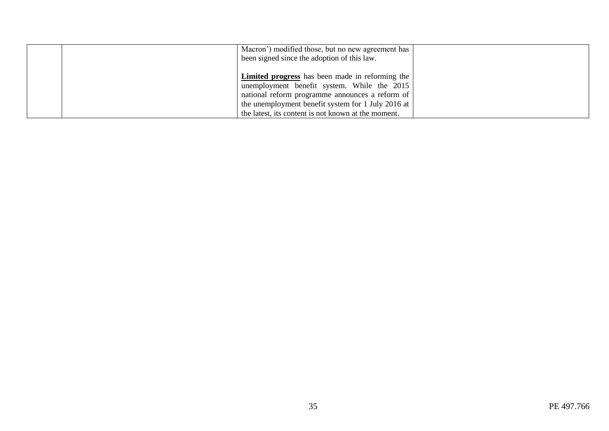| Macron') modified those, but no new agreement has<br>been signed since the adoption of this law.                                                                                                                                                                      |  |
|-----------------------------------------------------------------------------------------------------------------------------------------------------------------------------------------------------------------------------------------------------------------------|--|
| <b>Limited progress</b> has been made in reforming the<br>unemployment benefit system. While the 2015<br>national reform programme announces a reform of<br>the unemployment benefit system for 1 July 2016 at<br>the latest, its content is not known at the moment. |  |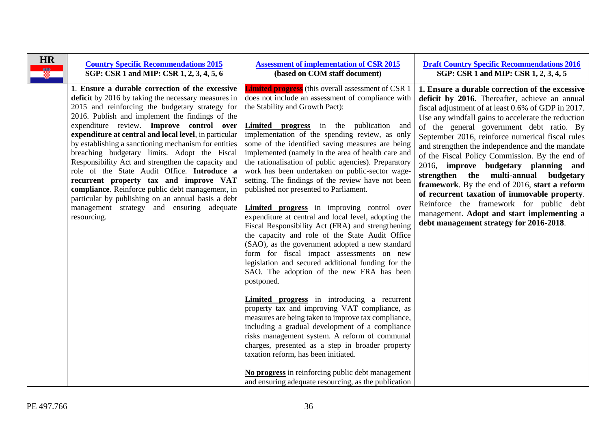<span id="page-35-0"></span>

| <b>HR</b><br>Ø. | <b>Country Specific Recommendations 2015</b><br>SGP: CSR 1 and MIP: CSR 1, 2, 3, 4, 5, 6                                                                                                                                                                                                                                                                                                                                                                                                                                                                                                                                                                                                                                                       | <b>Assessment of implementation of CSR 2015</b><br>(based on COM staff document)                                                                                                                                                                                                                                                                                                                                                                                                                                                                                                                                                                                                                                                                                                                                                                                                                                                                                                                                                                                                                                                                                                                                                                                                                                                                                                                                            | <b>Draft Country Specific Recommendations 2016</b><br>SGP: CSR 1 and MIP: CSR 1, 2, 3, 4, 5                                                                                                                                                                                                                                                                                                                                                                                                                                                                                                                                                                                                                                              |
|-----------------|------------------------------------------------------------------------------------------------------------------------------------------------------------------------------------------------------------------------------------------------------------------------------------------------------------------------------------------------------------------------------------------------------------------------------------------------------------------------------------------------------------------------------------------------------------------------------------------------------------------------------------------------------------------------------------------------------------------------------------------------|-----------------------------------------------------------------------------------------------------------------------------------------------------------------------------------------------------------------------------------------------------------------------------------------------------------------------------------------------------------------------------------------------------------------------------------------------------------------------------------------------------------------------------------------------------------------------------------------------------------------------------------------------------------------------------------------------------------------------------------------------------------------------------------------------------------------------------------------------------------------------------------------------------------------------------------------------------------------------------------------------------------------------------------------------------------------------------------------------------------------------------------------------------------------------------------------------------------------------------------------------------------------------------------------------------------------------------------------------------------------------------------------------------------------------------|------------------------------------------------------------------------------------------------------------------------------------------------------------------------------------------------------------------------------------------------------------------------------------------------------------------------------------------------------------------------------------------------------------------------------------------------------------------------------------------------------------------------------------------------------------------------------------------------------------------------------------------------------------------------------------------------------------------------------------------|
|                 | 1. Ensure a durable correction of the excessive<br>deficit by 2016 by taking the necessary measures in<br>2015 and reinforcing the budgetary strategy for<br>2016. Publish and implement the findings of the<br>expenditure review. Improve control over<br>expenditure at central and local level, in particular<br>by establishing a sanctioning mechanism for entities<br>breaching budgetary limits. Adopt the Fiscal<br>Responsibility Act and strengthen the capacity and<br>role of the State Audit Office. Introduce a<br>recurrent property tax and improve VAT<br>compliance. Reinforce public debt management, in<br>particular by publishing on an annual basis a debt<br>management strategy and ensuring adequate<br>resourcing. | <b>Limited progress</b> (this overall assessment of CSR 1<br>does not include an assessment of compliance with<br>the Stability and Growth Pact):<br>Limited progress in the publication and<br>implementation of the spending review, as only<br>some of the identified saving measures are being<br>implemented (namely in the area of health care and<br>the rationalisation of public agencies). Preparatory<br>work has been undertaken on public-sector wage-<br>setting. The findings of the review have not been<br>published nor presented to Parliament.<br><b>Limited progress</b> in improving control over<br>expenditure at central and local level, adopting the<br>Fiscal Responsibility Act (FRA) and strengthening<br>the capacity and role of the State Audit Office<br>(SAO), as the government adopted a new standard<br>form for fiscal impact assessments on new<br>legislation and secured additional funding for the<br>SAO. The adoption of the new FRA has been<br>postponed.<br><b>Limited progress</b> in introducing a recurrent<br>property tax and improving VAT compliance, as<br>measures are being taken to improve tax compliance,<br>including a gradual development of a compliance<br>risks management system. A reform of communal<br>charges, presented as a step in broader property<br>taxation reform, has been initiated.<br>No progress in reinforcing public debt management | 1. Ensure a durable correction of the excessive<br>deficit by 2016. Thereafter, achieve an annual<br>fiscal adjustment of at least 0.6% of GDP in 2017.<br>Use any windfall gains to accelerate the reduction<br>of the general government debt ratio. By<br>September 2016, reinforce numerical fiscal rules<br>and strengthen the independence and the mandate<br>of the Fiscal Policy Commission. By the end of<br>2016, improve budgetary planning and<br>strengthen the multi-annual budgetary<br>framework. By the end of 2016, start a reform<br>of recurrent taxation of immovable property.<br>Reinforce the framework for public debt<br>management. Adopt and start implementing a<br>debt management strategy for 2016-2018. |
|                 |                                                                                                                                                                                                                                                                                                                                                                                                                                                                                                                                                                                                                                                                                                                                                | and ensuring adequate resourcing, as the publication                                                                                                                                                                                                                                                                                                                                                                                                                                                                                                                                                                                                                                                                                                                                                                                                                                                                                                                                                                                                                                                                                                                                                                                                                                                                                                                                                                        |                                                                                                                                                                                                                                                                                                                                                                                                                                                                                                                                                                                                                                                                                                                                          |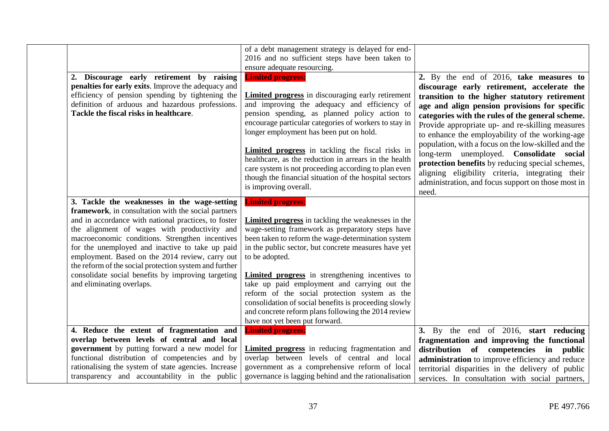|                                                                                                                                                                                                                                                                                                                                                                                                                                                                                                                   | of a debt management strategy is delayed for end-<br>2016 and no sufficient steps have been taken to<br>ensure adequate resourcing.                                                                                                                                                                                                                                                                                                                                                                                                                                                    |                                                                                                                                                                                                                                                                                                                                                                                                                                                                                                                                                                                                                               |
|-------------------------------------------------------------------------------------------------------------------------------------------------------------------------------------------------------------------------------------------------------------------------------------------------------------------------------------------------------------------------------------------------------------------------------------------------------------------------------------------------------------------|----------------------------------------------------------------------------------------------------------------------------------------------------------------------------------------------------------------------------------------------------------------------------------------------------------------------------------------------------------------------------------------------------------------------------------------------------------------------------------------------------------------------------------------------------------------------------------------|-------------------------------------------------------------------------------------------------------------------------------------------------------------------------------------------------------------------------------------------------------------------------------------------------------------------------------------------------------------------------------------------------------------------------------------------------------------------------------------------------------------------------------------------------------------------------------------------------------------------------------|
| 2. Discourage early retirement by raising<br>penalties for early exits. Improve the adequacy and<br>efficiency of pension spending by tightening the<br>definition of arduous and hazardous professions.<br>Tackle the fiscal risks in healthcare.                                                                                                                                                                                                                                                                | <b>Limited progress:</b><br><b>Limited progress</b> in discouraging early retirement<br>and improving the adequacy and efficiency of<br>pension spending, as planned policy action to<br>encourage particular categories of workers to stay in<br>longer employment has been put on hold.<br><b>Limited progress</b> in tackling the fiscal risks in<br>healthcare, as the reduction in arrears in the health<br>care system is not proceeding according to plan even<br>though the financial situation of the hospital sectors<br>is improving overall.                               | 2. By the end of 2016, take measures to<br>discourage early retirement, accelerate the<br>transition to the higher statutory retirement<br>age and align pension provisions for specific<br>categories with the rules of the general scheme.<br>Provide appropriate up- and re-skilling measures<br>to enhance the employability of the working-age<br>population, with a focus on the low-skilled and the<br>long-term unemployed. Consolidate social<br>protection benefits by reducing special schemes,<br>aligning eligibility criteria, integrating their<br>administration, and focus support on those most in<br>need. |
| 3. Tackle the weaknesses in the wage-setting<br>framework, in consultation with the social partners<br>and in accordance with national practices, to foster<br>the alignment of wages with productivity and<br>macroeconomic conditions. Strengthen incentives<br>for the unemployed and inactive to take up paid<br>employment. Based on the 2014 review, carry out<br>the reform of the social protection system and further<br>consolidate social benefits by improving targeting<br>and eliminating overlaps. | <b>Limited progress:</b><br><b>Limited progress</b> in tackling the weaknesses in the<br>wage-setting framework as preparatory steps have<br>been taken to reform the wage-determination system<br>in the public sector, but concrete measures have yet<br>to be adopted.<br><b>Limited progress</b> in strengthening incentives to<br>take up paid employment and carrying out the<br>reform of the social protection system as the<br>consolidation of social benefits is proceeding slowly<br>and concrete reform plans following the 2014 review<br>have not yet been put forward. |                                                                                                                                                                                                                                                                                                                                                                                                                                                                                                                                                                                                                               |
| 4. Reduce the extent of fragmentation and<br>overlap between levels of central and local<br>government by putting forward a new model for<br>functional distribution of competencies and by<br>rationalising the system of state agencies. Increase<br>transparency and accountability in the public                                                                                                                                                                                                              | <b>Limited progress:</b><br>Limited progress in reducing fragmentation and<br>overlap between levels of central and local<br>government as a comprehensive reform of local<br>governance is lagging behind and the rationalisation                                                                                                                                                                                                                                                                                                                                                     | 3. By the end of 2016, start reducing<br>fragmentation and improving the functional<br>distribution of competencies in public<br>administration to improve efficiency and reduce<br>territorial disparities in the delivery of public<br>services. In consultation with social partners,                                                                                                                                                                                                                                                                                                                                      |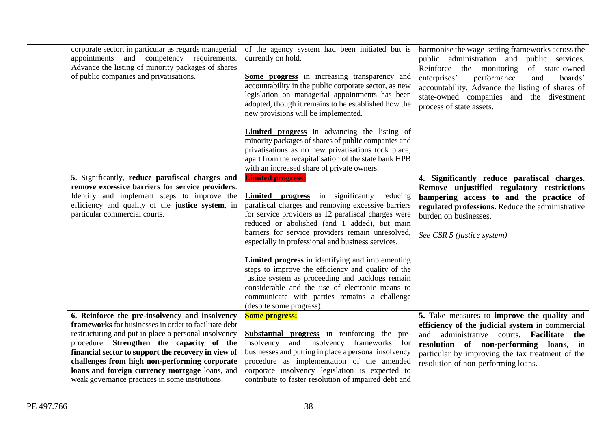| corporate sector, in particular as regards managerial<br>appointments and competency requirements. | of the agency system had been initiated but is<br>currently on hold.                        | harmonise the wage-setting frameworks across the |
|----------------------------------------------------------------------------------------------------|---------------------------------------------------------------------------------------------|--------------------------------------------------|
|                                                                                                    |                                                                                             | public administration and public services.       |
| Advance the listing of minority packages of shares<br>of public companies and privatisations.      |                                                                                             | Reinforce the monitoring<br>of state-owned       |
|                                                                                                    | Some progress in increasing transparency and                                                | enterprises'<br>performance<br>and<br>boards'    |
|                                                                                                    | accountability in the public corporate sector, as new                                       | accountability. Advance the listing of shares of |
|                                                                                                    | legislation on managerial appointments has been                                             | state-owned companies and the divestment         |
|                                                                                                    | adopted, though it remains to be established how the<br>new provisions will be implemented. | process of state assets.                         |
|                                                                                                    |                                                                                             |                                                  |
|                                                                                                    | <b>Limited progress</b> in advancing the listing of                                         |                                                  |
|                                                                                                    | minority packages of shares of public companies and                                         |                                                  |
|                                                                                                    | privatisations as no new privatisations took place,                                         |                                                  |
|                                                                                                    | apart from the recapitalisation of the state bank HPB                                       |                                                  |
|                                                                                                    | with an increased share of private owners.                                                  |                                                  |
| 5. Significantly, reduce parafiscal charges and                                                    | <b>Limited progress:</b>                                                                    | 4. Significantly reduce parafiscal charges.      |
| remove excessive barriers for service providers.                                                   |                                                                                             | Remove unjustified regulatory restrictions       |
| Identify and implement steps to improve the                                                        | <b>Limited progress</b> in significantly reducing                                           | hampering access to and the practice of          |
| efficiency and quality of the justice system, in                                                   | parafiscal charges and removing excessive barriers                                          | regulated professions. Reduce the administrative |
| particular commercial courts.                                                                      | for service providers as 12 parafiscal charges were                                         | burden on businesses.                            |
|                                                                                                    | reduced or abolished (and 1 added), but main                                                |                                                  |
|                                                                                                    | barriers for service providers remain unresolved,                                           | See CSR 5 (justice system)                       |
|                                                                                                    | especially in professional and business services.                                           |                                                  |
|                                                                                                    | <b>Limited progress</b> in identifying and implementing                                     |                                                  |
|                                                                                                    | steps to improve the efficiency and quality of the                                          |                                                  |
|                                                                                                    | justice system as proceeding and backlogs remain                                            |                                                  |
|                                                                                                    | considerable and the use of electronic means to                                             |                                                  |
|                                                                                                    | communicate with parties remains a challenge                                                |                                                  |
|                                                                                                    | (despite some progress).                                                                    |                                                  |
| 6. Reinforce the pre-insolvency and insolvency                                                     | <b>Some progress:</b>                                                                       | 5. Take measures to improve the quality and      |
| frameworks for businesses in order to facilitate debt                                              |                                                                                             | efficiency of the judicial system in commercial  |
| restructuring and put in place a personal insolvency                                               | Substantial progress in reinforcing the pre-                                                | administrative courts. Facilitate<br>and<br>the  |
| procedure. Strengthen the capacity of the                                                          | insolvency and insolvency frameworks for                                                    | resolution of non-performing loans, in           |
| financial sector to support the recovery in view of                                                | businesses and putting in place a personal insolvency                                       | particular by improving the tax treatment of the |
| challenges from high non-performing corporate                                                      | procedure as implementation of the amended                                                  | resolution of non-performing loans.              |
| loans and foreign currency mortgage loans, and                                                     | corporate insolvency legislation is expected to                                             |                                                  |
| weak governance practices in some institutions.                                                    | contribute to faster resolution of impaired debt and                                        |                                                  |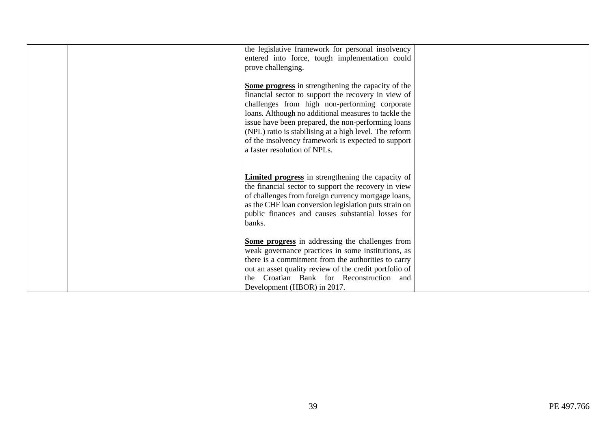| the legislative framework for personal insolvency<br>entered into force, tough implementation could<br>prove challenging.                                                                                                                                                                                                                                                                                                |  |
|--------------------------------------------------------------------------------------------------------------------------------------------------------------------------------------------------------------------------------------------------------------------------------------------------------------------------------------------------------------------------------------------------------------------------|--|
| Some progress in strengthening the capacity of the<br>financial sector to support the recovery in view of<br>challenges from high non-performing corporate<br>loans. Although no additional measures to tackle the<br>issue have been prepared, the non-performing loans<br>(NPL) ratio is stabilising at a high level. The reform<br>of the insolvency framework is expected to support<br>a faster resolution of NPLs. |  |
| <b>Limited progress</b> in strengthening the capacity of<br>the financial sector to support the recovery in view<br>of challenges from foreign currency mortgage loans,<br>as the CHF loan conversion legislation puts strain on<br>public finances and causes substantial losses for<br>banks.                                                                                                                          |  |
| Some progress in addressing the challenges from<br>weak governance practices in some institutions, as<br>there is a commitment from the authorities to carry<br>out an asset quality review of the credit portfolio of<br>the Croatian Bank for Reconstruction and<br>Development (HBOR) in 2017.                                                                                                                        |  |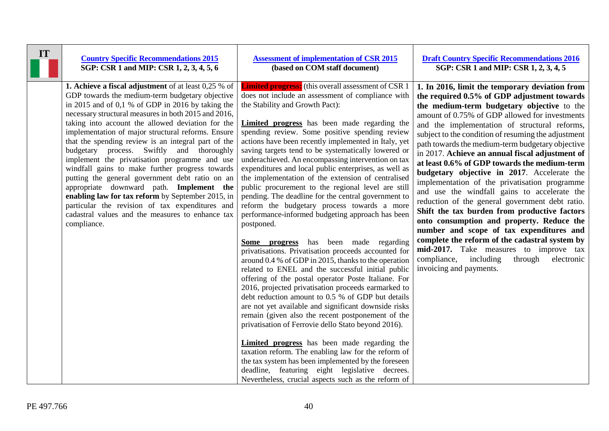| IT | <b>Country Specific Recommendations 2015</b>                                                                                                                                                                                                                                                                                                                                                                                                                                                                                                                                                                                                                                                                                                                                                                             | <b>Assessment of implementation of CSR 2015</b>                                                                                                                                                                                                                                                                                                                                                                                                                                                                                                                                                                                                                                                                                                                                                                                                                                                                                                                                                                                                                                                                                                                                                                                                                                                                                                                                                                                                                                                                                                                                                                      | <b>Draft Country Specific Recommendations 2016</b>                                                                                                                                                                                                                                                                                                                                                                                                                                                                                                                                                                                                                                                                                                                                                                                                                                                                                                                                   |
|----|--------------------------------------------------------------------------------------------------------------------------------------------------------------------------------------------------------------------------------------------------------------------------------------------------------------------------------------------------------------------------------------------------------------------------------------------------------------------------------------------------------------------------------------------------------------------------------------------------------------------------------------------------------------------------------------------------------------------------------------------------------------------------------------------------------------------------|----------------------------------------------------------------------------------------------------------------------------------------------------------------------------------------------------------------------------------------------------------------------------------------------------------------------------------------------------------------------------------------------------------------------------------------------------------------------------------------------------------------------------------------------------------------------------------------------------------------------------------------------------------------------------------------------------------------------------------------------------------------------------------------------------------------------------------------------------------------------------------------------------------------------------------------------------------------------------------------------------------------------------------------------------------------------------------------------------------------------------------------------------------------------------------------------------------------------------------------------------------------------------------------------------------------------------------------------------------------------------------------------------------------------------------------------------------------------------------------------------------------------------------------------------------------------------------------------------------------------|--------------------------------------------------------------------------------------------------------------------------------------------------------------------------------------------------------------------------------------------------------------------------------------------------------------------------------------------------------------------------------------------------------------------------------------------------------------------------------------------------------------------------------------------------------------------------------------------------------------------------------------------------------------------------------------------------------------------------------------------------------------------------------------------------------------------------------------------------------------------------------------------------------------------------------------------------------------------------------------|
|    | SGP: CSR 1 and MIP: CSR 1, 2, 3, 4, 5, 6                                                                                                                                                                                                                                                                                                                                                                                                                                                                                                                                                                                                                                                                                                                                                                                 | (based on COM staff document)                                                                                                                                                                                                                                                                                                                                                                                                                                                                                                                                                                                                                                                                                                                                                                                                                                                                                                                                                                                                                                                                                                                                                                                                                                                                                                                                                                                                                                                                                                                                                                                        | SGP: CSR 1 and MIP: CSR 1, 2, 3, 4, 5                                                                                                                                                                                                                                                                                                                                                                                                                                                                                                                                                                                                                                                                                                                                                                                                                                                                                                                                                |
|    | <b>1. Achieve a fiscal adjustment</b> of at least 0,25 % of<br>GDP towards the medium-term budgetary objective<br>in 2015 and of 0,1 % of GDP in 2016 by taking the<br>necessary structural measures in both 2015 and 2016,<br>taking into account the allowed deviation for the<br>implementation of major structural reforms. Ensure<br>that the spending review is an integral part of the<br>budgetary process. Swiftly and thoroughly<br>implement the privatisation programme and use<br>windfall gains to make further progress towards<br>putting the general government debt ratio on an<br>appropriate downward path. Implement the<br>enabling law for tax reform by September 2015, in<br>particular the revision of tax expenditures and<br>cadastral values and the measures to enhance tax<br>compliance. | <b>Limited progress:</b> (this overall assessment of CSR 1)<br>does not include an assessment of compliance with<br>the Stability and Growth Pact):<br><b>Limited progress</b> has been made regarding the<br>spending review. Some positive spending review<br>actions have been recently implemented in Italy, yet<br>saving targets tend to be systematically lowered or<br>underachieved. An encompassing intervention on tax<br>expenditures and local public enterprises, as well as<br>the implementation of the extension of centralised<br>public procurement to the regional level are still<br>pending. The deadline for the central government to<br>reform the budgetary process towards a more<br>performance-informed budgeting approach has been<br>postponed.<br>has been made regarding<br>Some progress<br>privatisations. Privatisation proceeds accounted for<br>around 0.4 % of GDP in 2015, thanks to the operation<br>related to ENEL and the successful initial public<br>offering of the postal operator Poste Italiane. For<br>2016, projected privatisation proceeds earmarked to<br>debt reduction amount to 0.5 % of GDP but details<br>are not yet available and significant downside risks<br>remain (given also the recent postponement of the<br>privatisation of Ferrovie dello Stato beyond 2016).<br><b>Limited progress</b> has been made regarding the<br>taxation reform. The enabling law for the reform of<br>the tax system has been implemented by the foreseen<br>deadline, featuring eight legislative decrees.<br>Nevertheless, crucial aspects such as the reform of | 1. In 2016, limit the temporary deviation from<br>the required 0.5% of GDP adjustment towards<br>the medium-term budgetary objective to the<br>amount of 0.75% of GDP allowed for investments<br>and the implementation of structural reforms,<br>subject to the condition of resuming the adjustment<br>path towards the medium-term budgetary objective<br>in 2017. Achieve an annual fiscal adjustment of<br>at least 0.6% of GDP towards the medium-term<br>budgetary objective in 2017. Accelerate the<br>implementation of the privatisation programme<br>and use the windfall gains to accelerate the<br>reduction of the general government debt ratio.<br>Shift the tax burden from productive factors<br>onto consumption and property. Reduce the<br>number and scope of tax expenditures and<br>complete the reform of the cadastral system by<br>mid-2017. Take measures to improve tax<br>including<br>through<br>compliance,<br>electronic<br>invoicing and payments. |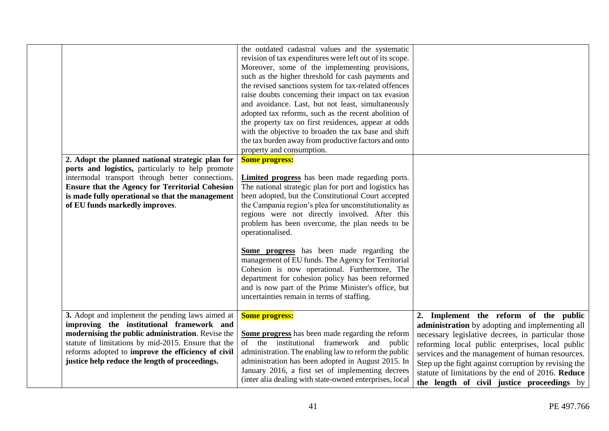| 2. Adopt the planned national strategic plan for<br>ports and logistics, particularly to help promote<br>intermodal transport through better connections.<br><b>Ensure that the Agency for Territorial Cohesion</b><br>is made fully operational so that the management<br>of EU funds markedly improves. | the outdated cadastral values and the systematic<br>revision of tax expenditures were left out of its scope.<br>Moreover, some of the implementing provisions,<br>such as the higher threshold for cash payments and<br>the revised sanctions system for tax-related offences<br>raise doubts concerning their impact on tax evasion<br>and avoidance. Last, but not least, simultaneously<br>adopted tax reforms, such as the recent abolition of<br>the property tax on first residences, appear at odds<br>with the objective to broaden the tax base and shift<br>the tax burden away from productive factors and onto<br>property and consumption.<br><b>Some progress:</b><br><b>Limited progress</b> has been made regarding ports.<br>The national strategic plan for port and logistics has<br>been adopted, but the Constitutional Court accepted<br>the Campania region's plea for unconstitutionality as<br>regions were not directly involved. After this<br>problem has been overcome, the plan needs to be<br>operationalised.<br>Some progress has been made regarding the<br>management of EU funds. The Agency for Territorial<br>Cohesion is now operational. Furthermore, The<br>department for cohesion policy has been reformed<br>and is now part of the Prime Minister's office, but<br>uncertainties remain in terms of staffing. |                                                                                                                                                         |
|-----------------------------------------------------------------------------------------------------------------------------------------------------------------------------------------------------------------------------------------------------------------------------------------------------------|------------------------------------------------------------------------------------------------------------------------------------------------------------------------------------------------------------------------------------------------------------------------------------------------------------------------------------------------------------------------------------------------------------------------------------------------------------------------------------------------------------------------------------------------------------------------------------------------------------------------------------------------------------------------------------------------------------------------------------------------------------------------------------------------------------------------------------------------------------------------------------------------------------------------------------------------------------------------------------------------------------------------------------------------------------------------------------------------------------------------------------------------------------------------------------------------------------------------------------------------------------------------------------------------------------------------------------------------------------|---------------------------------------------------------------------------------------------------------------------------------------------------------|
| 3. Adopt and implement the pending laws aimed at                                                                                                                                                                                                                                                          | <b>Some progress:</b>                                                                                                                                                                                                                                                                                                                                                                                                                                                                                                                                                                                                                                                                                                                                                                                                                                                                                                                                                                                                                                                                                                                                                                                                                                                                                                                                      | 2. Implement the reform of the public                                                                                                                   |
| improving the institutional framework and                                                                                                                                                                                                                                                                 |                                                                                                                                                                                                                                                                                                                                                                                                                                                                                                                                                                                                                                                                                                                                                                                                                                                                                                                                                                                                                                                                                                                                                                                                                                                                                                                                                            | administration by adopting and implementing all                                                                                                         |
| modernising the public administration. Revise the                                                                                                                                                                                                                                                         | Some progress has been made regarding the reform                                                                                                                                                                                                                                                                                                                                                                                                                                                                                                                                                                                                                                                                                                                                                                                                                                                                                                                                                                                                                                                                                                                                                                                                                                                                                                           | necessary legislative decrees, in particular those                                                                                                      |
| statute of limitations by mid-2015. Ensure that the                                                                                                                                                                                                                                                       | of the institutional framework and public                                                                                                                                                                                                                                                                                                                                                                                                                                                                                                                                                                                                                                                                                                                                                                                                                                                                                                                                                                                                                                                                                                                                                                                                                                                                                                                  | reforming local public enterprises, local public                                                                                                        |
| reforms adopted to improve the efficiency of civil<br>justice help reduce the length of proceedings.                                                                                                                                                                                                      | administration. The enabling law to reform the public<br>administration has been adopted in August 2015. In                                                                                                                                                                                                                                                                                                                                                                                                                                                                                                                                                                                                                                                                                                                                                                                                                                                                                                                                                                                                                                                                                                                                                                                                                                                | services and the management of human resources.                                                                                                         |
|                                                                                                                                                                                                                                                                                                           | January 2016, a first set of implementing decrees<br>(inter alia dealing with state-owned enterprises, local                                                                                                                                                                                                                                                                                                                                                                                                                                                                                                                                                                                                                                                                                                                                                                                                                                                                                                                                                                                                                                                                                                                                                                                                                                               | Step up the fight against corruption by revising the<br>statute of limitations by the end of 2016. Reduce<br>the length of civil justice proceedings by |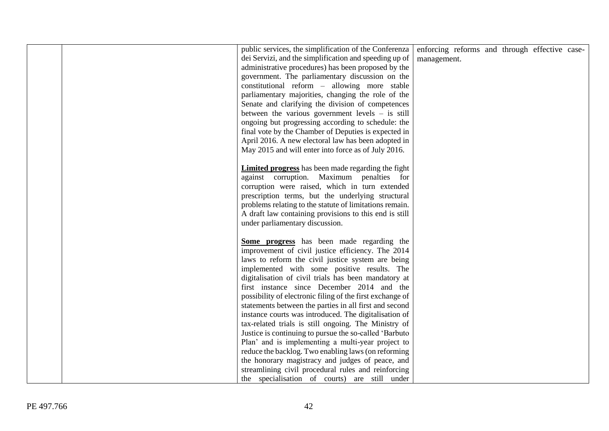| public services, the simplification of the Conferenza<br>dei Servizi, and the simplification and speeding up of<br>administrative procedures) has been proposed by the<br>government. The parliamentary discussion on the<br>constitutional reform - allowing more stable<br>parliamentary majorities, changing the role of the<br>Senate and clarifying the division of competences<br>between the various government levels $-$ is still<br>ongoing but progressing according to schedule: the<br>final vote by the Chamber of Deputies is expected in<br>April 2016. A new electoral law has been adopted in<br>May 2015 and will enter into force as of July 2016. | enforcing reforms and through effective case-<br>management. |  |  |
|------------------------------------------------------------------------------------------------------------------------------------------------------------------------------------------------------------------------------------------------------------------------------------------------------------------------------------------------------------------------------------------------------------------------------------------------------------------------------------------------------------------------------------------------------------------------------------------------------------------------------------------------------------------------|--------------------------------------------------------------|--|--|
| <b>Limited progress</b> has been made regarding the fight<br>against corruption. Maximum penalties for<br>corruption were raised, which in turn extended<br>prescription terms, but the underlying structural<br>problems relating to the statute of limitations remain.<br>A draft law containing provisions to this end is still<br>under parliamentary discussion.                                                                                                                                                                                                                                                                                                  |                                                              |  |  |
| Some progress has been made regarding the<br>improvement of civil justice efficiency. The 2014<br>laws to reform the civil justice system are being<br>implemented with some positive results. The<br>digitalisation of civil trials has been mandatory at<br>first instance since December 2014 and the<br>possibility of electronic filing of the first exchange of<br>statements between the parties in all first and second<br>instance courts was introduced. The digitalisation of                                                                                                                                                                               |                                                              |  |  |
| tax-related trials is still ongoing. The Ministry of<br>Justice is continuing to pursue the so-called 'Barbuto<br>Plan' and is implementing a multi-year project to<br>reduce the backlog. Two enabling laws (on reforming<br>the honorary magistracy and judges of peace, and<br>streamlining civil procedural rules and reinforcing<br>the specialisation of courts) are still under                                                                                                                                                                                                                                                                                 |                                                              |  |  |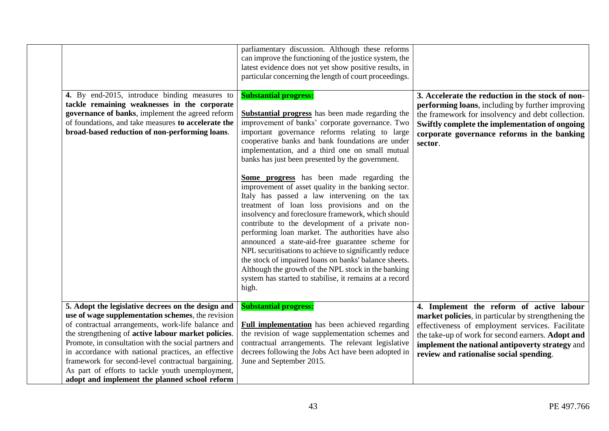|                                                                                                                                                                                                                                                                                                                                                                                                                                                                                                 | parliamentary discussion. Although these reforms<br>can improve the functioning of the justice system, the<br>latest evidence does not yet show positive results, in<br>particular concerning the length of court proceedings.                                                                                                                                                                                                                                                                                                                                                                                                                                                                                                                                                                                                                                                                                                                                                                                              |                                                                                                                                                                                                                                                                                                        |
|-------------------------------------------------------------------------------------------------------------------------------------------------------------------------------------------------------------------------------------------------------------------------------------------------------------------------------------------------------------------------------------------------------------------------------------------------------------------------------------------------|-----------------------------------------------------------------------------------------------------------------------------------------------------------------------------------------------------------------------------------------------------------------------------------------------------------------------------------------------------------------------------------------------------------------------------------------------------------------------------------------------------------------------------------------------------------------------------------------------------------------------------------------------------------------------------------------------------------------------------------------------------------------------------------------------------------------------------------------------------------------------------------------------------------------------------------------------------------------------------------------------------------------------------|--------------------------------------------------------------------------------------------------------------------------------------------------------------------------------------------------------------------------------------------------------------------------------------------------------|
| 4. By end-2015, introduce binding measures to<br>tackle remaining weaknesses in the corporate<br>governance of banks, implement the agreed reform<br>of foundations, and take measures to accelerate the<br>broad-based reduction of non-performing loans.                                                                                                                                                                                                                                      | <b>Substantial progress:</b><br><b>Substantial progress</b> has been made regarding the<br>improvement of banks' corporate governance. Two<br>important governance reforms relating to large<br>cooperative banks and bank foundations are under<br>implementation, and a third one on small mutual<br>banks has just been presented by the government.<br>Some progress has been made regarding the<br>improvement of asset quality in the banking sector.<br>Italy has passed a law intervening on the tax<br>treatment of loan loss provisions and on the<br>insolvency and foreclosure framework, which should<br>contribute to the development of a private non-<br>performing loan market. The authorities have also<br>announced a state-aid-free guarantee scheme for<br>NPL securitisations to achieve to significantly reduce<br>the stock of impaired loans on banks' balance sheets.<br>Although the growth of the NPL stock in the banking<br>system has started to stabilise, it remains at a record<br>high. | 3. Accelerate the reduction in the stock of non-<br>performing loans, including by further improving<br>the framework for insolvency and debt collection.<br>Swiftly complete the implementation of ongoing<br>corporate governance reforms in the banking<br>sector.                                  |
| 5. Adopt the legislative decrees on the design and<br>use of wage supplementation schemes, the revision<br>of contractual arrangements, work-life balance and<br>the strengthening of active labour market policies.<br>Promote, in consultation with the social partners and<br>in accordance with national practices, an effective<br>framework for second-level contractual bargaining.<br>As part of efforts to tackle youth unemployment,<br>adopt and implement the planned school reform | <b>Substantial progress:</b><br><b>Full implementation</b> has been achieved regarding<br>the revision of wage supplementation schemes and<br>contractual arrangements. The relevant legislative<br>decrees following the Jobs Act have been adopted in<br>June and September 2015.                                                                                                                                                                                                                                                                                                                                                                                                                                                                                                                                                                                                                                                                                                                                         | 4. Implement the reform of active labour<br>market policies, in particular by strengthening the<br>effectiveness of employment services. Facilitate<br>the take-up of work for second earners. Adopt and<br>implement the national antipoverty strategy and<br>review and rationalise social spending. |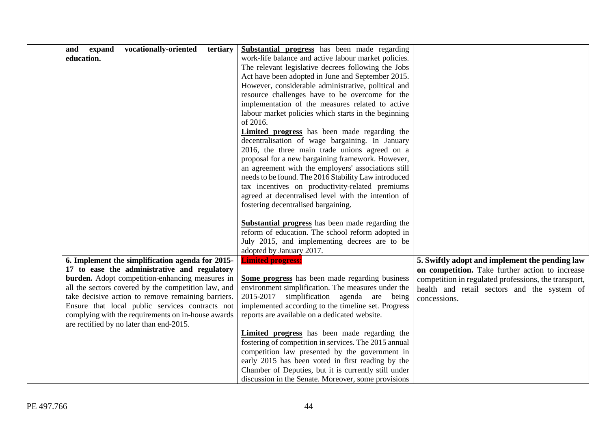| vocationally-oriented<br>and<br>expand<br>tertiary  | Substantial progress has been made regarding            |                                                      |
|-----------------------------------------------------|---------------------------------------------------------|------------------------------------------------------|
| education.                                          | work-life balance and active labour market policies.    |                                                      |
|                                                     | The relevant legislative decrees following the Jobs     |                                                      |
|                                                     | Act have been adopted in June and September 2015.       |                                                      |
|                                                     | However, considerable administrative, political and     |                                                      |
|                                                     | resource challenges have to be overcome for the         |                                                      |
|                                                     | implementation of the measures related to active        |                                                      |
|                                                     | labour market policies which starts in the beginning    |                                                      |
|                                                     | of 2016.                                                |                                                      |
|                                                     | <b>Limited progress</b> has been made regarding the     |                                                      |
|                                                     | decentralisation of wage bargaining. In January         |                                                      |
|                                                     | 2016, the three main trade unions agreed on a           |                                                      |
|                                                     | proposal for a new bargaining framework. However,       |                                                      |
|                                                     | an agreement with the employers' associations still     |                                                      |
|                                                     | needs to be found. The 2016 Stability Law introduced    |                                                      |
|                                                     | tax incentives on productivity-related premiums         |                                                      |
|                                                     | agreed at decentralised level with the intention of     |                                                      |
|                                                     | fostering decentralised bargaining.                     |                                                      |
|                                                     | <b>Substantial progress</b> has been made regarding the |                                                      |
|                                                     | reform of education. The school reform adopted in       |                                                      |
|                                                     | July 2015, and implementing decrees are to be           |                                                      |
|                                                     | adopted by January 2017.                                |                                                      |
| 6. Implement the simplification agenda for 2015-    | <b>Limited progress:</b>                                | 5. Swiftly adopt and implement the pending law       |
| 17 to ease the administrative and regulatory        |                                                         | on competition. Take further action to increase      |
| burden. Adopt competition-enhancing measures in     | Some progress has been made regarding business          | competition in regulated professions, the transport, |
| all the sectors covered by the competition law, and | environment simplification. The measures under the      | health and retail sectors and the system of          |
| take decisive action to remove remaining barriers.  | simplification agenda are being<br>2015-2017            | concessions.                                         |
| Ensure that local public services contracts not     | implemented according to the timeline set. Progress     |                                                      |
| complying with the requirements on in-house awards  | reports are available on a dedicated website.           |                                                      |
| are rectified by no later than end-2015.            |                                                         |                                                      |
|                                                     | <b>Limited progress</b> has been made regarding the     |                                                      |
|                                                     | fostering of competition in services. The 2015 annual   |                                                      |
|                                                     | competition law presented by the government in          |                                                      |
|                                                     | early 2015 has been voted in first reading by the       |                                                      |
|                                                     | Chamber of Deputies, but it is currently still under    |                                                      |
|                                                     | discussion in the Senate. Moreover, some provisions     |                                                      |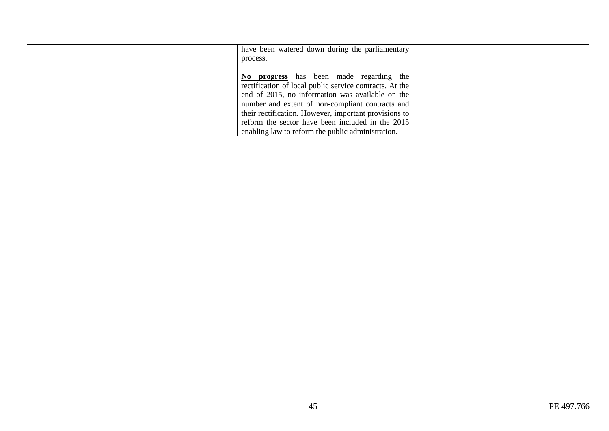| have been watered down during the parliamentary<br>process.                                                                                                                                                                                                         |  |
|---------------------------------------------------------------------------------------------------------------------------------------------------------------------------------------------------------------------------------------------------------------------|--|
| No progress has been made regarding the<br>rectification of local public service contracts. At the<br>end of 2015, no information was available on the<br>number and extent of non-compliant contracts and<br>their rectification. However, important provisions to |  |
| reform the sector have been included in the 2015<br>enabling law to reform the public administration.                                                                                                                                                               |  |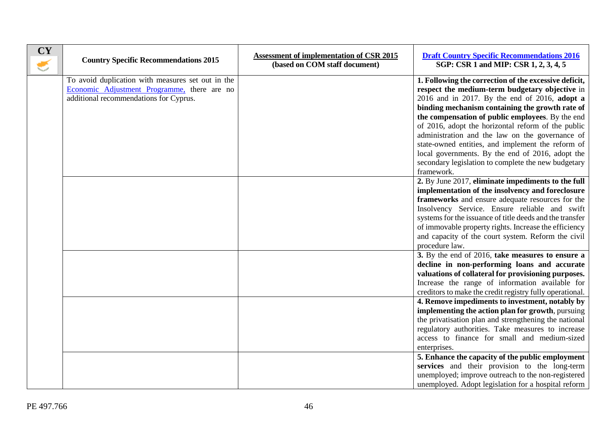| <b>CY</b><br>€ | <b>Country Specific Recommendations 2015</b>                                                                                               | <b>Assessment of implementation of CSR 2015</b><br>(based on COM staff document) | <b>Draft Country Specific Recommendations 2016</b><br>SGP: CSR 1 and MIP: CSR 1, 2, 3, 4, 5                                                                                                                                                                                                                                                                                                                                                                                                                                                              |
|----------------|--------------------------------------------------------------------------------------------------------------------------------------------|----------------------------------------------------------------------------------|----------------------------------------------------------------------------------------------------------------------------------------------------------------------------------------------------------------------------------------------------------------------------------------------------------------------------------------------------------------------------------------------------------------------------------------------------------------------------------------------------------------------------------------------------------|
|                | To avoid duplication with measures set out in the<br>Economic Adjustment Programme, there are no<br>additional recommendations for Cyprus. |                                                                                  | 1. Following the correction of the excessive deficit,<br>respect the medium-term budgetary objective in<br>$2016$ and in 2017. By the end of 2016, adopt a<br>binding mechanism containing the growth rate of<br>the compensation of public employees. By the end<br>of 2016, adopt the horizontal reform of the public<br>administration and the law on the governance of<br>state-owned entities, and implement the reform of<br>local governments. By the end of 2016, adopt the<br>secondary legislation to complete the new budgetary<br>framework. |
|                |                                                                                                                                            |                                                                                  | 2. By June 2017, eliminate impediments to the full<br>implementation of the insolvency and foreclosure<br>frameworks and ensure adequate resources for the<br>Insolvency Service. Ensure reliable and swift<br>systems for the issuance of title deeds and the transfer<br>of immovable property rights. Increase the efficiency<br>and capacity of the court system. Reform the civil<br>procedure law.                                                                                                                                                 |
|                |                                                                                                                                            |                                                                                  | 3. By the end of 2016, take measures to ensure a<br>decline in non-performing loans and accurate<br>valuations of collateral for provisioning purposes.<br>Increase the range of information available for<br>creditors to make the credit registry fully operational.<br>4. Remove impediments to investment, notably by<br>implementing the action plan for growth, pursuing<br>the privatisation plan and strengthening the national<br>regulatory authorities. Take measures to increase                                                             |
|                |                                                                                                                                            |                                                                                  | access to finance for small and medium-sized<br>enterprises.<br>5. Enhance the capacity of the public employment<br>services and their provision to the long-term<br>unemployed; improve outreach to the non-registered<br>unemployed. Adopt legislation for a hospital reform                                                                                                                                                                                                                                                                           |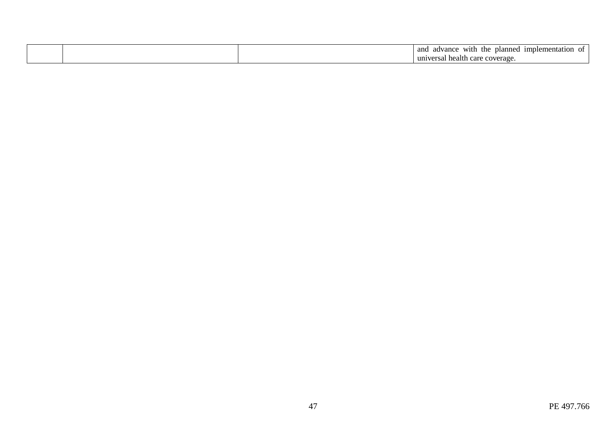|  | and<br>W1th<br>: implemental<br>advance<br>the<br>planne<br>ation.<br>^``<br>,,, |
|--|----------------------------------------------------------------------------------|
|  | universal<br>health<br>coverage<br>$\alpha$<br>$\ddot{\phantom{a}}$              |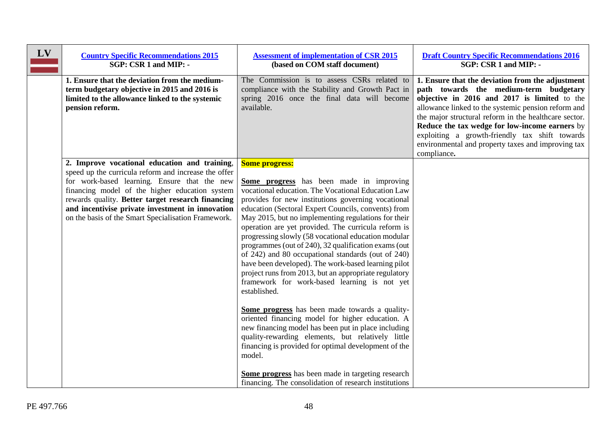| LV | <b>Country Specific Recommendations 2015</b><br>SGP: CSR 1 and MIP: -                                                                                                                                                                                                                                                                                                   | <b>Assessment of implementation of CSR 2015</b><br>(based on COM staff document)                                                                                                                                                                                                                                                                                                                                                                                                                                                                                                                                                                                                                               | <b>Draft Country Specific Recommendations 2016</b><br>SGP: CSR 1 and MIP: -                                                                                                                                                                                                                                                                                                                                                         |
|----|-------------------------------------------------------------------------------------------------------------------------------------------------------------------------------------------------------------------------------------------------------------------------------------------------------------------------------------------------------------------------|----------------------------------------------------------------------------------------------------------------------------------------------------------------------------------------------------------------------------------------------------------------------------------------------------------------------------------------------------------------------------------------------------------------------------------------------------------------------------------------------------------------------------------------------------------------------------------------------------------------------------------------------------------------------------------------------------------------|-------------------------------------------------------------------------------------------------------------------------------------------------------------------------------------------------------------------------------------------------------------------------------------------------------------------------------------------------------------------------------------------------------------------------------------|
|    | 1. Ensure that the deviation from the medium-<br>term budgetary objective in 2015 and 2016 is<br>limited to the allowance linked to the systemic<br>pension reform.                                                                                                                                                                                                     | The Commission is to assess CSRs related to<br>compliance with the Stability and Growth Pact in<br>spring 2016 once the final data will become<br>available.                                                                                                                                                                                                                                                                                                                                                                                                                                                                                                                                                   | 1. Ensure that the deviation from the adjustment<br>path towards the medium-term budgetary<br>objective in 2016 and 2017 is limited to the<br>allowance linked to the systemic pension reform and<br>the major structural reform in the healthcare sector.<br>Reduce the tax wedge for low-income earners by<br>exploiting a growth-friendly tax shift towards<br>environmental and property taxes and improving tax<br>compliance. |
|    | 2. Improve vocational education and training,<br>speed up the curricula reform and increase the offer<br>for work-based learning. Ensure that the new<br>financing model of the higher education system<br>rewards quality. Better target research financing<br>and incentivise private investment in innovation<br>on the basis of the Smart Specialisation Framework. | <b>Some progress:</b><br><b>Some progress</b> has been made in improving<br>vocational education. The Vocational Education Law<br>provides for new institutions governing vocational<br>education (Sectoral Expert Councils, convents) from<br>May 2015, but no implementing regulations for their<br>operation are yet provided. The curricula reform is<br>progressing slowly (58 vocational education modular<br>programmes (out of 240), 32 qualification exams (out<br>of 242) and 80 occupational standards (out of 240)<br>have been developed). The work-based learning pilot<br>project runs from 2013, but an appropriate regulatory<br>framework for work-based learning is not yet<br>established. |                                                                                                                                                                                                                                                                                                                                                                                                                                     |
|    |                                                                                                                                                                                                                                                                                                                                                                         | Some progress has been made towards a quality-<br>oriented financing model for higher education. A<br>new financing model has been put in place including<br>quality-rewarding elements, but relatively little<br>financing is provided for optimal development of the<br>model.<br>Some progress has been made in targeting research<br>financing. The consolidation of research institutions                                                                                                                                                                                                                                                                                                                 |                                                                                                                                                                                                                                                                                                                                                                                                                                     |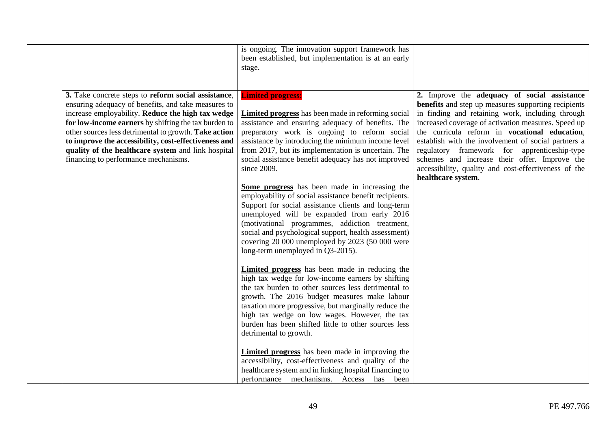|                                                                                                                                                                                                                                                                                                                                                                                                                                        | is ongoing. The innovation support framework has<br>been established, but implementation is at an early<br>stage.                                                                                                                                                                                                                                                                                                                                                                                                                                                                                                                                                                                                                                                                                |                                                                                                                                                                                                                                                                                                                                                                                                                                                                                                       |
|----------------------------------------------------------------------------------------------------------------------------------------------------------------------------------------------------------------------------------------------------------------------------------------------------------------------------------------------------------------------------------------------------------------------------------------|--------------------------------------------------------------------------------------------------------------------------------------------------------------------------------------------------------------------------------------------------------------------------------------------------------------------------------------------------------------------------------------------------------------------------------------------------------------------------------------------------------------------------------------------------------------------------------------------------------------------------------------------------------------------------------------------------------------------------------------------------------------------------------------------------|-------------------------------------------------------------------------------------------------------------------------------------------------------------------------------------------------------------------------------------------------------------------------------------------------------------------------------------------------------------------------------------------------------------------------------------------------------------------------------------------------------|
| 3. Take concrete steps to reform social assistance,<br>ensuring adequacy of benefits, and take measures to<br>increase employability. Reduce the high tax wedge<br>for low-income earners by shifting the tax burden to<br>other sources less detrimental to growth. Take action<br>to improve the accessibility, cost-effectiveness and<br>quality of the healthcare system and link hospital<br>financing to performance mechanisms. | <b>Limited progress:</b><br><b>Limited progress</b> has been made in reforming social<br>assistance and ensuring adequacy of benefits. The<br>preparatory work is ongoing to reform social<br>assistance by introducing the minimum income level<br>from 2017, but its implementation is uncertain. The<br>social assistance benefit adequacy has not improved<br>since 2009.<br>Some progress has been made in increasing the<br>employability of social assistance benefit recipients.<br>Support for social assistance clients and long-term<br>unemployed will be expanded from early 2016<br>(motivational programmes, addiction treatment,<br>social and psychological support, health assessment)<br>covering 20 000 unemployed by 2023 (50 000 were<br>long-term unemployed in Q3-2015). | 2. Improve the adequacy of social assistance<br>benefits and step up measures supporting recipients<br>in finding and retaining work, including through<br>increased coverage of activation measures. Speed up<br>the curricula reform in vocational education,<br>establish with the involvement of social partners a<br>regulatory framework for apprenticeship-type<br>schemes and increase their offer. Improve the<br>accessibility, quality and cost-effectiveness of the<br>healthcare system. |
|                                                                                                                                                                                                                                                                                                                                                                                                                                        | <b>Limited progress</b> has been made in reducing the<br>high tax wedge for low-income earners by shifting<br>the tax burden to other sources less detrimental to<br>growth. The 2016 budget measures make labour<br>taxation more progressive, but marginally reduce the<br>high tax wedge on low wages. However, the tax<br>burden has been shifted little to other sources less<br>detrimental to growth.<br><b>Limited progress</b> has been made in improving the<br>accessibility, cost-effectiveness and quality of the<br>healthcare system and in linking hospital financing to<br>performance mechanisms. Access has been                                                                                                                                                              |                                                                                                                                                                                                                                                                                                                                                                                                                                                                                                       |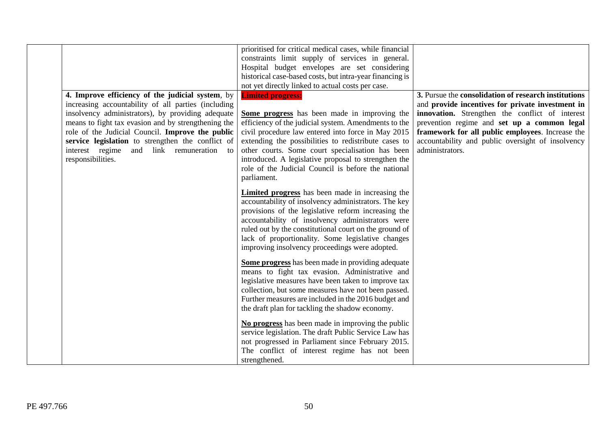|                                                                                                                                                                                                                                                                                                                                                                                               | prioritised for critical medical cases, while financial<br>constraints limit supply of services in general.<br>Hospital budget envelopes are set considering<br>historical case-based costs, but intra-year financing is<br>not yet directly linked to actual costs per case.                                                                                                                                                    |                                                                                                                                                                                                                                                                                                                                        |
|-----------------------------------------------------------------------------------------------------------------------------------------------------------------------------------------------------------------------------------------------------------------------------------------------------------------------------------------------------------------------------------------------|----------------------------------------------------------------------------------------------------------------------------------------------------------------------------------------------------------------------------------------------------------------------------------------------------------------------------------------------------------------------------------------------------------------------------------|----------------------------------------------------------------------------------------------------------------------------------------------------------------------------------------------------------------------------------------------------------------------------------------------------------------------------------------|
| 4. Improve efficiency of the judicial system, by<br>increasing accountability of all parties (including<br>insolvency administrators), by providing adequate<br>means to fight tax evasion and by strengthening the<br>role of the Judicial Council. Improve the public<br>service legislation to strengthen the conflict of<br>interest regime and link remuneration to<br>responsibilities. | <b>Limited progress:</b><br>Some progress has been made in improving the<br>efficiency of the judicial system. Amendments to the<br>civil procedure law entered into force in May 2015<br>extending the possibilities to redistribute cases to<br>other courts. Some court specialisation has been<br>introduced. A legislative proposal to strengthen the<br>role of the Judicial Council is before the national<br>parliament. | 3. Pursue the consolidation of research institutions<br>and provide incentives for private investment in<br>innovation. Strengthen the conflict of interest<br>prevention regime and set up a common legal<br>framework for all public employees. Increase the<br>accountability and public oversight of insolvency<br>administrators. |
|                                                                                                                                                                                                                                                                                                                                                                                               | Limited progress has been made in increasing the<br>accountability of insolvency administrators. The key<br>provisions of the legislative reform increasing the<br>accountability of insolvency administrators were<br>ruled out by the constitutional court on the ground of<br>lack of proportionality. Some legislative changes<br>improving insolvency proceedings were adopted.                                             |                                                                                                                                                                                                                                                                                                                                        |
|                                                                                                                                                                                                                                                                                                                                                                                               | <b>Some progress</b> has been made in providing adequate<br>means to fight tax evasion. Administrative and<br>legislative measures have been taken to improve tax<br>collection, but some measures have not been passed.<br>Further measures are included in the 2016 budget and<br>the draft plan for tackling the shadow economy.                                                                                              |                                                                                                                                                                                                                                                                                                                                        |
|                                                                                                                                                                                                                                                                                                                                                                                               | No progress has been made in improving the public<br>service legislation. The draft Public Service Law has<br>not progressed in Parliament since February 2015.<br>The conflict of interest regime has not been<br>strengthened.                                                                                                                                                                                                 |                                                                                                                                                                                                                                                                                                                                        |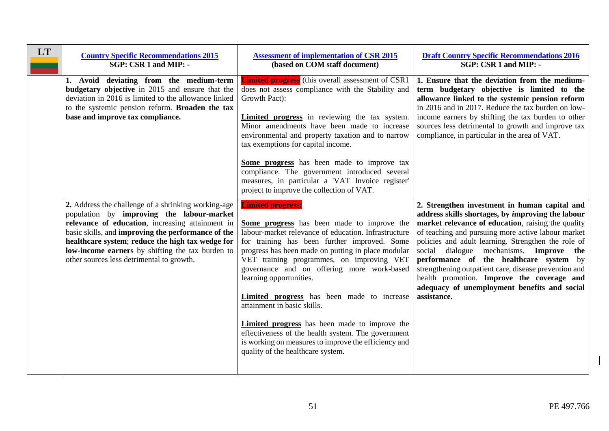| <b>LT</b> | <b>Country Specific Recommendations 2015</b><br>SGP: CSR 1 and MIP: -                                                                                                                                                                                                                                                                                           | <b>Assessment of implementation of CSR 2015</b><br>(based on COM staff document)                                                                                                                                                                                                                                                                                                                                                                                                                                                                                                                                                                                 | <b>Draft Country Specific Recommendations 2016</b><br>SGP: CSR 1 and MIP: -                                                                                                                                                                                                                                                                                                                                                                                                                                                       |
|-----------|-----------------------------------------------------------------------------------------------------------------------------------------------------------------------------------------------------------------------------------------------------------------------------------------------------------------------------------------------------------------|------------------------------------------------------------------------------------------------------------------------------------------------------------------------------------------------------------------------------------------------------------------------------------------------------------------------------------------------------------------------------------------------------------------------------------------------------------------------------------------------------------------------------------------------------------------------------------------------------------------------------------------------------------------|-----------------------------------------------------------------------------------------------------------------------------------------------------------------------------------------------------------------------------------------------------------------------------------------------------------------------------------------------------------------------------------------------------------------------------------------------------------------------------------------------------------------------------------|
|           | 1. Avoid deviating from the medium-term<br>budgetary objective in 2015 and ensure that the<br>deviation in 2016 is limited to the allowance linked<br>to the systemic pension reform. Broaden the tax<br>base and improve tax compliance.                                                                                                                       | <b>Limited progress</b> (this overall assessment of CSR1<br>does not assess compliance with the Stability and<br>Growth Pact):<br><b>Limited progress</b> in reviewing the tax system.<br>Minor amendments have been made to increase<br>environmental and property taxation and to narrow<br>tax exemptions for capital income.<br>Some progress has been made to improve tax<br>compliance. The government introduced several<br>measures, in particular a 'VAT Invoice register'<br>project to improve the collection of VAT.                                                                                                                                 | 1. Ensure that the deviation from the medium-<br>term budgetary objective is limited to the<br>allowance linked to the systemic pension reform<br>in 2016 and in 2017. Reduce the tax burden on low-<br>income earners by shifting the tax burden to other<br>sources less detrimental to growth and improve tax<br>compliance, in particular in the area of VAT.                                                                                                                                                                 |
|           | 2. Address the challenge of a shrinking working-age<br>population by improving the labour-market<br>relevance of education, increasing attainment in<br>basic skills, and improving the performance of the<br>healthcare system; reduce the high tax wedge for<br>low-income earners by shifting the tax burden to<br>other sources less detrimental to growth. | <b>Limited progress:</b><br><b>Some progress</b> has been made to improve the<br>labour-market relevance of education. Infrastructure<br>for training has been further improved. Some<br>progress has been made on putting in place modular<br>VET training programmes, on improving VET<br>governance and on offering more work-based<br>learning opportunities.<br><b>Limited progress</b> has been made to increase<br>attainment in basic skills.<br><b>Limited progress</b> has been made to improve the<br>effectiveness of the health system. The government<br>is working on measures to improve the efficiency and<br>quality of the healthcare system. | 2. Strengthen investment in human capital and<br>address skills shortages, by improving the labour<br>market relevance of education, raising the quality<br>of teaching and pursuing more active labour market<br>policies and adult learning. Strengthen the role of<br>social dialogue mechanisms. Improve the<br>performance of the healthcare system by<br>strengthening outpatient care, disease prevention and<br>health promotion. Improve the coverage and<br>adequacy of unemployment benefits and social<br>assistance. |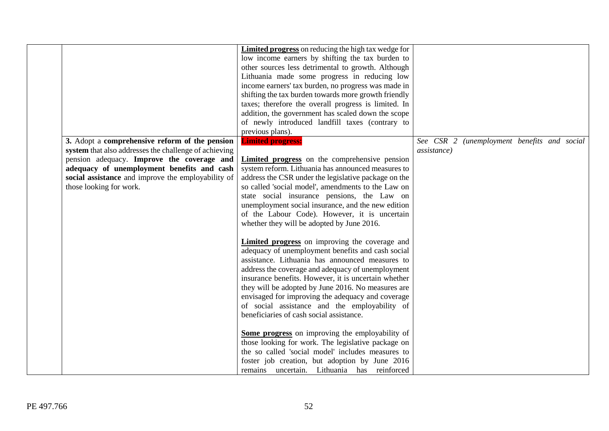|                                                                                                                                                                                                                                                                                      | Limited progress on reducing the high tax wedge for<br>low income earners by shifting the tax burden to<br>other sources less detrimental to growth. Although<br>Lithuania made some progress in reducing low<br>income earners' tax burden, no progress was made in<br>shifting the tax burden towards more growth friendly<br>taxes; therefore the overall progress is limited. In<br>addition, the government has scaled down the scope<br>of newly introduced landfill taxes (contrary to<br>previous plans).                                                                                                                                                              |                                                                    |
|--------------------------------------------------------------------------------------------------------------------------------------------------------------------------------------------------------------------------------------------------------------------------------------|--------------------------------------------------------------------------------------------------------------------------------------------------------------------------------------------------------------------------------------------------------------------------------------------------------------------------------------------------------------------------------------------------------------------------------------------------------------------------------------------------------------------------------------------------------------------------------------------------------------------------------------------------------------------------------|--------------------------------------------------------------------|
| 3. Adopt a comprehensive reform of the pension<br>system that also addresses the challenge of achieving<br>pension adequacy. Improve the coverage and<br>adequacy of unemployment benefits and cash<br>social assistance and improve the employability of<br>those looking for work. | <b>Limited progress:</b><br><b>Limited progress</b> on the comprehensive pension<br>system reform. Lithuania has announced measures to<br>address the CSR under the legislative package on the<br>so called 'social model', amendments to the Law on<br>state social insurance pensions, the Law on<br>unemployment social insurance, and the new edition<br>of the Labour Code). However, it is uncertain<br>whether they will be adopted by June 2016.<br><b>Limited progress</b> on improving the coverage and<br>adequacy of unemployment benefits and cash social<br>assistance. Lithuania has announced measures to<br>address the coverage and adequacy of unemployment | See CSR 2 (unemployment benefits and social<br><i>assistance</i> ) |
|                                                                                                                                                                                                                                                                                      | insurance benefits. However, it is uncertain whether<br>they will be adopted by June 2016. No measures are<br>envisaged for improving the adequacy and coverage<br>of social assistance and the employability of<br>beneficiaries of cash social assistance.<br>Some progress on improving the employability of<br>those looking for work. The legislative package on<br>the so called 'social model' includes measures to<br>foster job creation, but adoption by June 2016<br>remains uncertain. Lithuania has reinforced                                                                                                                                                    |                                                                    |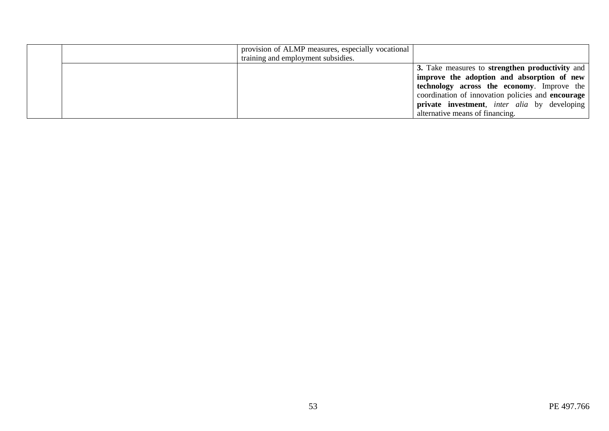|  | provision of ALMP measures, especially vocational<br>training and employment subsidies. |                                                             |
|--|-----------------------------------------------------------------------------------------|-------------------------------------------------------------|
|  |                                                                                         | 3. Take measures to strengthen productivity and             |
|  |                                                                                         | improve the adoption and absorption of new                  |
|  |                                                                                         | technology across the economy. Improve the                  |
|  |                                                                                         | coordination of innovation policies and encourage           |
|  |                                                                                         | <b>private investment</b> , <i>inter alia</i> by developing |
|  |                                                                                         | alternative means of financing.                             |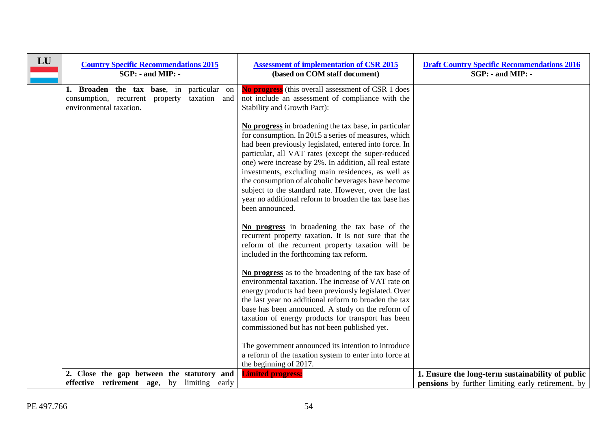| LU | <b>Country Specific Recommendations 2015</b><br>$SGP: -$ and MIP: -                                                           | <b>Assessment of implementation of CSR 2015</b><br>(based on COM staff document)                                                                                                                                                                                                                                                                                                                                                                                                                                                         | <b>Draft Country Specific Recommendations 2016</b><br>$SGP: -$ and MIP: -                                    |
|----|-------------------------------------------------------------------------------------------------------------------------------|------------------------------------------------------------------------------------------------------------------------------------------------------------------------------------------------------------------------------------------------------------------------------------------------------------------------------------------------------------------------------------------------------------------------------------------------------------------------------------------------------------------------------------------|--------------------------------------------------------------------------------------------------------------|
|    | 1. Broaden the tax base, in<br>particular on<br>consumption, recurrent<br>taxation and<br>property<br>environmental taxation. | <b>No progress</b> (this overall assessment of CSR 1 does<br>not include an assessment of compliance with the<br>Stability and Growth Pact):                                                                                                                                                                                                                                                                                                                                                                                             |                                                                                                              |
|    |                                                                                                                               | No progress in broadening the tax base, in particular<br>for consumption. In 2015 a series of measures, which<br>had been previously legislated, entered into force. In<br>particular, all VAT rates (except the super-reduced<br>one) were increase by 2%. In addition, all real estate<br>investments, excluding main residences, as well as<br>the consumption of alcoholic beverages have become<br>subject to the standard rate. However, over the last<br>year no additional reform to broaden the tax base has<br>been announced. |                                                                                                              |
|    |                                                                                                                               | No progress in broadening the tax base of the<br>recurrent property taxation. It is not sure that the<br>reform of the recurrent property taxation will be<br>included in the forthcoming tax reform.                                                                                                                                                                                                                                                                                                                                    |                                                                                                              |
|    |                                                                                                                               | No progress as to the broadening of the tax base of<br>environmental taxation. The increase of VAT rate on<br>energy products had been previously legislated. Over<br>the last year no additional reform to broaden the tax<br>base has been announced. A study on the reform of<br>taxation of energy products for transport has been<br>commissioned but has not been published yet.                                                                                                                                                   |                                                                                                              |
|    |                                                                                                                               | The government announced its intention to introduce<br>a reform of the taxation system to enter into force at<br>the beginning of 2017.                                                                                                                                                                                                                                                                                                                                                                                                  |                                                                                                              |
|    | 2. Close the gap between the statutory and<br>effective retirement age, by limiting early                                     | <b>Limited progress:</b>                                                                                                                                                                                                                                                                                                                                                                                                                                                                                                                 | 1. Ensure the long-term sustainability of public<br><b>pensions</b> by further limiting early retirement, by |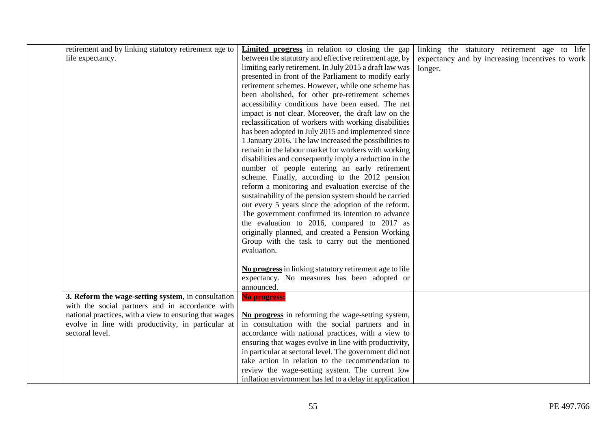| life expectancy. | retirement and by linking statutory retirement age to                                                                                                                                                                 | <b>Limited progress</b> in relation to closing the gap<br>between the statutory and effective retirement age, by<br>limiting early retirement. In July 2015 a draft law was<br>presented in front of the Parliament to modify early<br>retirement schemes. However, while one scheme has<br>been abolished, for other pre-retirement schemes<br>accessibility conditions have been eased. The net<br>impact is not clear. Moreover, the draft law on the<br>reclassification of workers with working disabilities<br>has been adopted in July 2015 and implemented since                                                                                                     | linking the statutory retirement age to life<br>expectancy and by increasing incentives to work<br>longer. |
|------------------|-----------------------------------------------------------------------------------------------------------------------------------------------------------------------------------------------------------------------|------------------------------------------------------------------------------------------------------------------------------------------------------------------------------------------------------------------------------------------------------------------------------------------------------------------------------------------------------------------------------------------------------------------------------------------------------------------------------------------------------------------------------------------------------------------------------------------------------------------------------------------------------------------------------|------------------------------------------------------------------------------------------------------------|
|                  |                                                                                                                                                                                                                       | 1 January 2016. The law increased the possibilities to<br>remain in the labour market for workers with working<br>disabilities and consequently imply a reduction in the<br>number of people entering an early retirement<br>scheme. Finally, according to the 2012 pension<br>reform a monitoring and evaluation exercise of the<br>sustainability of the pension system should be carried<br>out every 5 years since the adoption of the reform.<br>The government confirmed its intention to advance<br>the evaluation to 2016, compared to 2017 as<br>originally planned, and created a Pension Working<br>Group with the task to carry out the mentioned<br>evaluation. |                                                                                                            |
|                  |                                                                                                                                                                                                                       | No progress in linking statutory retirement age to life<br>expectancy. No measures has been adopted or<br>announced.                                                                                                                                                                                                                                                                                                                                                                                                                                                                                                                                                         |                                                                                                            |
| sectoral level.  | 3. Reform the wage-setting system, in consultation<br>with the social partners and in accordance with<br>national practices, with a view to ensuring that wages<br>evolve in line with productivity, in particular at | No progress:<br>No progress in reforming the wage-setting system,<br>in consultation with the social partners and in<br>accordance with national practices, with a view to<br>ensuring that wages evolve in line with productivity,<br>in particular at sectoral level. The government did not<br>take action in relation to the recommendation to<br>review the wage-setting system. The current low<br>inflation environment has led to a delay in application                                                                                                                                                                                                             |                                                                                                            |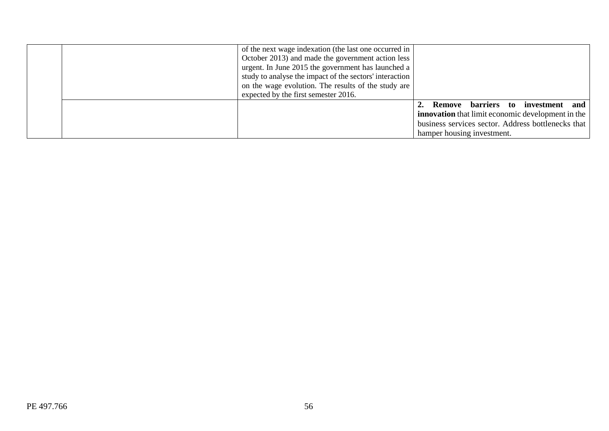| of the next wage indexation (the last one occurred in<br>October 2013) and made the government action less<br>urgent. In June 2015 the government has launched a<br>study to analyse the impact of the sectors' interaction<br>on the wage evolution. The results of the study are<br>expected by the first semester 2016. |                                                                                                                                                                                   |
|----------------------------------------------------------------------------------------------------------------------------------------------------------------------------------------------------------------------------------------------------------------------------------------------------------------------------|-----------------------------------------------------------------------------------------------------------------------------------------------------------------------------------|
|                                                                                                                                                                                                                                                                                                                            | Remove barriers to investment and<br><b>innovation</b> that limit economic development in the<br>business services sector. Address bottlenecks that<br>hamper housing investment. |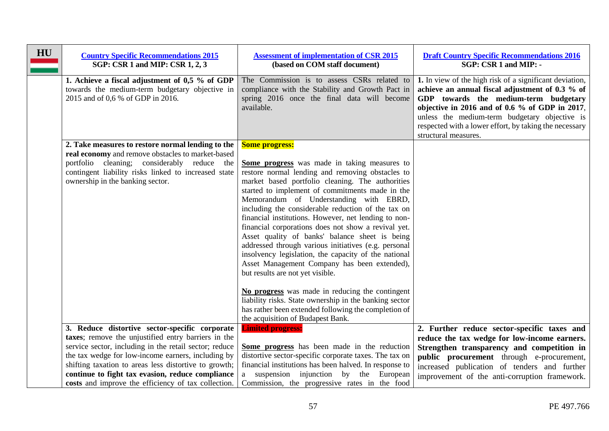| HU | <b>Country Specific Recommendations 2015</b><br>SGP: CSR 1 and MIP: CSR 1, 2, 3                                                                                                                                                                                                                                                                                                           | <b>Assessment of implementation of CSR 2015</b><br>(based on COM staff document)                                                                                                                                                                                                                                                                                                                                                                                                                                                                                                                                                                                                                                                                                                                                                                                                                                | <b>Draft Country Specific Recommendations 2016</b><br>SGP: CSR 1 and MIP: -                                                                                                                                                                                                                                                                 |
|----|-------------------------------------------------------------------------------------------------------------------------------------------------------------------------------------------------------------------------------------------------------------------------------------------------------------------------------------------------------------------------------------------|-----------------------------------------------------------------------------------------------------------------------------------------------------------------------------------------------------------------------------------------------------------------------------------------------------------------------------------------------------------------------------------------------------------------------------------------------------------------------------------------------------------------------------------------------------------------------------------------------------------------------------------------------------------------------------------------------------------------------------------------------------------------------------------------------------------------------------------------------------------------------------------------------------------------|---------------------------------------------------------------------------------------------------------------------------------------------------------------------------------------------------------------------------------------------------------------------------------------------------------------------------------------------|
|    | 1. Achieve a fiscal adjustment of 0,5 % of GDP<br>towards the medium-term budgetary objective in<br>2015 and of 0,6 % of GDP in 2016.                                                                                                                                                                                                                                                     | The Commission is to assess CSRs related to<br>compliance with the Stability and Growth Pact in<br>spring 2016 once the final data will become<br>available.                                                                                                                                                                                                                                                                                                                                                                                                                                                                                                                                                                                                                                                                                                                                                    | 1. In view of the high risk of a significant deviation,<br>achieve an annual fiscal adjustment of 0.3 % of<br>GDP towards the medium-term budgetary<br>objective in 2016 and of 0.6 $\%$ of GDP in 2017,<br>unless the medium-term budgetary objective is<br>respected with a lower effort, by taking the necessary<br>structural measures. |
|    | 2. Take measures to restore normal lending to the<br>real economy and remove obstacles to market-based<br>portfolio cleaning; considerably reduce the<br>contingent liability risks linked to increased state<br>ownership in the banking sector.                                                                                                                                         | <b>Some progress:</b><br>Some progress was made in taking measures to<br>restore normal lending and removing obstacles to<br>market based portfolio cleaning. The authorities<br>started to implement of commitments made in the<br>Memorandum of Understanding with EBRD,<br>including the considerable reduction of the tax on<br>financial institutions. However, net lending to non-<br>financial corporations does not show a revival yet.<br>Asset quality of banks' balance sheet is being<br>addressed through various initiatives (e.g. personal<br>insolvency legislation, the capacity of the national<br>Asset Management Company has been extended),<br>but results are not yet visible.<br>No progress was made in reducing the contingent<br>liability risks. State ownership in the banking sector<br>has rather been extended following the completion of<br>the acquisition of Budapest Bank. |                                                                                                                                                                                                                                                                                                                                             |
|    | 3. Reduce distortive sector-specific corporate<br>taxes; remove the unjustified entry barriers in the<br>service sector, including in the retail sector; reduce<br>the tax wedge for low-income earners, including by<br>shifting taxation to areas less distortive to growth;<br>continue to fight tax evasion, reduce compliance<br>costs and improve the efficiency of tax collection. | <b>Limited progress:</b><br>Some progress has been made in the reduction<br>distortive sector-specific corporate taxes. The tax on<br>financial institutions has been halved. In response to<br>a suspension injunction by the European<br>Commission, the progressive rates in the food                                                                                                                                                                                                                                                                                                                                                                                                                                                                                                                                                                                                                        | 2. Further reduce sector-specific taxes and<br>reduce the tax wedge for low-income earners.<br>Strengthen transparency and competition in<br>public procurement through e-procurement,<br>increased publication of tenders and further<br>improvement of the anti-corruption framework.                                                     |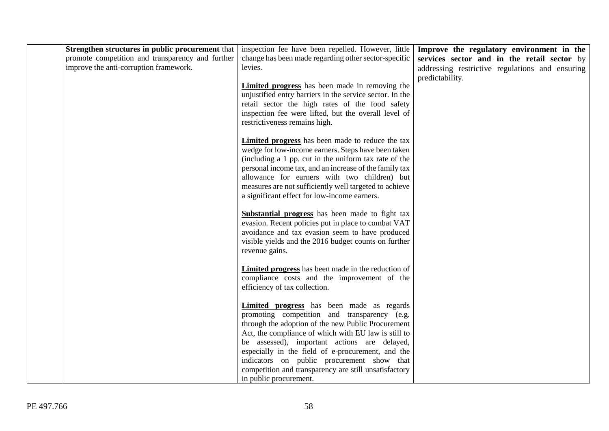| Strengthen structures in public procurement that<br>promote competition and transparency and further<br>improve the anti-corruption framework. | inspection fee have been repelled. However, little<br>change has been made regarding other sector-specific<br>levies.                                                                                                                                                                                                                                                                       | Improve the regulatory environment in the<br>services sector and in the retail sector by<br>addressing restrictive regulations and ensuring |
|------------------------------------------------------------------------------------------------------------------------------------------------|---------------------------------------------------------------------------------------------------------------------------------------------------------------------------------------------------------------------------------------------------------------------------------------------------------------------------------------------------------------------------------------------|---------------------------------------------------------------------------------------------------------------------------------------------|
|                                                                                                                                                | <b>Limited progress</b> has been made in removing the<br>unjustified entry barriers in the service sector. In the<br>retail sector the high rates of the food safety<br>inspection fee were lifted, but the overall level of<br>restrictiveness remains high.                                                                                                                               | predictability.                                                                                                                             |
|                                                                                                                                                | <b>Limited progress</b> has been made to reduce the tax<br>wedge for low-income earners. Steps have been taken<br>(including a 1 pp. cut in the uniform tax rate of the<br>personal income tax, and an increase of the family tax<br>allowance for earners with two children) but<br>measures are not sufficiently well targeted to achieve<br>a significant effect for low-income earners. |                                                                                                                                             |
|                                                                                                                                                | <b>Substantial progress</b> has been made to fight tax<br>evasion. Recent policies put in place to combat VAT<br>avoidance and tax evasion seem to have produced<br>visible yields and the 2016 budget counts on further<br>revenue gains.                                                                                                                                                  |                                                                                                                                             |
|                                                                                                                                                | Limited progress has been made in the reduction of<br>compliance costs and the improvement of the<br>efficiency of tax collection.                                                                                                                                                                                                                                                          |                                                                                                                                             |
|                                                                                                                                                | <b>Limited progress</b> has been made as regards<br>promoting competition and transparency (e.g.<br>through the adoption of the new Public Procurement<br>Act, the compliance of which with EU law is still to<br>be assessed), important actions are delayed,<br>especially in the field of e-procurement, and the<br>indicators on public procurement show that                           |                                                                                                                                             |
|                                                                                                                                                | competition and transparency are still unsatisfactory<br>in public procurement.                                                                                                                                                                                                                                                                                                             |                                                                                                                                             |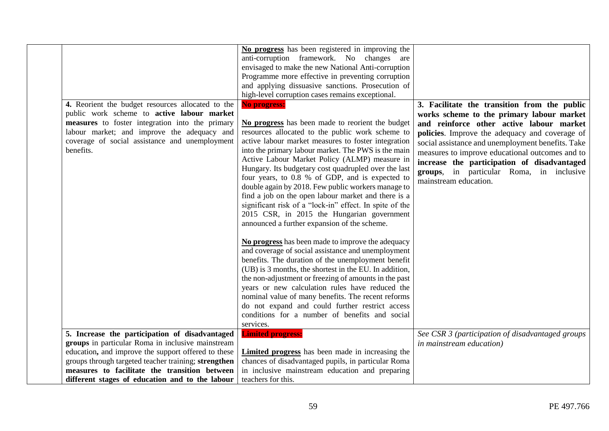|                                                                                                     | No progress has been registered in improving the            |                                                   |
|-----------------------------------------------------------------------------------------------------|-------------------------------------------------------------|---------------------------------------------------|
|                                                                                                     | anti-corruption framework. No changes are                   |                                                   |
|                                                                                                     | envisaged to make the new National Anti-corruption          |                                                   |
|                                                                                                     | Programme more effective in preventing corruption           |                                                   |
|                                                                                                     | and applying dissuasive sanctions. Prosecution of           |                                                   |
|                                                                                                     | high-level corruption cases remains exceptional.            |                                                   |
| 4. Reorient the budget resources allocated to the                                                   | No progress:                                                | 3. Facilitate the transition from the public      |
| public work scheme to active labour market                                                          |                                                             | works scheme to the primary labour market         |
| measures to foster integration into the primary                                                     | No progress has been made to reorient the budget            | and reinforce other active labour market          |
| labour market; and improve the adequacy and                                                         | resources allocated to the public work scheme to            | policies. Improve the adequacy and coverage of    |
| coverage of social assistance and unemployment                                                      | active labour market measures to foster integration         | social assistance and unemployment benefits. Take |
| benefits.                                                                                           | into the primary labour market. The PWS is the main         | measures to improve educational outcomes and to   |
|                                                                                                     | Active Labour Market Policy (ALMP) measure in               | increase the participation of disadvantaged       |
|                                                                                                     | Hungary. Its budgetary cost quadrupled over the last        | groups, in particular Roma, in inclusive          |
|                                                                                                     | four years, to 0.8 % of GDP, and is expected to             | mainstream education.                             |
|                                                                                                     | double again by 2018. Few public workers manage to          |                                                   |
|                                                                                                     | find a job on the open labour market and there is a         |                                                   |
|                                                                                                     | significant risk of a "lock-in" effect. In spite of the     |                                                   |
|                                                                                                     | 2015 CSR, in 2015 the Hungarian government                  |                                                   |
|                                                                                                     | announced a further expansion of the scheme.                |                                                   |
|                                                                                                     |                                                             |                                                   |
|                                                                                                     | No progress has been made to improve the adequacy           |                                                   |
|                                                                                                     | and coverage of social assistance and unemployment          |                                                   |
|                                                                                                     | benefits. The duration of the unemployment benefit          |                                                   |
|                                                                                                     | (UB) is 3 months, the shortest in the EU. In addition,      |                                                   |
|                                                                                                     | the non-adjustment or freezing of amounts in the past       |                                                   |
|                                                                                                     | years or new calculation rules have reduced the             |                                                   |
|                                                                                                     | nominal value of many benefits. The recent reforms          |                                                   |
|                                                                                                     | do not expand and could further restrict access             |                                                   |
|                                                                                                     | conditions for a number of benefits and social<br>services. |                                                   |
|                                                                                                     |                                                             |                                                   |
| 5. Increase the participation of disadvantaged<br>groups in particular Roma in inclusive mainstream | <b>Limited progress:</b>                                    | See CSR 3 (participation of disadvantaged groups  |
| education, and improve the support offered to these                                                 | Limited progress has been made in increasing the            | in mainstream education)                          |
| groups through targeted teacher training; strengthen                                                | chances of disadvantaged pupils, in particular Roma         |                                                   |
| measures to facilitate the transition between                                                       | in inclusive mainstream education and preparing             |                                                   |
|                                                                                                     | teachers for this.                                          |                                                   |
| different stages of education and to the labour                                                     |                                                             |                                                   |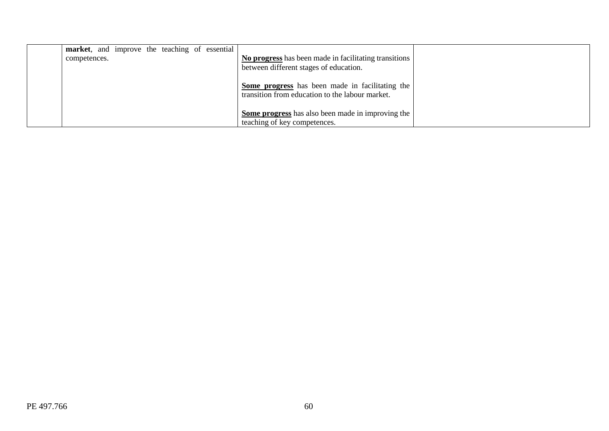| market, and improve the teaching of essential |                                                                                                           |  |
|-----------------------------------------------|-----------------------------------------------------------------------------------------------------------|--|
| competences.                                  | No progress has been made in facilitating transitions<br>between different stages of education.           |  |
|                                               | <b>Some progress</b> has been made in facilitating the<br>transition from education to the labour market. |  |
|                                               | Some progress has also been made in improving the<br>teaching of key competences.                         |  |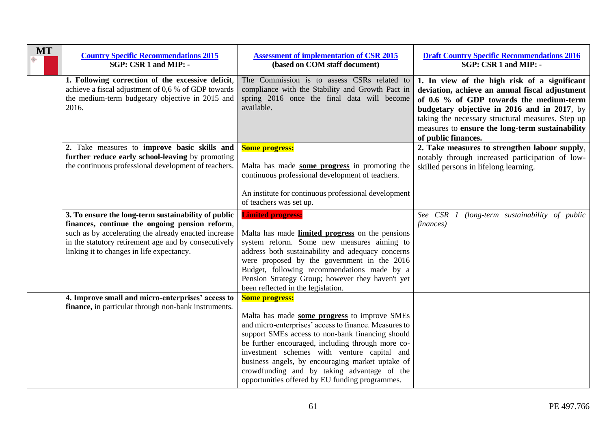| <b>MT</b> | <b>Country Specific Recommendations 2015</b><br>SGP: CSR 1 and MIP: -                                                                                                                                                                                              | <b>Assessment of implementation of CSR 2015</b><br>(based on COM staff document)                                                                                                                                                                                                                                                                                                                                                             | <b>Draft Country Specific Recommendations 2016</b><br>SGP: CSR 1 and MIP: -                                                                                                                                                                                                                                             |
|-----------|--------------------------------------------------------------------------------------------------------------------------------------------------------------------------------------------------------------------------------------------------------------------|----------------------------------------------------------------------------------------------------------------------------------------------------------------------------------------------------------------------------------------------------------------------------------------------------------------------------------------------------------------------------------------------------------------------------------------------|-------------------------------------------------------------------------------------------------------------------------------------------------------------------------------------------------------------------------------------------------------------------------------------------------------------------------|
|           | 1. Following correction of the excessive deficit,<br>achieve a fiscal adjustment of 0,6 % of GDP towards<br>the medium-term budgetary objective in 2015 and<br>2016.                                                                                               | The Commission is to assess CSRs related to<br>compliance with the Stability and Growth Pact in<br>spring 2016 once the final data will become<br>available.                                                                                                                                                                                                                                                                                 | 1. In view of the high risk of a significant<br>deviation, achieve an annual fiscal adjustment<br>of 0.6 % of GDP towards the medium-term<br>budgetary objective in 2016 and in 2017, by<br>taking the necessary structural measures. Step up<br>measures to ensure the long-term sustainability<br>of public finances. |
|           | 2. Take measures to improve basic skills and<br>further reduce early school-leaving by promoting<br>the continuous professional development of teachers.                                                                                                           | <b>Some progress:</b><br>Malta has made some progress in promoting the<br>continuous professional development of teachers.<br>An institute for continuous professional development<br>of teachers was set up.                                                                                                                                                                                                                                | 2. Take measures to strengthen labour supply,<br>notably through increased participation of low-<br>skilled persons in lifelong learning.                                                                                                                                                                               |
|           | 3. To ensure the long-term sustainability of public<br>finances, continue the ongoing pension reform,<br>such as by accelerating the already enacted increase<br>in the statutory retirement age and by consecutively<br>linking it to changes in life expectancy. | <b>Limited progress:</b><br>Malta has made <b>limited progress</b> on the pensions<br>system reform. Some new measures aiming to<br>address both sustainability and adequacy concerns<br>were proposed by the government in the 2016<br>Budget, following recommendations made by a<br>Pension Strategy Group; however they haven't yet<br>been reflected in the legislation.                                                                | See CSR 1<br>(long-term sustainability of public<br>finances)                                                                                                                                                                                                                                                           |
|           | 4. Improve small and micro-enterprises' access to<br>finance, in particular through non-bank instruments.                                                                                                                                                          | <b>Some progress:</b><br>Malta has made some progress to improve SMEs<br>and micro-enterprises' access to finance. Measures to<br>support SMEs access to non-bank financing should<br>be further encouraged, including through more co-<br>investment schemes with venture capital and<br>business angels, by encouraging market uptake of<br>crowdfunding and by taking advantage of the<br>opportunities offered by EU funding programmes. |                                                                                                                                                                                                                                                                                                                         |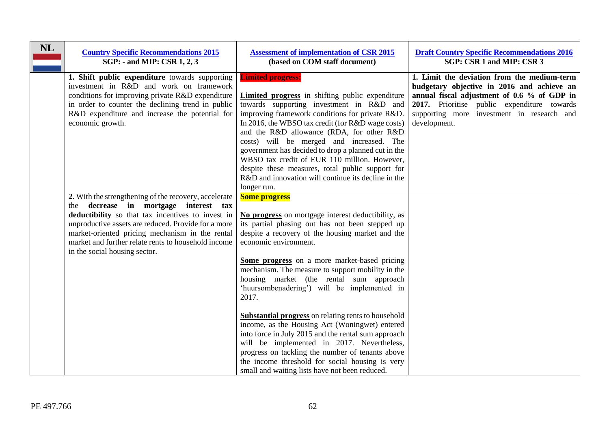| <b>NL</b> | <b>Country Specific Recommendations 2015</b><br>SGP: - and MIP: CSR 1, 2, 3                                                                                                                                                                                                                                                                           | <b>Assessment of implementation of CSR 2015</b><br>(based on COM staff document)                                                                                                                                                                                                                                                                                                                                                                                                                                                                                                                                                                                                                                                                                                                 | <b>Draft Country Specific Recommendations 2016</b><br>SGP: CSR 1 and MIP: CSR 3                                                                                                                                                                       |
|-----------|-------------------------------------------------------------------------------------------------------------------------------------------------------------------------------------------------------------------------------------------------------------------------------------------------------------------------------------------------------|--------------------------------------------------------------------------------------------------------------------------------------------------------------------------------------------------------------------------------------------------------------------------------------------------------------------------------------------------------------------------------------------------------------------------------------------------------------------------------------------------------------------------------------------------------------------------------------------------------------------------------------------------------------------------------------------------------------------------------------------------------------------------------------------------|-------------------------------------------------------------------------------------------------------------------------------------------------------------------------------------------------------------------------------------------------------|
|           | 1. Shift public expenditure towards supporting<br>investment in R&D and work on framework<br>conditions for improving private R&D expenditure<br>in order to counter the declining trend in public<br>R&D expenditure and increase the potential for<br>economic growth.                                                                              | <b>Limited progress:</b><br><b>Limited progress</b> in shifting public expenditure<br>towards supporting investment in R&D and<br>improving framework conditions for private R&D.<br>In 2016, the WBSO tax credit (for R&D wage costs)<br>and the R&D allowance (RDA, for other R&D<br>costs) will be merged and increased. The<br>government has decided to drop a planned cut in the<br>WBSO tax credit of EUR 110 million. However,<br>despite these measures, total public support for<br>R&D and innovation will continue its decline in the<br>longer run.                                                                                                                                                                                                                                 | 1. Limit the deviation from the medium-term<br>budgetary objective in 2016 and achieve an<br>annual fiscal adjustment of 0.6 % of GDP in<br>2017. Prioritise public expenditure towards<br>supporting more investment in research and<br>development. |
|           | 2. With the strengthening of the recovery, accelerate<br>the decrease in mortgage interest tax<br>deductibility so that tax incentives to invest in<br>unproductive assets are reduced. Provide for a more<br>market-oriented pricing mechanism in the rental<br>market and further relate rents to household income<br>in the social housing sector. | <b>Some progress</b><br>No progress on mortgage interest deductibility, as<br>its partial phasing out has not been stepped up<br>despite a recovery of the housing market and the<br>economic environment.<br>Some progress on a more market-based pricing<br>mechanism. The measure to support mobility in the<br>housing market (the rental sum approach<br>'huursombenadering') will be implemented in<br>2017.<br><b>Substantial progress</b> on relating rents to household<br>income, as the Housing Act (Woningwet) entered<br>into force in July 2015 and the rental sum approach<br>will be implemented in 2017. Nevertheless,<br>progress on tackling the number of tenants above<br>the income threshold for social housing is very<br>small and waiting lists have not been reduced. |                                                                                                                                                                                                                                                       |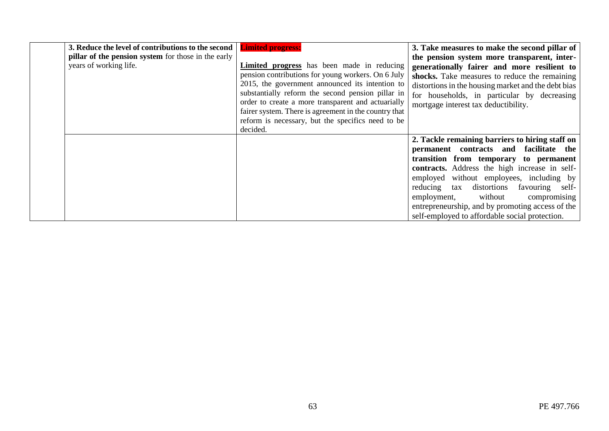| 3. Reduce the level of contributions to the second   <b>Limited progress:</b> |                                                       | 3. Take measures to make the second pillar of       |
|-------------------------------------------------------------------------------|-------------------------------------------------------|-----------------------------------------------------|
| <b>pillar of the pension system</b> for those in the early                    |                                                       | the pension system more transparent, inter-         |
| years of working life.                                                        | Limited progress has been made in reducing            | generationally fairer and more resilient to         |
|                                                                               | pension contributions for young workers. On 6 July    | shocks. Take measures to reduce the remaining       |
|                                                                               | 2015, the government announced its intention to       | distortions in the housing market and the debt bias |
|                                                                               | substantially reform the second pension pillar in     | for households, in particular by decreasing         |
|                                                                               | order to create a more transparent and actuarially    | mortgage interest tax deductibility.                |
|                                                                               | fairer system. There is agreement in the country that |                                                     |
|                                                                               | reform is necessary, but the specifics need to be     |                                                     |
|                                                                               | decided.                                              |                                                     |
|                                                                               |                                                       | 2. Tackle remaining barriers to hiring staff on     |
|                                                                               |                                                       | permanent contracts and facilitate the              |
|                                                                               |                                                       | transition from temporary to permanent              |
|                                                                               |                                                       | contracts. Address the high increase in self-       |
|                                                                               |                                                       | employed without employees, including by            |
|                                                                               |                                                       | reducing tax distortions favouring self-            |
|                                                                               |                                                       | compromising<br>without<br>employment,              |
|                                                                               |                                                       | entrepreneurship, and by promoting access of the    |
|                                                                               |                                                       | self-employed to affordable social protection.      |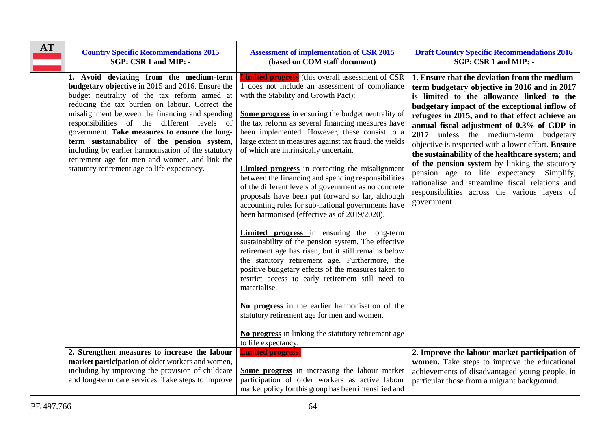| <b>AT</b> | <b>Country Specific Recommendations 2015</b>                                                                                                                                                                                                                                                                                                                                                                                                                                                                                                                   | <b>Assessment of implementation of CSR 2015</b>                                                                                                                                                                                                                                                                                                                                                                                                                                                                                                                                                                                                                                                                                                                                                                                                                                                                                                                                                                                                                                                                                                                                                                                                                                       | <b>Draft Country Specific Recommendations 2016</b>                                                                                                                                                                                                                                                                                                                                                                                                                                                                                                                                                                                                                |
|-----------|----------------------------------------------------------------------------------------------------------------------------------------------------------------------------------------------------------------------------------------------------------------------------------------------------------------------------------------------------------------------------------------------------------------------------------------------------------------------------------------------------------------------------------------------------------------|---------------------------------------------------------------------------------------------------------------------------------------------------------------------------------------------------------------------------------------------------------------------------------------------------------------------------------------------------------------------------------------------------------------------------------------------------------------------------------------------------------------------------------------------------------------------------------------------------------------------------------------------------------------------------------------------------------------------------------------------------------------------------------------------------------------------------------------------------------------------------------------------------------------------------------------------------------------------------------------------------------------------------------------------------------------------------------------------------------------------------------------------------------------------------------------------------------------------------------------------------------------------------------------|-------------------------------------------------------------------------------------------------------------------------------------------------------------------------------------------------------------------------------------------------------------------------------------------------------------------------------------------------------------------------------------------------------------------------------------------------------------------------------------------------------------------------------------------------------------------------------------------------------------------------------------------------------------------|
|           | SGP: CSR 1 and MIP: -                                                                                                                                                                                                                                                                                                                                                                                                                                                                                                                                          | (based on COM staff document)                                                                                                                                                                                                                                                                                                                                                                                                                                                                                                                                                                                                                                                                                                                                                                                                                                                                                                                                                                                                                                                                                                                                                                                                                                                         | SGP: CSR 1 and MIP: -                                                                                                                                                                                                                                                                                                                                                                                                                                                                                                                                                                                                                                             |
|           | 1. Avoid deviating from the medium-term<br><b>budgetary objective</b> in 2015 and 2016. Ensure the<br>budget neutrality of the tax reform aimed at<br>reducing the tax burden on labour. Correct the<br>misalignment between the financing and spending<br>responsibilities of the different levels of<br>government. Take measures to ensure the long-<br>term sustainability of the pension system,<br>including by earlier harmonisation of the statutory<br>retirement age for men and women, and link the<br>statutory retirement age to life expectancy. | <b>Limited progress</b> (this overall assessment of CSR<br>1 does not include an assessment of compliance<br>with the Stability and Growth Pact):<br><b>Some progress</b> in ensuring the budget neutrality of<br>the tax reform as several financing measures have<br>been implemented. However, these consist to a<br>large extent in measures against tax fraud, the yields<br>of which are intrinsically uncertain.<br>Limited progress in correcting the misalignment<br>between the financing and spending responsibilities<br>of the different levels of government as no concrete<br>proposals have been put forward so far, although<br>accounting rules for sub-national governments have<br>been harmonised (effective as of 2019/2020).<br><b>Limited progress</b> in ensuring the long-term<br>sustainability of the pension system. The effective<br>retirement age has risen, but it still remains below<br>the statutory retirement age. Furthermore, the<br>positive budgetary effects of the measures taken to<br>restrict access to early retirement still need to<br>materialise.<br>No progress in the earlier harmonisation of the<br>statutory retirement age for men and women.<br>No progress in linking the statutory retirement age<br>to life expectancy. | 1. Ensure that the deviation from the medium-<br>term budgetary objective in 2016 and in 2017<br>is limited to the allowance linked to the<br>budgetary impact of the exceptional inflow of<br>refugees in 2015, and to that effect achieve an<br>annual fiscal adjustment of 0.3% of GDP in<br>2017 unless the medium-term budgetary<br>objective is respected with a lower effort. Ensure<br>the sustainability of the healthcare system; and<br>of the pension system by linking the statutory<br>pension age to life expectancy. Simplify,<br>rationalise and streamline fiscal relations and<br>responsibilities across the various layers of<br>government. |
|           | 2. Strengthen measures to increase the labour                                                                                                                                                                                                                                                                                                                                                                                                                                                                                                                  | <b>Limited progress:</b>                                                                                                                                                                                                                                                                                                                                                                                                                                                                                                                                                                                                                                                                                                                                                                                                                                                                                                                                                                                                                                                                                                                                                                                                                                                              | 2. Improve the labour market participation of                                                                                                                                                                                                                                                                                                                                                                                                                                                                                                                                                                                                                     |
|           | market participation of older workers and women,                                                                                                                                                                                                                                                                                                                                                                                                                                                                                                               | Some progress in increasing the labour market                                                                                                                                                                                                                                                                                                                                                                                                                                                                                                                                                                                                                                                                                                                                                                                                                                                                                                                                                                                                                                                                                                                                                                                                                                         | women. Take steps to improve the educational                                                                                                                                                                                                                                                                                                                                                                                                                                                                                                                                                                                                                      |
|           | including by improving the provision of childcare                                                                                                                                                                                                                                                                                                                                                                                                                                                                                                              | participation of older workers as active labour                                                                                                                                                                                                                                                                                                                                                                                                                                                                                                                                                                                                                                                                                                                                                                                                                                                                                                                                                                                                                                                                                                                                                                                                                                       | achievements of disadvantaged young people, in                                                                                                                                                                                                                                                                                                                                                                                                                                                                                                                                                                                                                    |
|           | and long-term care services. Take steps to improve                                                                                                                                                                                                                                                                                                                                                                                                                                                                                                             | market policy for this group has been intensified and                                                                                                                                                                                                                                                                                                                                                                                                                                                                                                                                                                                                                                                                                                                                                                                                                                                                                                                                                                                                                                                                                                                                                                                                                                 | particular those from a migrant background.                                                                                                                                                                                                                                                                                                                                                                                                                                                                                                                                                                                                                       |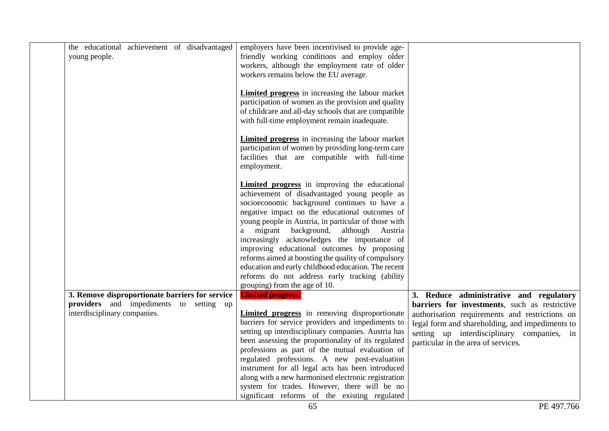| the educational achievement of disadvantaged<br>young people.           | employers have been incentivised to provide age-<br>friendly working conditions and employ older                                                                                                                       |                                                                                                 |
|-------------------------------------------------------------------------|------------------------------------------------------------------------------------------------------------------------------------------------------------------------------------------------------------------------|-------------------------------------------------------------------------------------------------|
|                                                                         | workers, although the employment rate of older                                                                                                                                                                         |                                                                                                 |
|                                                                         | workers remains below the EU average.                                                                                                                                                                                  |                                                                                                 |
|                                                                         | <b>Limited progress</b> in increasing the labour market<br>participation of women as the provision and quality<br>of childcare and all-day schools that are compatible<br>with full-time employment remain inadequate. |                                                                                                 |
|                                                                         | <b>Limited progress</b> in increasing the labour market<br>participation of women by providing long-term care<br>facilities that are compatible with full-time<br>employment.                                          |                                                                                                 |
|                                                                         | <b>Limited progress</b> in improving the educational<br>achievement of disadvantaged young people as                                                                                                                   |                                                                                                 |
|                                                                         | socioeconomic background continues to have a                                                                                                                                                                           |                                                                                                 |
|                                                                         | negative impact on the educational outcomes of                                                                                                                                                                         |                                                                                                 |
|                                                                         | young people in Austria, in particular of those with                                                                                                                                                                   |                                                                                                 |
|                                                                         | migrant background, although Austria<br>a                                                                                                                                                                              |                                                                                                 |
|                                                                         | increasingly acknowledges the importance of<br>improving educational outcomes by proposing                                                                                                                             |                                                                                                 |
|                                                                         | reforms aimed at boosting the quality of compulsory                                                                                                                                                                    |                                                                                                 |
|                                                                         | education and early childhood education. The recent                                                                                                                                                                    |                                                                                                 |
|                                                                         | reforms do not address early tracking (ability                                                                                                                                                                         |                                                                                                 |
|                                                                         | grouping) from the age of 10.                                                                                                                                                                                          |                                                                                                 |
| 3. Remove disproportionate barriers for service                         | <b>Limited progress:</b>                                                                                                                                                                                               | 3. Reduce administrative and regulatory                                                         |
| providers and impediments to setting up<br>interdisciplinary companies. | <b>Limited progress</b> in removing disproportionate                                                                                                                                                                   | barriers for investments, such as restrictive<br>authorisation requirements and restrictions on |
|                                                                         | barriers for service providers and impediments to                                                                                                                                                                      | legal form and shareholding, and impediments to                                                 |
|                                                                         | setting up interdisciplinary companies. Austria has                                                                                                                                                                    | setting up interdisciplinary companies, in                                                      |
|                                                                         | been assessing the proportionality of its regulated                                                                                                                                                                    | particular in the area of services.                                                             |
|                                                                         | professions as part of the mutual evaluation of                                                                                                                                                                        |                                                                                                 |
|                                                                         | regulated professions. A new post-evaluation<br>instrument for all legal acts has been introduced                                                                                                                      |                                                                                                 |
|                                                                         | along with a new harmonised electronic registration                                                                                                                                                                    |                                                                                                 |
|                                                                         | system for trades. However, there will be no                                                                                                                                                                           |                                                                                                 |
|                                                                         | significant reforms of the existing regulated                                                                                                                                                                          |                                                                                                 |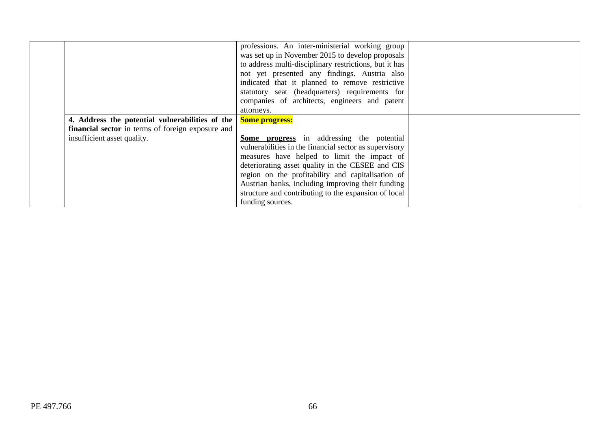|                                                          | professions. An inter-ministerial working group<br>was set up in November 2015 to develop proposals<br>to address multi-disciplinary restrictions, but it has<br>not yet presented any findings. Austria also |  |
|----------------------------------------------------------|---------------------------------------------------------------------------------------------------------------------------------------------------------------------------------------------------------------|--|
|                                                          | indicated that it planned to remove restrictive<br>statutory seat (headquarters) requirements for                                                                                                             |  |
|                                                          | companies of architects, engineers and patent                                                                                                                                                                 |  |
|                                                          | attorneys.                                                                                                                                                                                                    |  |
| 4. Address the potential vulnerabilities of the          | <b>Some progress:</b>                                                                                                                                                                                         |  |
| <b>financial sector</b> in terms of foreign exposure and |                                                                                                                                                                                                               |  |
| insufficient asset quality.                              | <b>Some progress</b> in addressing the potential                                                                                                                                                              |  |
|                                                          | vulnerabilities in the financial sector as supervisory                                                                                                                                                        |  |
|                                                          | measures have helped to limit the impact of                                                                                                                                                                   |  |
|                                                          | deteriorating asset quality in the CESEE and CIS                                                                                                                                                              |  |
|                                                          | region on the profitability and capitalisation of                                                                                                                                                             |  |
|                                                          | Austrian banks, including improving their funding                                                                                                                                                             |  |
|                                                          | structure and contributing to the expansion of local                                                                                                                                                          |  |
|                                                          | funding sources.                                                                                                                                                                                              |  |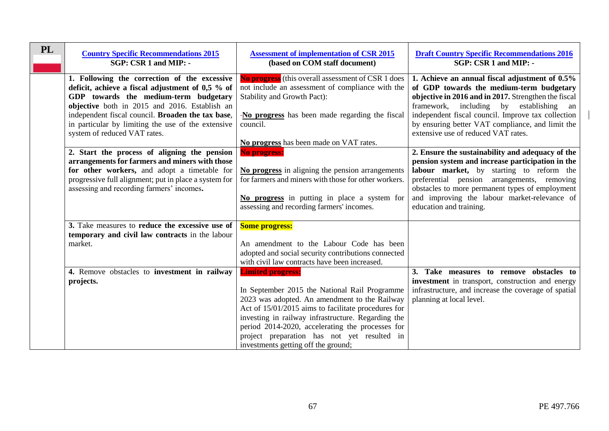| PL | <b>Country Specific Recommendations 2015</b><br>SGP: CSR 1 and MIP: -                                                                                                                                                                                                                                                                                                                 | <b>Assessment of implementation of CSR 2015</b><br>(based on COM staff document)                                                                                                                                                                                                                                                                                                  | <b>Draft Country Specific Recommendations 2016</b><br>SGP: CSR 1 and MIP: -                                                                                                                                                                                                                                                                                                                           |
|----|---------------------------------------------------------------------------------------------------------------------------------------------------------------------------------------------------------------------------------------------------------------------------------------------------------------------------------------------------------------------------------------|-----------------------------------------------------------------------------------------------------------------------------------------------------------------------------------------------------------------------------------------------------------------------------------------------------------------------------------------------------------------------------------|-------------------------------------------------------------------------------------------------------------------------------------------------------------------------------------------------------------------------------------------------------------------------------------------------------------------------------------------------------------------------------------------------------|
|    | 1. Following the correction of the excessive<br>deficit, achieve a fiscal adjustment of 0,5 % of<br>GDP towards the medium-term budgetary<br>objective both in 2015 and 2016. Establish an<br>independent fiscal council. Broaden the tax base,<br>in particular by limiting the use of the extensive<br>system of reduced VAT rates.<br>2. Start the process of aligning the pension | <b>No progress</b> (this overall assessment of CSR 1 does<br>not include an assessment of compliance with the<br>Stability and Growth Pact):<br>-No progress has been made regarding the fiscal<br>council.<br>No progress has been made on VAT rates.<br><b>No progress:</b>                                                                                                     | 1. Achieve an annual fiscal adjustment of 0.5%<br>of GDP towards the medium-term budgetary<br>objective in 2016 and in 2017. Strengthen the fiscal<br>framework, including by establishing<br>an<br>independent fiscal council. Improve tax collection<br>by ensuring better VAT compliance, and limit the<br>extensive use of reduced VAT rates.<br>2. Ensure the sustainability and adequacy of the |
|    | arrangements for farmers and miners with those<br>for other workers, and adopt a timetable for<br>progressive full alignment; put in place a system for<br>assessing and recording farmers' incomes.                                                                                                                                                                                  | No progress in aligning the pension arrangements<br>for farmers and miners with those for other workers.<br>No progress in putting in place a system for<br>assessing and recording farmers' incomes.                                                                                                                                                                             | pension system and increase participation in the<br>labour market, by starting to reform the<br>preferential pension arrangements, removing<br>obstacles to more permanent types of employment<br>and improving the labour market-relevance of<br>education and training.                                                                                                                             |
|    | 3. Take measures to reduce the excessive use of<br>temporary and civil law contracts in the labour<br>market.                                                                                                                                                                                                                                                                         | <b>Some progress:</b><br>An amendment to the Labour Code has been<br>adopted and social security contributions connected<br>with civil law contracts have been increased.                                                                                                                                                                                                         |                                                                                                                                                                                                                                                                                                                                                                                                       |
|    | 4. Remove obstacles to investment in railway<br>projects.                                                                                                                                                                                                                                                                                                                             | <b>Limited progress:</b><br>In September 2015 the National Rail Programme<br>2023 was adopted. An amendment to the Railway<br>Act of 15/01/2015 aims to facilitate procedures for<br>investing in railway infrastructure. Regarding the<br>period 2014-2020, accelerating the processes for<br>project preparation has not yet resulted in<br>investments getting off the ground; | 3. Take measures to remove obstacles to<br>investment in transport, construction and energy<br>infrastructure, and increase the coverage of spatial<br>planning at local level.                                                                                                                                                                                                                       |

 $\overline{\phantom{a}}$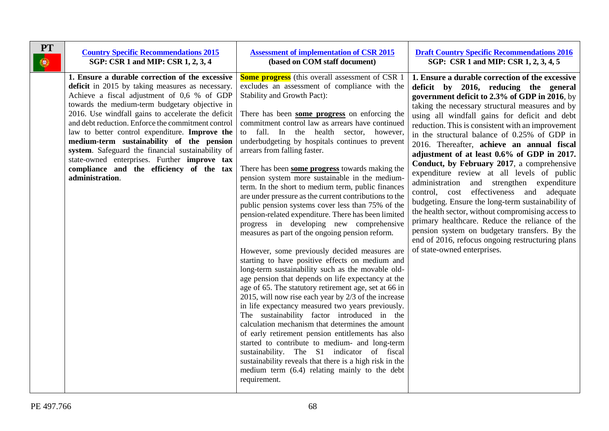| <b>PT</b> | <b>Country Specific Recommendations 2015</b>                                                                                                                                                                                                                                                                                                                                                                                                                                                                                                                                        | <b>Assessment of implementation of CSR 2015</b>                                                                                                                                                                                                                                                                                                                                                                                                                                                                                                                                                                                                                                                                                                                                                                                                                                                                                                                                                                                                                                                                                                                                                                                                                                                                                                                                                                                                                                                                                                                                      | <b>Draft Country Specific Recommendations 2016</b>                                                                                                                                                                                                                                                                                                                                                                                                                                                                                                                                                                                                                                                                                                                                                                                                                                                                                   |
|-----------|-------------------------------------------------------------------------------------------------------------------------------------------------------------------------------------------------------------------------------------------------------------------------------------------------------------------------------------------------------------------------------------------------------------------------------------------------------------------------------------------------------------------------------------------------------------------------------------|--------------------------------------------------------------------------------------------------------------------------------------------------------------------------------------------------------------------------------------------------------------------------------------------------------------------------------------------------------------------------------------------------------------------------------------------------------------------------------------------------------------------------------------------------------------------------------------------------------------------------------------------------------------------------------------------------------------------------------------------------------------------------------------------------------------------------------------------------------------------------------------------------------------------------------------------------------------------------------------------------------------------------------------------------------------------------------------------------------------------------------------------------------------------------------------------------------------------------------------------------------------------------------------------------------------------------------------------------------------------------------------------------------------------------------------------------------------------------------------------------------------------------------------------------------------------------------------|--------------------------------------------------------------------------------------------------------------------------------------------------------------------------------------------------------------------------------------------------------------------------------------------------------------------------------------------------------------------------------------------------------------------------------------------------------------------------------------------------------------------------------------------------------------------------------------------------------------------------------------------------------------------------------------------------------------------------------------------------------------------------------------------------------------------------------------------------------------------------------------------------------------------------------------|
| $\circ$   | SGP: CSR 1 and MIP: CSR 1, 2, 3, 4                                                                                                                                                                                                                                                                                                                                                                                                                                                                                                                                                  | (based on COM staff document)                                                                                                                                                                                                                                                                                                                                                                                                                                                                                                                                                                                                                                                                                                                                                                                                                                                                                                                                                                                                                                                                                                                                                                                                                                                                                                                                                                                                                                                                                                                                                        | SGP: CSR 1 and MIP: CSR 1, 2, 3, 4, 5                                                                                                                                                                                                                                                                                                                                                                                                                                                                                                                                                                                                                                                                                                                                                                                                                                                                                                |
|           | 1. Ensure a durable correction of the excessive<br>deficit in 2015 by taking measures as necessary.<br>Achieve a fiscal adjustment of 0,6 % of GDP<br>towards the medium-term budgetary objective in<br>2016. Use windfall gains to accelerate the deficit<br>and debt reduction. Enforce the commitment control<br>law to better control expenditure. Improve the<br>medium-term sustainability of the pension<br>system. Safeguard the financial sustainability of<br>state-owned enterprises. Further improve tax<br>compliance and the efficiency of the tax<br>administration. | <b>Some progress</b> (this overall assessment of CSR 1)<br>excludes an assessment of compliance with the<br>Stability and Growth Pact):<br>There has been some progress on enforcing the<br>commitment control law as arrears have continued<br>to fall. In the health sector, however,<br>underbudgeting by hospitals continues to prevent<br>arrears from falling faster.<br>There has been some progress towards making the<br>pension system more sustainable in the medium-<br>term. In the short to medium term, public finances<br>are under pressure as the current contributions to the<br>public pension systems cover less than 75% of the<br>pension-related expenditure. There has been limited<br>progress in developing new comprehensive<br>measures as part of the ongoing pension reform.<br>However, some previously decided measures are<br>starting to have positive effects on medium and<br>long-term sustainability such as the movable old-<br>age pension that depends on life expectancy at the<br>age of 65. The statutory retirement age, set at 66 in<br>2015, will now rise each year by 2/3 of the increase<br>in life expectancy measured two years previously.<br>The sustainability factor introduced in the<br>calculation mechanism that determines the amount<br>of early retirement pension entitlements has also<br>started to contribute to medium- and long-term<br>sustainability. The S1 indicator of fiscal<br>sustainability reveals that there is a high risk in the<br>medium term (6.4) relating mainly to the debt<br>requirement. | 1. Ensure a durable correction of the excessive<br>deficit by 2016, reducing the general<br>government deficit to 2.3% of GDP in 2016, by<br>taking the necessary structural measures and by<br>using all windfall gains for deficit and debt<br>reduction. This is consistent with an improvement<br>in the structural balance of 0.25% of GDP in<br>2016. Thereafter, achieve an annual fiscal<br>adjustment of at least 0.6% of GDP in 2017.<br>Conduct, by February 2017, a comprehensive<br>expenditure review at all levels of public<br>administration and strengthen expenditure<br>control, cost effectiveness and adequate<br>budgeting. Ensure the long-term sustainability of<br>the health sector, without compromising access to<br>primary healthcare. Reduce the reliance of the<br>pension system on budgetary transfers. By the<br>end of 2016, refocus ongoing restructuring plans<br>of state-owned enterprises. |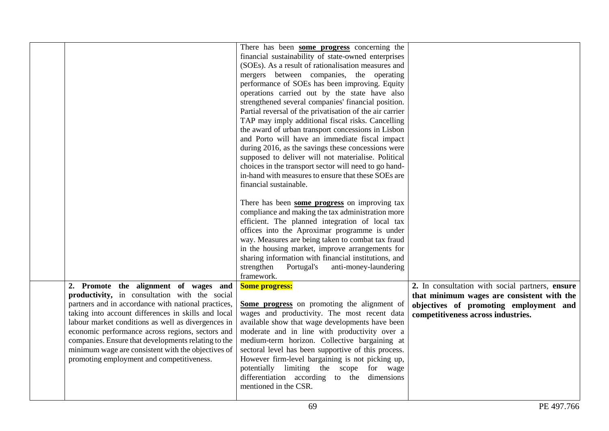|                                                                                                                                                                                                                                                                                                                                                                                                                                                                          | There has been some progress concerning the<br>financial sustainability of state-owned enterprises<br>(SOEs). As a result of rationalisation measures and<br>mergers between companies, the operating<br>performance of SOEs has been improving. Equity<br>operations carried out by the state have also<br>strengthened several companies' financial position.<br>Partial reversal of the privatisation of the air carrier<br>TAP may imply additional fiscal risks. Cancelling<br>the award of urban transport concessions in Lisbon<br>and Porto will have an immediate fiscal impact<br>during 2016, as the savings these concessions were<br>supposed to deliver will not materialise. Political |                                                                                                                                                                               |
|--------------------------------------------------------------------------------------------------------------------------------------------------------------------------------------------------------------------------------------------------------------------------------------------------------------------------------------------------------------------------------------------------------------------------------------------------------------------------|-------------------------------------------------------------------------------------------------------------------------------------------------------------------------------------------------------------------------------------------------------------------------------------------------------------------------------------------------------------------------------------------------------------------------------------------------------------------------------------------------------------------------------------------------------------------------------------------------------------------------------------------------------------------------------------------------------|-------------------------------------------------------------------------------------------------------------------------------------------------------------------------------|
|                                                                                                                                                                                                                                                                                                                                                                                                                                                                          | choices in the transport sector will need to go hand-<br>in-hand with measures to ensure that these SOEs are<br>financial sustainable.<br>There has been some progress on improving tax<br>compliance and making the tax administration more<br>efficient. The planned integration of local tax<br>offices into the Aproximar programme is under<br>way. Measures are being taken to combat tax fraud<br>in the housing market, improve arrangements for<br>sharing information with financial institutions, and<br>strengthen<br>anti-money-laundering<br>Portugal's<br>framework.                                                                                                                   |                                                                                                                                                                               |
| 2. Promote the alignment of wages and<br>productivity, in consultation with the social<br>partners and in accordance with national practices,<br>taking into account differences in skills and local<br>labour market conditions as well as divergences in<br>economic performance across regions, sectors and<br>companies. Ensure that developments relating to the<br>minimum wage are consistent with the objectives of<br>promoting employment and competitiveness. | <b>Some progress:</b><br>Some progress on promoting the alignment of<br>wages and productivity. The most recent data<br>available show that wage developments have been<br>moderate and in line with productivity over a<br>medium-term horizon. Collective bargaining at<br>sectoral level has been supportive of this process.<br>However firm-level bargaining is not picking up,<br>potentially limiting the scope for wage<br>differentiation according to the dimensions<br>mentioned in the CSR.                                                                                                                                                                                               | 2. In consultation with social partners, ensure<br>that minimum wages are consistent with the<br>objectives of promoting employment and<br>competitiveness across industries. |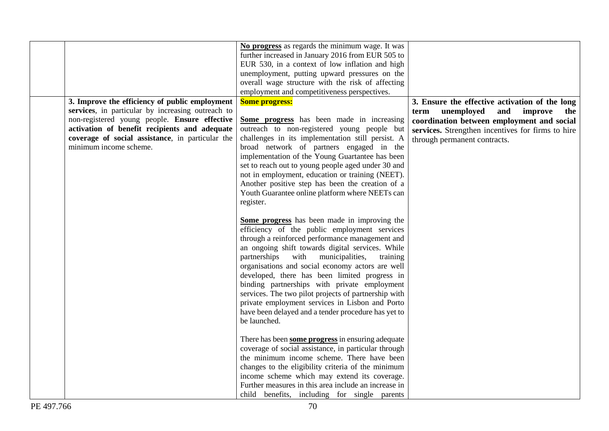|                                                   | No progress as regards the minimum wage. It was      |                                                   |
|---------------------------------------------------|------------------------------------------------------|---------------------------------------------------|
|                                                   | further increased in January 2016 from EUR 505 to    |                                                   |
|                                                   | EUR 530, in a context of low inflation and high      |                                                   |
|                                                   | unemployment, putting upward pressures on the        |                                                   |
|                                                   | overall wage structure with the risk of affecting    |                                                   |
|                                                   | employment and competitiveness perspectives.         |                                                   |
| 3. Improve the efficiency of public employment    | <b>Some progress:</b>                                | 3. Ensure the effective activation of the long    |
| services, in particular by increasing outreach to |                                                      | unemployed<br>and<br>improve<br>term<br>the       |
| non-registered young people. Ensure effective     | Some progress has been made in increasing            | coordination between employment and social        |
| activation of benefit recipients and adequate     | outreach to non-registered young people but          | services. Strengthen incentives for firms to hire |
| coverage of social assistance, in particular the  | challenges in its implementation still persist. A    | through permanent contracts.                      |
| minimum income scheme.                            | broad network of partners engaged in the             |                                                   |
|                                                   | implementation of the Young Guartantee has been      |                                                   |
|                                                   | set to reach out to young people aged under 30 and   |                                                   |
|                                                   | not in employment, education or training (NEET).     |                                                   |
|                                                   | Another positive step has been the creation of a     |                                                   |
|                                                   | Youth Guarantee online platform where NEETs can      |                                                   |
|                                                   | register.                                            |                                                   |
|                                                   |                                                      |                                                   |
|                                                   | Some progress has been made in improving the         |                                                   |
|                                                   | efficiency of the public employment services         |                                                   |
|                                                   | through a reinforced performance management and      |                                                   |
|                                                   | an ongoing shift towards digital services. While     |                                                   |
|                                                   |                                                      |                                                   |
|                                                   | partnerships<br>with municipalities,<br>training     |                                                   |
|                                                   | organisations and social economy actors are well     |                                                   |
|                                                   | developed, there has been limited progress in        |                                                   |
|                                                   | binding partnerships with private employment         |                                                   |
|                                                   | services. The two pilot projects of partnership with |                                                   |
|                                                   | private employment services in Lisbon and Porto      |                                                   |
|                                                   | have been delayed and a tender procedure has yet to  |                                                   |
|                                                   | be launched.                                         |                                                   |
|                                                   |                                                      |                                                   |
|                                                   | There has been some progress in ensuring adequate    |                                                   |
|                                                   | coverage of social assistance, in particular through |                                                   |
|                                                   | the minimum income scheme. There have been           |                                                   |
|                                                   | changes to the eligibility criteria of the minimum   |                                                   |
|                                                   | income scheme which may extend its coverage.         |                                                   |
|                                                   | Further measures in this area include an increase in |                                                   |
|                                                   | child benefits, including for single parents         |                                                   |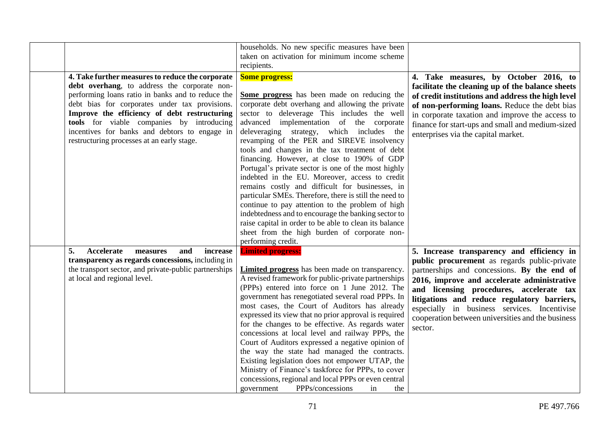| 4. Take further measures to reduce the corporate<br>debt overhang, to address the corporate non-<br>performing loans ratio in banks and to reduce the<br>debt bias for corporates under tax provisions.<br>Improve the efficiency of debt restructuring<br>tools for viable companies by introducing<br>incentives for banks and debtors to engage in<br>restructuring processes at an early stage. | households. No new specific measures have been<br>taken on activation for minimum income scheme<br>recipients.<br><b>Some progress:</b><br>Some progress has been made on reducing the<br>corporate debt overhang and allowing the private<br>sector to deleverage This includes the well<br>advanced implementation of the corporate<br>deleveraging strategy, which includes the<br>revamping of the PER and SIREVE insolvency<br>tools and changes in the tax treatment of debt<br>financing. However, at close to 190% of GDP<br>Portugal's private sector is one of the most highly<br>indebted in the EU. Moreover, access to credit<br>remains costly and difficult for businesses, in<br>particular SMEs. Therefore, there is still the need to<br>continue to pay attention to the problem of high<br>indebtedness and to encourage the banking sector to<br>raise capital in order to be able to clean its balance<br>sheet from the high burden of corporate non-<br>performing credit. | 4. Take measures, by October 2016, to<br>facilitate the cleaning up of the balance sheets<br>of credit institutions and address the high level<br>of non-performing loans. Reduce the debt bias<br>in corporate taxation and improve the access to<br>finance for start-ups and small and medium-sized<br>enterprises via the capital market.                                                       |
|-----------------------------------------------------------------------------------------------------------------------------------------------------------------------------------------------------------------------------------------------------------------------------------------------------------------------------------------------------------------------------------------------------|----------------------------------------------------------------------------------------------------------------------------------------------------------------------------------------------------------------------------------------------------------------------------------------------------------------------------------------------------------------------------------------------------------------------------------------------------------------------------------------------------------------------------------------------------------------------------------------------------------------------------------------------------------------------------------------------------------------------------------------------------------------------------------------------------------------------------------------------------------------------------------------------------------------------------------------------------------------------------------------------------|-----------------------------------------------------------------------------------------------------------------------------------------------------------------------------------------------------------------------------------------------------------------------------------------------------------------------------------------------------------------------------------------------------|
| 5.<br>Accelerate<br>and<br>increase<br>measures<br>transparency as regards concessions, including in<br>the transport sector, and private-public partnerships<br>at local and regional level.                                                                                                                                                                                                       | <b>Limited progress:</b><br>Limited progress has been made on transparency.<br>A revised framework for public-private partnerships<br>(PPPs) entered into force on 1 June 2012. The<br>government has renegotiated several road PPPs. In<br>most cases, the Court of Auditors has already<br>expressed its view that no prior approval is required<br>for the changes to be effective. As regards water<br>concessions at local level and railway PPPs, the<br>Court of Auditors expressed a negative opinion of<br>the way the state had managed the contracts.<br>Existing legislation does not empower UTAP, the<br>Ministry of Finance's taskforce for PPPs, to cover<br>concessions, regional and local PPPs or even central<br>PPPs/concessions<br>in<br>government<br>the                                                                                                                                                                                                                   | 5. Increase transparency and efficiency in<br>public procurement as regards public-private<br>partnerships and concessions. By the end of<br>2016, improve and accelerate administrative<br>and licensing procedures, accelerate tax<br>litigations and reduce regulatory barriers,<br>especially in business services. Incentivise<br>cooperation between universities and the business<br>sector. |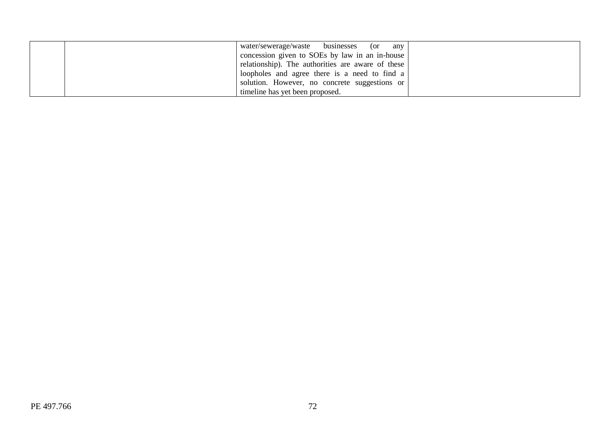| water/sewerage/waste businesses<br>(or<br>any        |  |
|------------------------------------------------------|--|
| concession given to SOEs by law in an in-house       |  |
| relationship). The authorities are aware of these    |  |
| loopholes and agree there is a need to find $a \mid$ |  |
| solution. However, no concrete suggestions or        |  |
| timeline has yet been proposed.                      |  |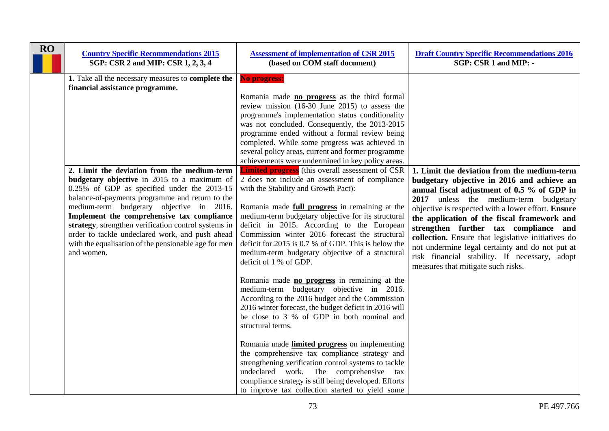| <b>RO</b> | <b>Country Specific Recommendations 2015</b><br>SGP: CSR 2 and MIP: CSR 1, 2, 3, 4                                                                                                                                                                                                                                                                                                                                                                                      | <b>Assessment of implementation of CSR 2015</b><br>(based on COM staff document)                                                                                                                                                                                                                                                                                                                                                                                                                                                                                                           | <b>Draft Country Specific Recommendations 2016</b><br>SGP: CSR 1 and MIP: -                                                                                                                                                                                                                                                                                                                                                                                                                                                     |
|-----------|-------------------------------------------------------------------------------------------------------------------------------------------------------------------------------------------------------------------------------------------------------------------------------------------------------------------------------------------------------------------------------------------------------------------------------------------------------------------------|--------------------------------------------------------------------------------------------------------------------------------------------------------------------------------------------------------------------------------------------------------------------------------------------------------------------------------------------------------------------------------------------------------------------------------------------------------------------------------------------------------------------------------------------------------------------------------------------|---------------------------------------------------------------------------------------------------------------------------------------------------------------------------------------------------------------------------------------------------------------------------------------------------------------------------------------------------------------------------------------------------------------------------------------------------------------------------------------------------------------------------------|
|           | 1. Take all the necessary measures to complete the<br>financial assistance programme.                                                                                                                                                                                                                                                                                                                                                                                   | No progress:<br>Romania made no progress as the third formal<br>review mission (16-30 June 2015) to assess the<br>programme's implementation status conditionality<br>was not concluded. Consequently, the 2013-2015<br>programme ended without a formal review being<br>completed. While some progress was achieved in<br>several policy areas, current and former programme<br>achievements were undermined in key policy areas.                                                                                                                                                         |                                                                                                                                                                                                                                                                                                                                                                                                                                                                                                                                 |
|           | 2. Limit the deviation from the medium-term<br>budgetary objective in 2015 to a maximum of<br>0.25% of GDP as specified under the 2013-15<br>balance-of-payments programme and return to the<br>medium-term budgetary objective in 2016.<br>Implement the comprehensive tax compliance<br>strategy, strengthen verification control systems in<br>order to tackle undeclared work, and push ahead<br>with the equalisation of the pensionable age for men<br>and women. | <b>Limited progress</b> (this overall assessment of CSR<br>2 does not include an assessment of compliance<br>with the Stability and Growth Pact):<br>Romania made full progress in remaining at the<br>medium-term budgetary objective for its structural<br>deficit in 2015. According to the European<br>Commission winter 2016 forecast the structural<br>deficit for 2015 is 0.7 % of GDP. This is below the<br>medium-term budgetary objective of a structural<br>deficit of 1 % of GDP.                                                                                              | 1. Limit the deviation from the medium-term<br>budgetary objective in 2016 and achieve an<br>annual fiscal adjustment of 0.5 % of GDP in<br>2017 unless the medium-term budgetary<br>objective is respected with a lower effort. Ensure<br>the application of the fiscal framework and<br>strengthen further tax compliance and<br>collection. Ensure that legislative initiatives do<br>not undermine legal certainty and do not put at<br>risk financial stability. If necessary, adopt<br>measures that mitigate such risks. |
|           |                                                                                                                                                                                                                                                                                                                                                                                                                                                                         | Romania made no progress in remaining at the<br>medium-term budgetary objective in 2016.<br>According to the 2016 budget and the Commission<br>2016 winter forecast, the budget deficit in 2016 will<br>be close to 3 % of GDP in both nominal and<br>structural terms.<br>Romania made limited progress on implementing<br>the comprehensive tax compliance strategy and<br>strengthening verification control systems to tackle<br>undeclared work. The comprehensive<br>tax<br>compliance strategy is still being developed. Efforts<br>to improve tax collection started to yield some |                                                                                                                                                                                                                                                                                                                                                                                                                                                                                                                                 |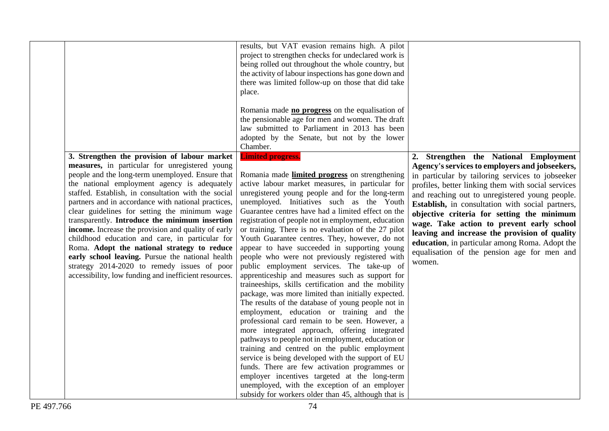|                                                                                                                                                                                                                                                                                                                                                                                                                                                                                                                                                                                                                                                                                                                                          | results, but VAT evasion remains high. A pilot<br>project to strengthen checks for undeclared work is<br>being rolled out throughout the whole country, but<br>the activity of labour inspections has gone down and<br>there was limited follow-up on those that did take<br>place.<br>Romania made no progress on the equalisation of<br>the pensionable age for men and women. The draft<br>law submitted to Parliament in 2013 has been<br>adopted by the Senate, but not by the lower<br>Chamber.                                                                                                                                                                                                                                                                                                                                                                                                                                                                                                                                                                                                                                                                                                                                                                                                                                             |                                                                                                                                                                                                                                                                                                                                                                                                                                                                                                                                                                |
|------------------------------------------------------------------------------------------------------------------------------------------------------------------------------------------------------------------------------------------------------------------------------------------------------------------------------------------------------------------------------------------------------------------------------------------------------------------------------------------------------------------------------------------------------------------------------------------------------------------------------------------------------------------------------------------------------------------------------------------|---------------------------------------------------------------------------------------------------------------------------------------------------------------------------------------------------------------------------------------------------------------------------------------------------------------------------------------------------------------------------------------------------------------------------------------------------------------------------------------------------------------------------------------------------------------------------------------------------------------------------------------------------------------------------------------------------------------------------------------------------------------------------------------------------------------------------------------------------------------------------------------------------------------------------------------------------------------------------------------------------------------------------------------------------------------------------------------------------------------------------------------------------------------------------------------------------------------------------------------------------------------------------------------------------------------------------------------------------|----------------------------------------------------------------------------------------------------------------------------------------------------------------------------------------------------------------------------------------------------------------------------------------------------------------------------------------------------------------------------------------------------------------------------------------------------------------------------------------------------------------------------------------------------------------|
| 3. Strengthen the provision of labour market<br>measures, in particular for unregistered young<br>people and the long-term unemployed. Ensure that<br>the national employment agency is adequately<br>staffed. Establish, in consultation with the social<br>partners and in accordance with national practices,<br>clear guidelines for setting the minimum wage<br>transparently. Introduce the minimum insertion<br>income. Increase the provision and quality of early<br>childhood education and care, in particular for<br>Roma. Adopt the national strategy to reduce<br>early school leaving. Pursue the national health<br>strategy 2014-2020 to remedy issues of poor<br>accessibility, low funding and inefficient resources. | <b>Limited progress.</b><br>Romania made limited progress on strengthening<br>active labour market measures, in particular for<br>unregistered young people and for the long-term<br>unemployed. Initiatives such as the Youth<br>Guarantee centres have had a limited effect on the<br>registration of people not in employment, education<br>or training. There is no evaluation of the 27 pilot<br>Youth Guarantee centres. They, however, do not<br>appear to have succeeded in supporting young<br>people who were not previously registered with<br>public employment services. The take-up of<br>apprenticeship and measures such as support for<br>traineeships, skills certification and the mobility<br>package, was more limited than initially expected.<br>The results of the database of young people not in<br>employment, education or training and the<br>professional card remain to be seen. However, a<br>more integrated approach, offering integrated<br>pathways to people not in employment, education or<br>training and centred on the public employment<br>service is being developed with the support of EU<br>funds. There are few activation programmes or<br>employer incentives targeted at the long-term<br>unemployed, with the exception of an employer<br>subsidy for workers older than 45, although that is | 2. Strengthen the National Employment<br>Agency's services to employers and jobseekers,<br>in particular by tailoring services to jobseeker<br>profiles, better linking them with social services<br>and reaching out to unregistered young people.<br>Establish, in consultation with social partners,<br>objective criteria for setting the minimum<br>wage. Take action to prevent early school<br>leaving and increase the provision of quality<br>education, in particular among Roma. Adopt the<br>equalisation of the pension age for men and<br>women. |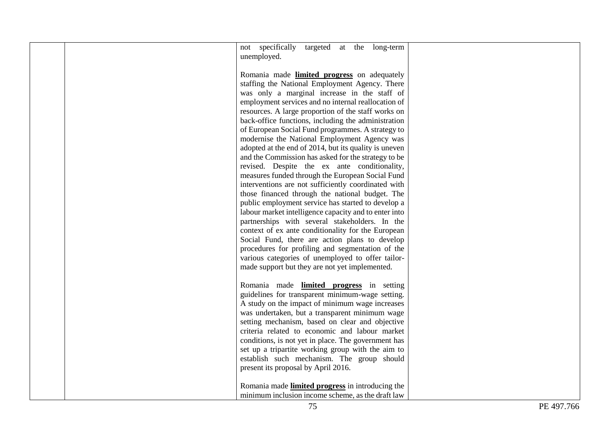|  | not specifically<br>targeted at the long-term<br>unemployed.                                                                                                                                                                                                                                                                                                                                                                                                                                                                                                                                                                                                                                                                                                                                                                                                                                                           |  |
|--|------------------------------------------------------------------------------------------------------------------------------------------------------------------------------------------------------------------------------------------------------------------------------------------------------------------------------------------------------------------------------------------------------------------------------------------------------------------------------------------------------------------------------------------------------------------------------------------------------------------------------------------------------------------------------------------------------------------------------------------------------------------------------------------------------------------------------------------------------------------------------------------------------------------------|--|
|  | Romania made limited progress on adequately<br>staffing the National Employment Agency. There<br>was only a marginal increase in the staff of<br>employment services and no internal reallocation of<br>resources. A large proportion of the staff works on<br>back-office functions, including the administration<br>of European Social Fund programmes. A strategy to<br>modernise the National Employment Agency was<br>adopted at the end of 2014, but its quality is uneven<br>and the Commission has asked for the strategy to be<br>revised. Despite the ex ante conditionality,<br>measures funded through the European Social Fund<br>interventions are not sufficiently coordinated with<br>those financed through the national budget. The<br>public employment service has started to develop a<br>labour market intelligence capacity and to enter into<br>partnerships with several stakeholders. In the |  |
|  | context of ex ante conditionality for the European<br>Social Fund, there are action plans to develop<br>procedures for profiling and segmentation of the<br>various categories of unemployed to offer tailor-                                                                                                                                                                                                                                                                                                                                                                                                                                                                                                                                                                                                                                                                                                          |  |
|  | made support but they are not yet implemented.                                                                                                                                                                                                                                                                                                                                                                                                                                                                                                                                                                                                                                                                                                                                                                                                                                                                         |  |
|  | Romania made <b>limited progress</b> in setting<br>guidelines for transparent minimum-wage setting.<br>A study on the impact of minimum wage increases<br>was undertaken, but a transparent minimum wage<br>setting mechanism, based on clear and objective<br>criteria related to economic and labour market<br>conditions, is not yet in place. The government has<br>set up a tripartite working group with the aim to<br>establish such mechanism. The group should<br>present its proposal by April 2016.                                                                                                                                                                                                                                                                                                                                                                                                         |  |
|  | Romania made <i>limited progress</i> in introducing the<br>minimum inclusion income scheme, as the draft law                                                                                                                                                                                                                                                                                                                                                                                                                                                                                                                                                                                                                                                                                                                                                                                                           |  |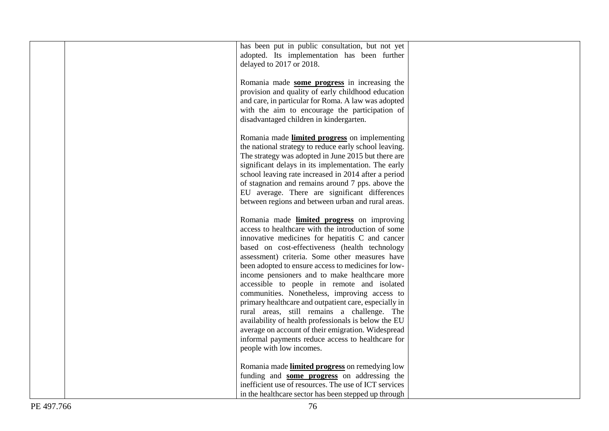| has been put in public consultation, but not yet      |  |
|-------------------------------------------------------|--|
| adopted. Its implementation has been further          |  |
| delayed to 2017 or 2018.                              |  |
|                                                       |  |
|                                                       |  |
| Romania made some progress in increasing the          |  |
| provision and quality of early childhood education    |  |
| and care, in particular for Roma. A law was adopted   |  |
|                                                       |  |
| with the aim to encourage the participation of        |  |
| disadvantaged children in kindergarten.               |  |
|                                                       |  |
| Romania made limited progress on implementing         |  |
|                                                       |  |
| the national strategy to reduce early school leaving. |  |
| The strategy was adopted in June 2015 but there are   |  |
| significant delays in its implementation. The early   |  |
| school leaving rate increased in 2014 after a period  |  |
|                                                       |  |
| of stagnation and remains around 7 pps. above the     |  |
| EU average. There are significant differences         |  |
| between regions and between urban and rural areas.    |  |
|                                                       |  |
|                                                       |  |
| Romania made limited progress on improving            |  |
| access to healthcare with the introduction of some    |  |
| innovative medicines for hepatitis C and cancer       |  |
| based on cost-effectiveness (health technology        |  |
| assessment) criteria. Some other measures have        |  |
|                                                       |  |
| been adopted to ensure access to medicines for low-   |  |
| income pensioners and to make healthcare more         |  |
| accessible to people in remote and isolated           |  |
|                                                       |  |
| communities. Nonetheless, improving access to         |  |
| primary healthcare and outpatient care, especially in |  |
| rural areas, still remains a challenge. The           |  |
| availability of health professionals is below the EU  |  |
| average on account of their emigration. Widespread    |  |
|                                                       |  |
| informal payments reduce access to healthcare for     |  |
| people with low incomes.                              |  |
|                                                       |  |
| Romania made limited progress on remedying low        |  |
| funding and some progress on addressing the           |  |
|                                                       |  |
| inefficient use of resources. The use of ICT services |  |
| in the healthcare sector has been stepped up through  |  |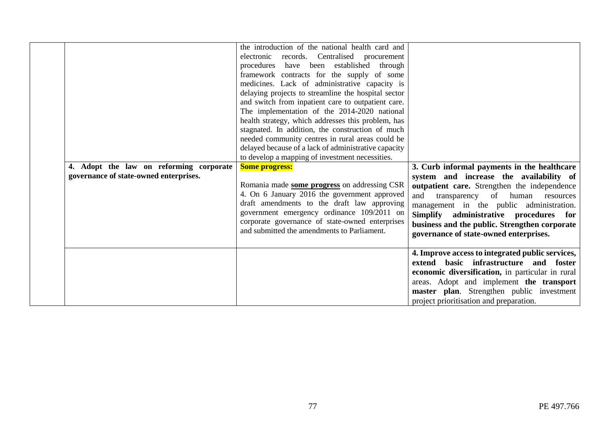| 4. Adopt the law on reforming corporate<br>governance of state-owned enterprises. | the introduction of the national health card and<br>electronic records. Centralised procurement<br>procedures have been established through<br>framework contracts for the supply of some<br>medicines. Lack of administrative capacity is<br>delaying projects to streamline the hospital sector<br>and switch from inpatient care to outpatient care.<br>The implementation of the 2014-2020 national<br>health strategy, which addresses this problem, has<br>stagnated. In addition, the construction of much<br>needed community centres in rural areas could be<br>delayed because of a lack of administrative capacity<br>to develop a mapping of investment necessities.<br><b>Some progress:</b><br>Romania made some progress on addressing CSR<br>4. On 6 January 2016 the government approved<br>draft amendments to the draft law approving<br>government emergency ordinance 109/2011 on<br>corporate governance of state-owned enterprises<br>and submitted the amendments to Parliament. | 3. Curb informal payments in the healthcare<br>system and increase the availability of<br>outpatient care. Strengthen the independence<br>transparency of human resources<br>and<br>management in the public administration.<br>Simplify administrative procedures for<br>business and the public. Strengthen corporate<br>governance of state-owned enterprises. |
|-----------------------------------------------------------------------------------|----------------------------------------------------------------------------------------------------------------------------------------------------------------------------------------------------------------------------------------------------------------------------------------------------------------------------------------------------------------------------------------------------------------------------------------------------------------------------------------------------------------------------------------------------------------------------------------------------------------------------------------------------------------------------------------------------------------------------------------------------------------------------------------------------------------------------------------------------------------------------------------------------------------------------------------------------------------------------------------------------------|-------------------------------------------------------------------------------------------------------------------------------------------------------------------------------------------------------------------------------------------------------------------------------------------------------------------------------------------------------------------|
|                                                                                   |                                                                                                                                                                                                                                                                                                                                                                                                                                                                                                                                                                                                                                                                                                                                                                                                                                                                                                                                                                                                          | 4. Improve access to integrated public services,<br>basic infrastructure and foster<br>extend<br>economic diversification, in particular in rural<br>areas. Adopt and implement the transport<br>master plan. Strengthen public investment<br>project prioritisation and preparation.                                                                             |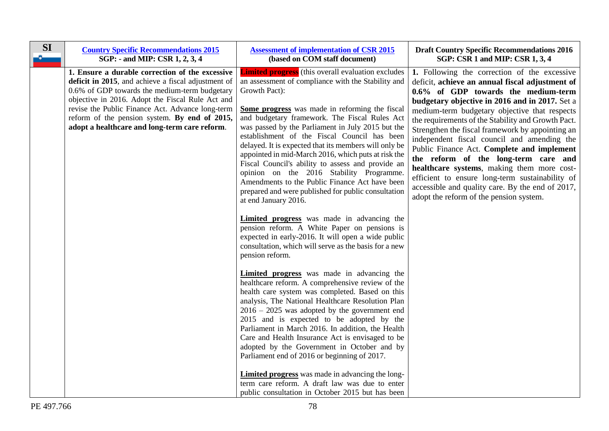| <b>SI</b> | <b>Country Specific Recommendations 2015</b><br>SGP: - and MIP: CSR 1, 2, 3, 4                                                                                                                                                                                                                                                                                    | <b>Assessment of implementation of CSR 2015</b><br>(based on COM staff document)                                                                                                                                                                                                                                                                                                                                                                                                                                                                                                                                                                                                                                                                                                                                                                                                                                           | <b>Draft Country Specific Recommendations 2016</b><br>SGP: CSR 1 and MIP: CSR 1, 3, 4                                                                                                                                                                                                                                                                                                                                                                                                                                                                                                                                                                                                    |
|-----------|-------------------------------------------------------------------------------------------------------------------------------------------------------------------------------------------------------------------------------------------------------------------------------------------------------------------------------------------------------------------|----------------------------------------------------------------------------------------------------------------------------------------------------------------------------------------------------------------------------------------------------------------------------------------------------------------------------------------------------------------------------------------------------------------------------------------------------------------------------------------------------------------------------------------------------------------------------------------------------------------------------------------------------------------------------------------------------------------------------------------------------------------------------------------------------------------------------------------------------------------------------------------------------------------------------|------------------------------------------------------------------------------------------------------------------------------------------------------------------------------------------------------------------------------------------------------------------------------------------------------------------------------------------------------------------------------------------------------------------------------------------------------------------------------------------------------------------------------------------------------------------------------------------------------------------------------------------------------------------------------------------|
|           | 1. Ensure a durable correction of the excessive<br>deficit in 2015, and achieve a fiscal adjustment of<br>0.6% of GDP towards the medium-term budgetary<br>objective in 2016. Adopt the Fiscal Rule Act and<br>revise the Public Finance Act. Advance long-term<br>reform of the pension system. By end of 2015,<br>adopt a healthcare and long-term care reform. | <b>Limited progress</b> (this overall evaluation excludes<br>an assessment of compliance with the Stability and<br>Growth Pact):<br>Some progress was made in reforming the fiscal<br>and budgetary framework. The Fiscal Rules Act<br>was passed by the Parliament in July 2015 but the<br>establishment of the Fiscal Council has been<br>delayed. It is expected that its members will only be<br>appointed in mid-March 2016, which puts at risk the<br>Fiscal Council's ability to assess and provide an<br>opinion on the 2016 Stability Programme.<br>Amendments to the Public Finance Act have been<br>prepared and were published for public consultation<br>at end January 2016.<br>Limited progress was made in advancing the<br>pension reform. A White Paper on pensions is<br>expected in early-2016. It will open a wide public<br>consultation, which will serve as the basis for a new<br>pension reform. | 1. Following the correction of the excessive<br>deficit, achieve an annual fiscal adjustment of<br>0.6% of GDP towards the medium-term<br>budgetary objective in 2016 and in 2017. Set a<br>medium-term budgetary objective that respects<br>the requirements of the Stability and Growth Pact.<br>Strengthen the fiscal framework by appointing an<br>independent fiscal council and amending the<br>Public Finance Act. Complete and implement<br>the reform of the long-term care and<br>healthcare systems, making them more cost-<br>efficient to ensure long-term sustainability of<br>accessible and quality care. By the end of 2017,<br>adopt the reform of the pension system. |
|           |                                                                                                                                                                                                                                                                                                                                                                   | <b>Limited progress</b> was made in advancing the<br>healthcare reform. A comprehensive review of the<br>health care system was completed. Based on this<br>analysis, The National Healthcare Resolution Plan<br>$2016 - 2025$ was adopted by the government end<br>2015 and is expected to be adopted by the<br>Parliament in March 2016. In addition, the Health<br>Care and Health Insurance Act is envisaged to be<br>adopted by the Government in October and by<br>Parliament end of 2016 or beginning of 2017.<br><b>Limited progress</b> was made in advancing the long-<br>term care reform. A draft law was due to enter<br>public consultation in October 2015 but has been                                                                                                                                                                                                                                     |                                                                                                                                                                                                                                                                                                                                                                                                                                                                                                                                                                                                                                                                                          |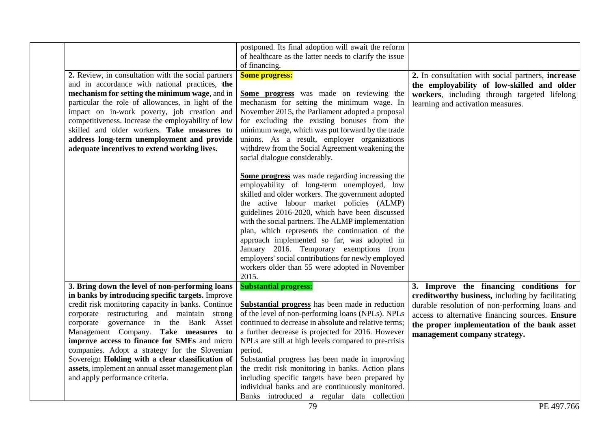|                                                                                                                                                                                                                                                                                                                                                                                                                                                                                                                                          | postponed. Its final adoption will await the reform<br>of healthcare as the latter needs to clarify the issue<br>of financing.                                                                                                                                                                                                                                                                                                                                                                                                                                                      |                                                                                                                                                                                                                                                                                 |
|------------------------------------------------------------------------------------------------------------------------------------------------------------------------------------------------------------------------------------------------------------------------------------------------------------------------------------------------------------------------------------------------------------------------------------------------------------------------------------------------------------------------------------------|-------------------------------------------------------------------------------------------------------------------------------------------------------------------------------------------------------------------------------------------------------------------------------------------------------------------------------------------------------------------------------------------------------------------------------------------------------------------------------------------------------------------------------------------------------------------------------------|---------------------------------------------------------------------------------------------------------------------------------------------------------------------------------------------------------------------------------------------------------------------------------|
| 2. Review, in consultation with the social partners<br>and in accordance with national practices, the<br>mechanism for setting the minimum wage, and in<br>particular the role of allowances, in light of the<br>impact on in-work poverty, job creation and<br>competitiveness. Increase the employability of low<br>skilled and older workers. Take measures to<br>address long-term unemployment and provide<br>adequate incentives to extend working lives.                                                                          | <b>Some progress:</b><br>Some progress was made on reviewing the<br>mechanism for setting the minimum wage. In<br>November 2015, the Parliament adopted a proposal<br>for excluding the existing bonuses from the<br>minimum wage, which was put forward by the trade<br>unions. As a result, employer organizations<br>withdrew from the Social Agreement weakening the<br>social dialogue considerably.                                                                                                                                                                           | 2. In consultation with social partners, increase<br>the employability of low-skilled and older<br>workers, including through targeted lifelong<br>learning and activation measures.                                                                                            |
|                                                                                                                                                                                                                                                                                                                                                                                                                                                                                                                                          | Some progress was made regarding increasing the<br>employability of long-term unemployed, low<br>skilled and older workers. The government adopted<br>the active labour market policies (ALMP)<br>guidelines 2016-2020, which have been discussed<br>with the social partners. The ALMP implementation<br>plan, which represents the continuation of the<br>approach implemented so far, was adopted in<br>January 2016. Temporary exemptions from<br>employers' social contributions for newly employed<br>workers older than 55 were adopted in November<br>2015.                 |                                                                                                                                                                                                                                                                                 |
| 3. Bring down the level of non-performing loans<br>in banks by introducing specific targets. Improve<br>credit risk monitoring capacity in banks. Continue<br>corporate restructuring and maintain strong<br>corporate governance in the Bank Asset<br>Management Company. Take measures to<br>improve access to finance for SMEs and micro<br>companies. Adopt a strategy for the Slovenian<br>Sovereign Holding with a clear classification of<br>assets, implement an annual asset management plan<br>and apply performance criteria. | <b>Substantial progress:</b><br>Substantial progress has been made in reduction<br>of the level of non-performing loans (NPLs). NPLs<br>continued to decrease in absolute and relative terms;<br>a further decrease is projected for 2016. However<br>NPLs are still at high levels compared to pre-crisis<br>period.<br>Substantial progress has been made in improving<br>the credit risk monitoring in banks. Action plans<br>including specific targets have been prepared by<br>individual banks and are continuously monitored.<br>Banks introduced a regular data collection | 3. Improve the financing conditions for<br>creditworthy business, including by facilitating<br>durable resolution of non-performing loans and<br>access to alternative financing sources. Ensure<br>the proper implementation of the bank asset<br>management company strategy. |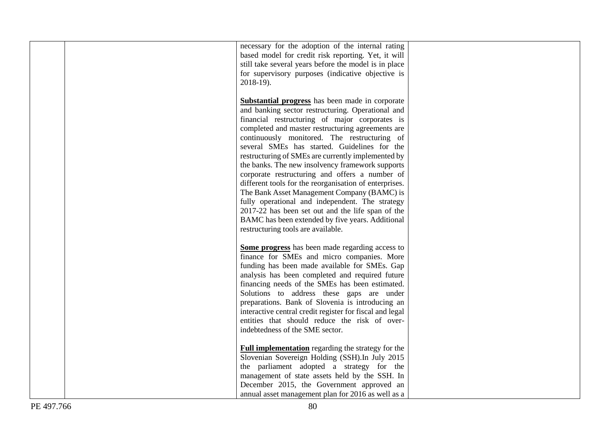|  | necessary for the adoption of the internal rating<br>based model for credit risk reporting. Yet, it will<br>still take several years before the model is in place<br>for supervisory purposes (indicative objective is<br>2018-19). |  |
|--|-------------------------------------------------------------------------------------------------------------------------------------------------------------------------------------------------------------------------------------|--|
|  | <b>Substantial progress</b> has been made in corporate<br>and banking sector restructuring. Operational and<br>financial restructuring of major corporates is                                                                       |  |
|  | completed and master restructuring agreements are<br>continuously monitored. The restructuring of<br>several SMEs has started. Guidelines for the                                                                                   |  |
|  | restructuring of SMEs are currently implemented by<br>the banks. The new insolvency framework supports                                                                                                                              |  |
|  | corporate restructuring and offers a number of<br>different tools for the reorganisation of enterprises.<br>The Bank Asset Management Company (BAMC) is                                                                             |  |
|  | fully operational and independent. The strategy<br>2017-22 has been set out and the life span of the<br>BAMC has been extended by five years. Additional<br>restructuring tools are available.                                      |  |
|  | Some progress has been made regarding access to<br>finance for SMEs and micro companies. More<br>funding has been made available for SMEs. Gap<br>analysis has been completed and required future                                   |  |
|  | financing needs of the SMEs has been estimated.<br>Solutions to address these gaps are under<br>preparations. Bank of Slovenia is introducing an                                                                                    |  |
|  | interactive central credit register for fiscal and legal<br>entities that should reduce the risk of over-<br>indebtedness of the SME sector.                                                                                        |  |
|  | <b>Full implementation</b> regarding the strategy for the<br>Slovenian Sovereign Holding (SSH). In July 2015<br>the parliament adopted a strategy for the                                                                           |  |
|  | management of state assets held by the SSH. In<br>December 2015, the Government approved an<br>annual asset management plan for 2016 as well as a                                                                                   |  |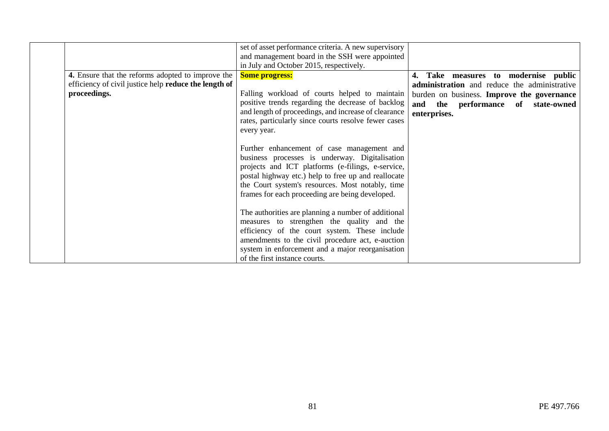|                                                       | set of asset performance criteria. A new supervisory<br>and management board in the SSH were appointed<br>in July and October 2015, respectively. |                                                   |
|-------------------------------------------------------|---------------------------------------------------------------------------------------------------------------------------------------------------|---------------------------------------------------|
| 4. Ensure that the reforms adopted to improve the     | <b>Some progress:</b>                                                                                                                             | Take measures to modernise public                 |
| efficiency of civil justice help reduce the length of |                                                                                                                                                   | administration and reduce the administrative      |
| proceedings.                                          | Falling workload of courts helped to maintain                                                                                                     | burden on business. <b>Improve the governance</b> |
|                                                       | positive trends regarding the decrease of backlog                                                                                                 | and the performance of state-owned                |
|                                                       | and length of proceedings, and increase of clearance<br>rates, particularly since courts resolve fewer cases                                      | enterprises.                                      |
|                                                       | every year.                                                                                                                                       |                                                   |
|                                                       |                                                                                                                                                   |                                                   |
|                                                       | Further enhancement of case management and                                                                                                        |                                                   |
|                                                       | business processes is underway. Digitalisation                                                                                                    |                                                   |
|                                                       | projects and ICT platforms (e-filings, e-service,                                                                                                 |                                                   |
|                                                       | postal highway etc.) help to free up and reallocate                                                                                               |                                                   |
|                                                       | the Court system's resources. Most notably, time<br>frames for each proceeding are being developed.                                               |                                                   |
|                                                       |                                                                                                                                                   |                                                   |
|                                                       | The authorities are planning a number of additional                                                                                               |                                                   |
|                                                       | measures to strengthen the quality and the                                                                                                        |                                                   |
|                                                       | efficiency of the court system. These include                                                                                                     |                                                   |
|                                                       | amendments to the civil procedure act, e-auction                                                                                                  |                                                   |
|                                                       | system in enforcement and a major reorganisation                                                                                                  |                                                   |
|                                                       | of the first instance courts.                                                                                                                     |                                                   |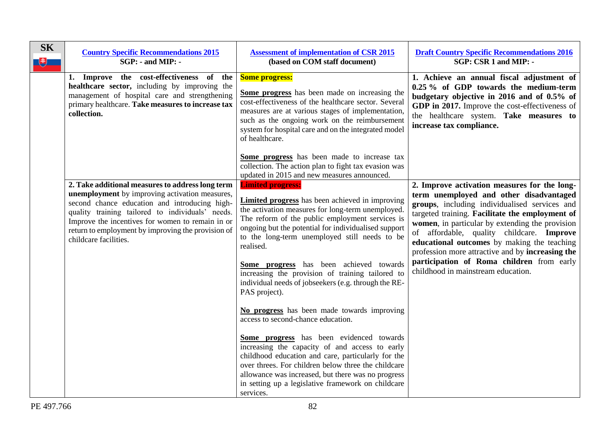| <b>SK</b><br>电 | <b>Country Specific Recommendations 2015</b><br>$SGP: -$ and $MIP: -$                                                                                                                                                                                                                                                                      | <b>Assessment of implementation of CSR 2015</b><br>(based on COM staff document)                                                                                                                                                                                                                                                                                                                                                                                                                                                                                                                                                                                                                                                  | <b>Draft Country Specific Recommendations 2016</b><br>SGP: CSR 1 and MIP: -                                                                                                                                                                                                                                                                                                                                                                                                       |
|----------------|--------------------------------------------------------------------------------------------------------------------------------------------------------------------------------------------------------------------------------------------------------------------------------------------------------------------------------------------|-----------------------------------------------------------------------------------------------------------------------------------------------------------------------------------------------------------------------------------------------------------------------------------------------------------------------------------------------------------------------------------------------------------------------------------------------------------------------------------------------------------------------------------------------------------------------------------------------------------------------------------------------------------------------------------------------------------------------------------|-----------------------------------------------------------------------------------------------------------------------------------------------------------------------------------------------------------------------------------------------------------------------------------------------------------------------------------------------------------------------------------------------------------------------------------------------------------------------------------|
|                | 1. Improve the cost-effectiveness of the<br>healthcare sector, including by improving the<br>management of hospital care and strengthening<br>primary healthcare. Take measures to increase tax<br>collection.                                                                                                                             | <b>Some progress:</b><br>Some progress has been made on increasing the<br>cost-effectiveness of the healthcare sector. Several<br>measures are at various stages of implementation,<br>such as the ongoing work on the reimbursement<br>system for hospital care and on the integrated model<br>of healthcare.                                                                                                                                                                                                                                                                                                                                                                                                                    | 1. Achieve an annual fiscal adjustment of<br>0.25 % of GDP towards the medium-term<br>budgetary objective in 2016 and of 0.5% of<br>GDP in 2017. Improve the cost-effectiveness of<br>the healthcare system. Take measures to<br>increase tax compliance.                                                                                                                                                                                                                         |
|                |                                                                                                                                                                                                                                                                                                                                            | Some progress has been made to increase tax<br>collection. The action plan to fight tax evasion was<br>updated in 2015 and new measures announced.                                                                                                                                                                                                                                                                                                                                                                                                                                                                                                                                                                                |                                                                                                                                                                                                                                                                                                                                                                                                                                                                                   |
|                | 2. Take additional measures to address long term<br>unemployment by improving activation measures,<br>second chance education and introducing high-<br>quality training tailored to individuals' needs.<br>Improve the incentives for women to remain in or<br>return to employment by improving the provision of<br>childcare facilities. | <b>Limited progress:</b><br><b>Limited progress</b> has been achieved in improving<br>the activation measures for long-term unemployed.<br>The reform of the public employment services is<br>ongoing but the potential for individualised support<br>to the long-term unemployed still needs to be<br>realised.<br>Some progress has been achieved towards<br>increasing the provision of training tailored to<br>individual needs of jobseekers (e.g. through the RE-<br>PAS project).<br>No progress has been made towards improving<br>access to second-chance education.<br>Some progress has been evidenced towards<br>increasing the capacity of and access to early<br>childhood education and care, particularly for the | 2. Improve activation measures for the long-<br>term unemployed and other disadvantaged<br>groups, including individualised services and<br>targeted training. Facilitate the employment of<br>women, in particular by extending the provision<br>of affordable, quality childcare. Improve<br>educational outcomes by making the teaching<br>profession more attractive and by increasing the<br>participation of Roma children from early<br>childhood in mainstream education. |
|                |                                                                                                                                                                                                                                                                                                                                            | over threes. For children below three the childcare<br>allowance was increased, but there was no progress<br>in setting up a legislative framework on childcare<br>services.                                                                                                                                                                                                                                                                                                                                                                                                                                                                                                                                                      |                                                                                                                                                                                                                                                                                                                                                                                                                                                                                   |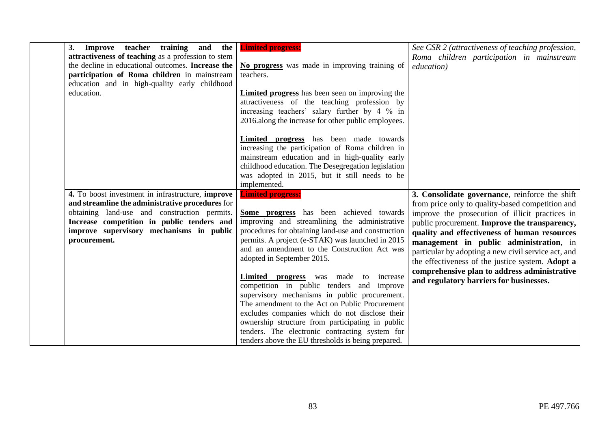| 3.<br>training<br>and<br><b>Improve</b> teacher                                                  | the   <b>Limited progress:</b>                                                           | See CSR 2 (attractiveness of teaching profession,   |
|--------------------------------------------------------------------------------------------------|------------------------------------------------------------------------------------------|-----------------------------------------------------|
| attractiveness of teaching as a profession to stem                                               |                                                                                          | Roma children participation in mainstream           |
| the decline in educational outcomes. Increase the                                                | No progress was made in improving training of                                            | <i>education</i> )                                  |
| participation of Roma children in mainstream                                                     | teachers.                                                                                |                                                     |
| education and in high-quality early childhood                                                    |                                                                                          |                                                     |
| education.                                                                                       | <b>Limited progress</b> has been seen on improving the                                   |                                                     |
|                                                                                                  | attractiveness of the teaching profession by                                             |                                                     |
|                                                                                                  | increasing teachers' salary further by 4 % in                                            |                                                     |
|                                                                                                  | 2016.along the increase for other public employees.                                      |                                                     |
|                                                                                                  |                                                                                          |                                                     |
|                                                                                                  | <b>Limited progress</b> has been made towards                                            |                                                     |
|                                                                                                  | increasing the participation of Roma children in                                         |                                                     |
|                                                                                                  | mainstream education and in high-quality early                                           |                                                     |
|                                                                                                  | childhood education. The Desegregation legislation                                       |                                                     |
|                                                                                                  | was adopted in 2015, but it still needs to be                                            |                                                     |
|                                                                                                  | implemented.                                                                             |                                                     |
| 4. To boost investment in infrastructure, improve                                                | <b>Limited progress:</b>                                                                 | 3. Consolidate governance, reinforce the shift      |
| and streamline the administrative procedures for<br>obtaining land-use and construction permits. |                                                                                          | from price only to quality-based competition and    |
| Increase competition in public tenders and                                                       | Some progress has been achieved towards<br>improving and streamlining the administrative | improve the prosecution of illicit practices in     |
| improve supervisory mechanisms in public                                                         | procedures for obtaining land-use and construction                                       | public procurement. Improve the transparency,       |
| procurement.                                                                                     | permits. A project (e-STAK) was launched in 2015                                         | quality and effectiveness of human resources        |
|                                                                                                  | and an amendment to the Construction Act was                                             | management in public administration, in             |
|                                                                                                  | adopted in September 2015.                                                               | particular by adopting a new civil service act, and |
|                                                                                                  |                                                                                          | the effectiveness of the justice system. Adopt a    |
|                                                                                                  | Limited progress<br>was made<br>increase<br>to                                           | comprehensive plan to address administrative        |
|                                                                                                  | competition in public tenders and improve                                                | and regulatory barriers for businesses.             |
|                                                                                                  | supervisory mechanisms in public procurement.                                            |                                                     |
|                                                                                                  | The amendment to the Act on Public Procurement                                           |                                                     |
|                                                                                                  | excludes companies which do not disclose their                                           |                                                     |
|                                                                                                  | ownership structure from participating in public                                         |                                                     |
|                                                                                                  | tenders. The electronic contracting system for                                           |                                                     |
|                                                                                                  | tenders above the EU thresholds is being prepared.                                       |                                                     |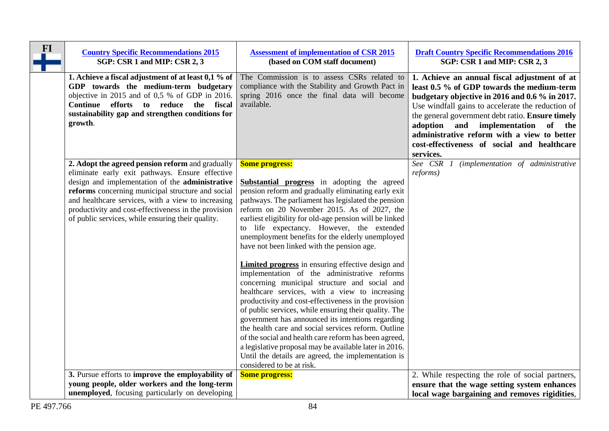| $FI$ | <b>Country Specific Recommendations 2015</b><br>SGP: CSR 1 and MIP: CSR 2, 3                                                                                                                                                                                                                                                                                                   | <b>Assessment of implementation of CSR 2015</b><br>(based on COM staff document)                                                                                                                                                                                                                                                                                                                                                                                                                                                                                                                                                                                                                                                                                                                                                                                                                                                                                                                                                                                                                      | <b>Draft Country Specific Recommendations 2016</b><br>SGP: CSR 1 and MIP: CSR 2, 3                                                                                                                                                                                                                                                                                                                     |
|------|--------------------------------------------------------------------------------------------------------------------------------------------------------------------------------------------------------------------------------------------------------------------------------------------------------------------------------------------------------------------------------|-------------------------------------------------------------------------------------------------------------------------------------------------------------------------------------------------------------------------------------------------------------------------------------------------------------------------------------------------------------------------------------------------------------------------------------------------------------------------------------------------------------------------------------------------------------------------------------------------------------------------------------------------------------------------------------------------------------------------------------------------------------------------------------------------------------------------------------------------------------------------------------------------------------------------------------------------------------------------------------------------------------------------------------------------------------------------------------------------------|--------------------------------------------------------------------------------------------------------------------------------------------------------------------------------------------------------------------------------------------------------------------------------------------------------------------------------------------------------------------------------------------------------|
|      | 1. Achieve a fiscal adjustment of at least 0,1 % of<br>GDP towards the medium-term budgetary<br>objective in 2015 and of 0,5 % of GDP in 2016.<br>Continue efforts to reduce the fiscal<br>sustainability gap and strengthen conditions for<br>growth.                                                                                                                         | The Commission is to assess CSRs related to<br>compliance with the Stability and Growth Pact in<br>spring 2016 once the final data will become<br>available.                                                                                                                                                                                                                                                                                                                                                                                                                                                                                                                                                                                                                                                                                                                                                                                                                                                                                                                                          | 1. Achieve an annual fiscal adjustment of at<br>least 0.5 % of GDP towards the medium-term<br>budgetary objective in 2016 and 0.6 % in 2017.<br>Use windfall gains to accelerate the reduction of<br>the general government debt ratio. Ensure timely<br>adoption and implementation of the<br>administrative reform with a view to better<br>cost-effectiveness of social and healthcare<br>services. |
|      | 2. Adopt the agreed pension reform and gradually<br>eliminate early exit pathways. Ensure effective<br>design and implementation of the administrative<br>reforms concerning municipal structure and social<br>and healthcare services, with a view to increasing<br>productivity and cost-effectiveness in the provision<br>of public services, while ensuring their quality. | <b>Some progress:</b><br><b>Substantial progress</b> in adopting the agreed<br>pension reform and gradually eliminating early exit<br>pathways. The parliament has legislated the pension<br>reform on 20 November 2015. As of 2027, the<br>earliest eligibility for old-age pension will be linked<br>to life expectancy. However, the extended<br>unemployment benefits for the elderly unemployed<br>have not been linked with the pension age.<br><b>Limited progress</b> in ensuring effective design and<br>implementation of the administrative reforms<br>concerning municipal structure and social and<br>healthcare services, with a view to increasing<br>productivity and cost-effectiveness in the provision<br>of public services, while ensuring their quality. The<br>government has announced its intentions regarding<br>the health care and social services reform. Outline<br>of the social and health care reform has been agreed,<br>a legislative proposal may be available later in 2016.<br>Until the details are agreed, the implementation is<br>considered to be at risk. | See CSR 1 (implementation of administrative<br><i>reforms</i> )                                                                                                                                                                                                                                                                                                                                        |
|      | 3. Pursue efforts to improve the employability of<br>young people, older workers and the long-term<br><b>unemployed</b> , focusing particularly on developing                                                                                                                                                                                                                  | <b>Some progress:</b>                                                                                                                                                                                                                                                                                                                                                                                                                                                                                                                                                                                                                                                                                                                                                                                                                                                                                                                                                                                                                                                                                 | 2. While respecting the role of social partners,<br>ensure that the wage setting system enhances<br>local wage bargaining and removes rigidities,                                                                                                                                                                                                                                                      |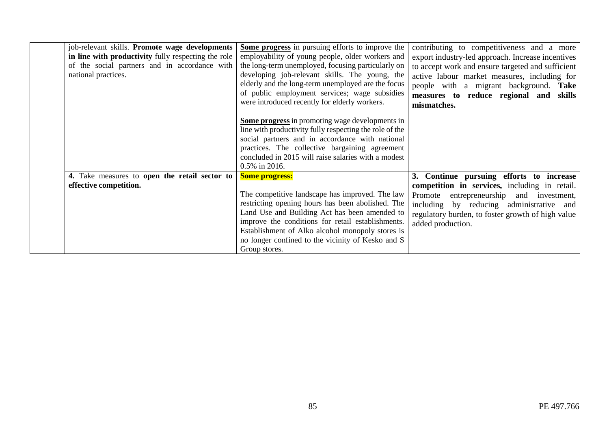| job-relevant skills. Promote wage developments<br>in line with productivity fully respecting the role<br>of the social partners and in accordance with<br>national practices. | Some progress in pursuing efforts to improve the<br>employability of young people, older workers and<br>the long-term unemployed, focusing particularly on<br>developing job-relevant skills. The young, the<br>elderly and the long-term unemployed are the focus<br>of public employment services; wage subsidies<br>were introduced recently for elderly workers. | contributing to competitiveness and a more<br>export industry-led approach. Increase incentives<br>to accept work and ensure targeted and sufficient<br>active labour market measures, including for<br>people with a migrant background. Take<br>measures to reduce regional and skills<br>mismatches. |
|-------------------------------------------------------------------------------------------------------------------------------------------------------------------------------|----------------------------------------------------------------------------------------------------------------------------------------------------------------------------------------------------------------------------------------------------------------------------------------------------------------------------------------------------------------------|---------------------------------------------------------------------------------------------------------------------------------------------------------------------------------------------------------------------------------------------------------------------------------------------------------|
|                                                                                                                                                                               | <b>Some progress</b> in promoting wage developments in<br>line with productivity fully respecting the role of the<br>social partners and in accordance with national<br>practices. The collective bargaining agreement<br>concluded in 2015 will raise salaries with a modest<br>0.5% in 2016.                                                                       |                                                                                                                                                                                                                                                                                                         |
| 4. Take measures to open the retail sector to<br>effective competition.                                                                                                       | <b>Some progress:</b><br>The competitive landscape has improved. The law<br>restricting opening hours has been abolished. The<br>Land Use and Building Act has been amended to<br>improve the conditions for retail establishments.<br>Establishment of Alko alcohol monopoly stores is<br>no longer confined to the vicinity of Kesko and S<br>Group stores.        | 3. Continue pursuing efforts to increase<br>competition in services, including in retail.<br>entrepreneurship and investment,<br>Promote<br>including by reducing administrative and<br>regulatory burden, to foster growth of high value<br>added production.                                          |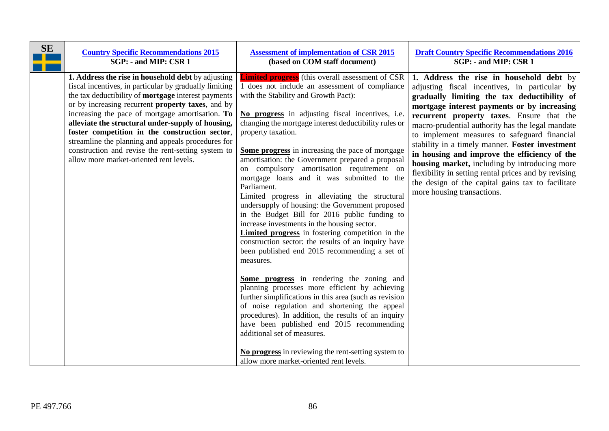| SE | <b>Country Specific Recommendations 2015</b>                                                                                                                                                                                                                                                                                                                                                                                                                                                                                                       | <b>Assessment of implementation of CSR 2015</b>                                                                                                                                                                                                                                                                                                                                                                                                                                                                                                                                                                                                                                                                                                                                                                                                                                                                                                                                                                                                                                                                                                                                                                                                                                                        | <b>Draft Country Specific Recommendations 2016</b>                                                                                                                                                                                                                                                                                                                                                                                                                                                                                                                                                                                      |
|----|----------------------------------------------------------------------------------------------------------------------------------------------------------------------------------------------------------------------------------------------------------------------------------------------------------------------------------------------------------------------------------------------------------------------------------------------------------------------------------------------------------------------------------------------------|--------------------------------------------------------------------------------------------------------------------------------------------------------------------------------------------------------------------------------------------------------------------------------------------------------------------------------------------------------------------------------------------------------------------------------------------------------------------------------------------------------------------------------------------------------------------------------------------------------------------------------------------------------------------------------------------------------------------------------------------------------------------------------------------------------------------------------------------------------------------------------------------------------------------------------------------------------------------------------------------------------------------------------------------------------------------------------------------------------------------------------------------------------------------------------------------------------------------------------------------------------------------------------------------------------|-----------------------------------------------------------------------------------------------------------------------------------------------------------------------------------------------------------------------------------------------------------------------------------------------------------------------------------------------------------------------------------------------------------------------------------------------------------------------------------------------------------------------------------------------------------------------------------------------------------------------------------------|
|    | SGP: - and MIP: CSR 1                                                                                                                                                                                                                                                                                                                                                                                                                                                                                                                              | (based on COM staff document)                                                                                                                                                                                                                                                                                                                                                                                                                                                                                                                                                                                                                                                                                                                                                                                                                                                                                                                                                                                                                                                                                                                                                                                                                                                                          | SGP: - and MIP: CSR 1                                                                                                                                                                                                                                                                                                                                                                                                                                                                                                                                                                                                                   |
|    | 1. Address the rise in household debt by adjusting<br>fiscal incentives, in particular by gradually limiting<br>the tax deductibility of mortgage interest payments<br>or by increasing recurrent <b>property taxes</b> , and by<br>increasing the pace of mortgage amortisation. To<br>alleviate the structural under-supply of housing,<br>foster competition in the construction sector,<br>streamline the planning and appeals procedures for<br>construction and revise the rent-setting system to<br>allow more market-oriented rent levels. | <b>Limited progress</b> (this overall assessment of CSR<br>1 does not include an assessment of compliance<br>with the Stability and Growth Pact):<br>No progress in adjusting fiscal incentives, i.e.<br>changing the mortgage interest deductibility rules or<br>property taxation.<br><b>Some progress</b> in increasing the pace of mortgage<br>amortisation: the Government prepared a proposal<br>on compulsory amortisation requirement on<br>mortgage loans and it was submitted to the<br>Parliament.<br>Limited progress in alleviating the structural<br>undersupply of housing: the Government proposed<br>in the Budget Bill for 2016 public funding to<br>increase investments in the housing sector.<br><b>Limited progress</b> in fostering competition in the<br>construction sector: the results of an inquiry have<br>been published end 2015 recommending a set of<br>measures.<br>Some progress in rendering the zoning and<br>planning processes more efficient by achieving<br>further simplifications in this area (such as revision<br>of noise regulation and shortening the appeal<br>procedures). In addition, the results of an inquiry<br>have been published end 2015 recommending<br>additional set of measures.<br>No progress in reviewing the rent-setting system to | 1. Address the rise in household debt by<br>adjusting fiscal incentives, in particular by<br>gradually limiting the tax deductibility of<br>mortgage interest payments or by increasing<br>recurrent property taxes. Ensure that the<br>macro-prudential authority has the legal mandate<br>to implement measures to safeguard financial<br>stability in a timely manner. Foster investment<br>in housing and improve the efficiency of the<br>housing market, including by introducing more<br>flexibility in setting rental prices and by revising<br>the design of the capital gains tax to facilitate<br>more housing transactions. |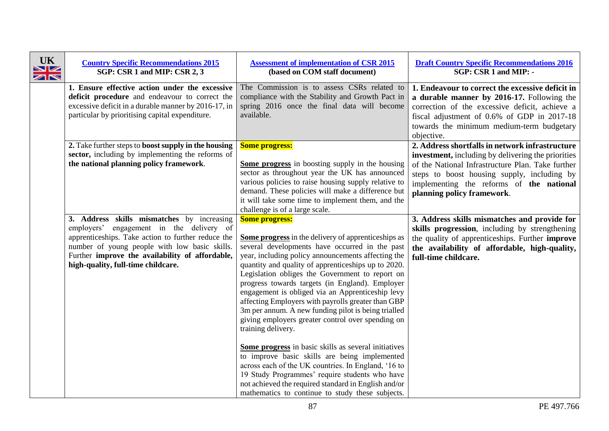| <b>UK</b><br>VZ<br>$\geq$ | <b>Country Specific Recommendations 2015</b><br>SGP: CSR 1 and MIP: CSR 2, 3                                                                                                                                                                                                           | <b>Assessment of implementation of CSR 2015</b><br>(based on COM staff document)                                                                                                                                                                                                                                                                                                                                                                                                                                                                                                                                                                                                                                                                                                                                                                                                                                                   | <b>Draft Country Specific Recommendations 2016</b><br>SGP: CSR 1 and MIP: -                                                                                                                                                                                                         |
|---------------------------|----------------------------------------------------------------------------------------------------------------------------------------------------------------------------------------------------------------------------------------------------------------------------------------|------------------------------------------------------------------------------------------------------------------------------------------------------------------------------------------------------------------------------------------------------------------------------------------------------------------------------------------------------------------------------------------------------------------------------------------------------------------------------------------------------------------------------------------------------------------------------------------------------------------------------------------------------------------------------------------------------------------------------------------------------------------------------------------------------------------------------------------------------------------------------------------------------------------------------------|-------------------------------------------------------------------------------------------------------------------------------------------------------------------------------------------------------------------------------------------------------------------------------------|
|                           | 1. Ensure effective action under the excessive<br>deficit procedure and endeavour to correct the<br>excessive deficit in a durable manner by 2016-17, in<br>particular by prioritising capital expenditure.                                                                            | The Commission is to assess CSRs related to<br>compliance with the Stability and Growth Pact in<br>spring 2016 once the final data will become<br>available.                                                                                                                                                                                                                                                                                                                                                                                                                                                                                                                                                                                                                                                                                                                                                                       | 1. Endeavour to correct the excessive deficit in<br>a durable manner by 2016-17. Following the<br>correction of the excessive deficit, achieve a<br>fiscal adjustment of 0.6% of GDP in 2017-18<br>towards the minimum medium-term budgetary<br>objective.                          |
|                           | 2. Take further steps to boost supply in the housing<br>sector, including by implementing the reforms of<br>the national planning policy framework.                                                                                                                                    | <b>Some progress:</b><br>Some progress in boosting supply in the housing<br>sector as throughout year the UK has announced<br>various policies to raise housing supply relative to<br>demand. These policies will make a difference but<br>it will take some time to implement them, and the<br>challenge is of a large scale.                                                                                                                                                                                                                                                                                                                                                                                                                                                                                                                                                                                                     | 2. Address shortfalls in network infrastructure<br>investment, including by delivering the priorities<br>of the National Infrastructure Plan. Take further<br>steps to boost housing supply, including by<br>implementing the reforms of the national<br>planning policy framework. |
|                           | 3. Address skills mismatches by increasing<br>employers' engagement in the delivery of<br>apprenticeships. Take action to further reduce the<br>number of young people with low basic skills.<br>Further improve the availability of affordable,<br>high-quality, full-time childcare. | <b>Some progress:</b><br><b>Some progress</b> in the delivery of apprenticeships as<br>several developments have occurred in the past<br>year, including policy announcements affecting the<br>quantity and quality of apprenticeships up to 2020.<br>Legislation obliges the Government to report on<br>progress towards targets (in England). Employer<br>engagement is obliged via an Apprenticeship levy<br>affecting Employers with payrolls greater than GBP<br>3m per annum. A new funding pilot is being trialled<br>giving employers greater control over spending on<br>training delivery.<br>Some progress in basic skills as several initiatives<br>to improve basic skills are being implemented<br>across each of the UK countries. In England, '16 to<br>19 Study Programmes' require students who have<br>not achieved the required standard in English and/or<br>mathematics to continue to study these subjects. | 3. Address skills mismatches and provide for<br>skills progression, including by strengthening<br>the quality of apprenticeships. Further <b>improve</b><br>the availability of affordable, high-quality,<br>full-time childcare.                                                   |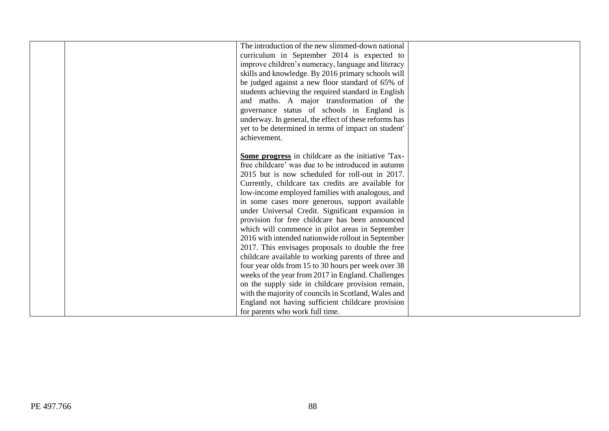| The introduction of the new slimmed-down national<br>curriculum in September 2014 is expected to<br>improve children's numeracy, language and literacy<br>skills and knowledge. By 2016 primary schools will<br>be judged against a new floor standard of 65% of<br>students achieving the required standard in English<br>and maths. A major transformation of the<br>governance status of schools in England is<br>underway. In general, the effect of these reforms has<br>yet to be determined in terms of impact on student'<br>achievement.                                                                                                                                                                                                                                                                                                                                                                                                                    |  |
|----------------------------------------------------------------------------------------------------------------------------------------------------------------------------------------------------------------------------------------------------------------------------------------------------------------------------------------------------------------------------------------------------------------------------------------------------------------------------------------------------------------------------------------------------------------------------------------------------------------------------------------------------------------------------------------------------------------------------------------------------------------------------------------------------------------------------------------------------------------------------------------------------------------------------------------------------------------------|--|
| Some progress in childcare as the initiative Tax-<br>free childcare' was due to be introduced in autumn<br>2015 but is now scheduled for roll-out in 2017.<br>Currently, childcare tax credits are available for<br>low-income employed families with analogous, and<br>in some cases more generous, support available<br>under Universal Credit. Significant expansion in<br>provision for free childcare has been announced<br>which will commence in pilot areas in September<br>2016 with intended nationwide rollout in September<br>2017. This envisages proposals to double the free<br>childcare available to working parents of three and<br>four year olds from 15 to 30 hours per week over 38<br>weeks of the year from 2017 in England. Challenges<br>on the supply side in childcare provision remain,<br>with the majority of councils in Scotland, Wales and<br>England not having sufficient childcare provision<br>for parents who work full time. |  |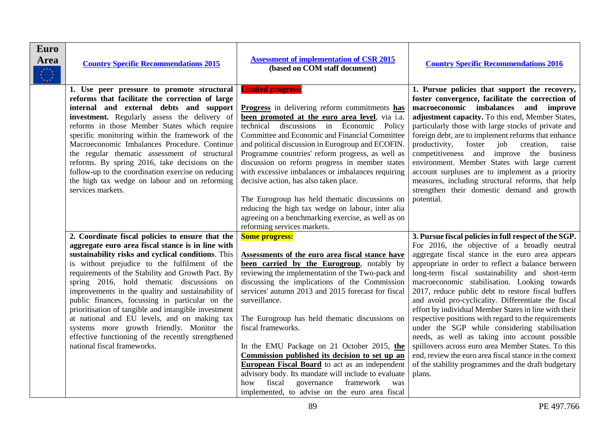| Euro<br><b>Area</b> | <b>Country Specific Recommendations 2015</b>                                                                                                                                                                                                                                                                                                                                                                                                                                                                                                                                                                                                                     | <b>Assessment of implementation of CSR 2015</b><br>(based on COM staff document)                                                                                                                                                                                                                                                                                                                                                                                                                                                                                                                                                                                                               | <b>Country Specific Recommendations 2016</b>                                                                                                                                                                                                                                                                                                                                                                                                                                                                                                                                                                                                                                                                                                                                                                                       |
|---------------------|------------------------------------------------------------------------------------------------------------------------------------------------------------------------------------------------------------------------------------------------------------------------------------------------------------------------------------------------------------------------------------------------------------------------------------------------------------------------------------------------------------------------------------------------------------------------------------------------------------------------------------------------------------------|------------------------------------------------------------------------------------------------------------------------------------------------------------------------------------------------------------------------------------------------------------------------------------------------------------------------------------------------------------------------------------------------------------------------------------------------------------------------------------------------------------------------------------------------------------------------------------------------------------------------------------------------------------------------------------------------|------------------------------------------------------------------------------------------------------------------------------------------------------------------------------------------------------------------------------------------------------------------------------------------------------------------------------------------------------------------------------------------------------------------------------------------------------------------------------------------------------------------------------------------------------------------------------------------------------------------------------------------------------------------------------------------------------------------------------------------------------------------------------------------------------------------------------------|
|                     | 1. Use peer pressure to promote structural<br>reforms that facilitate the correction of large<br>internal and external debts and support<br>investment. Regularly assess the delivery of<br>reforms in those Member States which require<br>specific monitoring within the framework of the<br>Macroeconomic Imbalances Procedure. Continue<br>the regular thematic assessment of structural<br>reforms. By spring 2016, take decisions on the<br>follow-up to the coordination exercise on reducing<br>the high tax wedge on labour and on reforming<br>services markets.                                                                                       | <b>Limited progress:</b><br><b>Progress</b> in delivering reform commitments has<br>been promoted at the euro area level, via i.a.<br>technical discussions in Economic Policy<br>Committee and Economic and Financial Committee<br>and political discussion in Eurogroup and ECOFIN.<br>Programme countries' reform progress, as well as<br>discussion on reform progress in member states<br>with excessive imbalances or imbalances requiring<br>decisive action, has also taken place.<br>The Eurogroup has held thematic discussions on<br>reducing the high tax wedge on labour, inter alia<br>agreeing on a benchmarking exercise, as well as on<br>reforming services markets.         | 1. Pursue policies that support the recovery,<br>foster convergence, facilitate the correction of<br>macroeconomic imbalances and improve<br>adjustment capacity. To this end, Member States,<br>particularly those with large stocks of private and<br>foreign debt, are to implement reforms that enhance<br>productivity, foster<br>job<br>creation,<br>raise<br>competitiveness and improve the business<br>environment. Member States with large current<br>account surpluses are to implement as a priority<br>measures, including structural reforms, that help<br>strengthen their domestic demand and growth<br>potential.                                                                                                                                                                                                |
|                     | 2. Coordinate fiscal policies to ensure that the<br>aggregate euro area fiscal stance is in line with<br>sustainability risks and cyclical conditions. This<br>is without prejudice to the fulfilment of the<br>requirements of the Stability and Growth Pact. By<br>spring 2016, hold thematic discussions on<br>improvements in the quality and sustainability of<br>public finances, focussing in particular on the<br>prioritisation of tangible and intangible investment<br>at national and EU levels, and on making tax<br>systems more growth friendly. Monitor the<br>effective functioning of the recently strengthened<br>national fiscal frameworks. | <b>Some progress:</b><br>Assessments of the euro area fiscal stance have<br>been carried by the Eurogroup, notably by<br>reviewing the implementation of the Two-pack and<br>discussing the implications of the Commission<br>services' autumn 2013 and 2015 forecast for fiscal<br>surveillance.<br>The Eurogroup has held thematic discussions on<br>fiscal frameworks.<br>In the EMU Package on 21 October 2015, the<br>Commission published its decision to set up an<br><b>European Fiscal Board</b> to act as an independent<br>advisory body. Its mandate will include to evaluate<br>fiscal<br>governance<br>framework<br>how<br>was<br>implemented, to advise on the euro area fiscal | 3. Pursue fiscal policies in full respect of the SGP.<br>For 2016, the objective of a broadly neutral<br>aggregate fiscal stance in the euro area appears<br>appropriate in order to reflect a balance between<br>long-term fiscal sustainability and short-term<br>macroeconomic stabilisation. Looking towards<br>2017, reduce public debt to restore fiscal buffers<br>and avoid pro-cyclicality. Differentiate the fiscal<br>effort by individual Member States in line with their<br>respective positions with regard to the requirements<br>under the SGP while considering stabilisation<br>needs, as well as taking into account possible<br>spillovers across euro area Member States. To this<br>end, review the euro area fiscal stance in the context<br>of the stability programmes and the draft budgetary<br>plans. |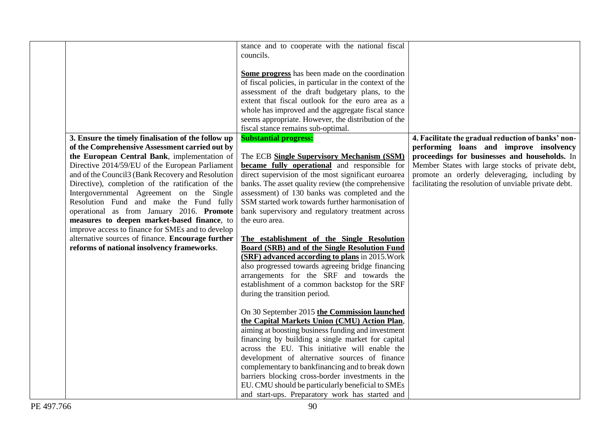|                                                    | stance and to cooperate with the national fiscal                                                       |                                                       |
|----------------------------------------------------|--------------------------------------------------------------------------------------------------------|-------------------------------------------------------|
|                                                    | councils.                                                                                              |                                                       |
|                                                    |                                                                                                        |                                                       |
|                                                    | Some progress has been made on the coordination                                                        |                                                       |
|                                                    | of fiscal policies, in particular in the context of the                                                |                                                       |
|                                                    | assessment of the draft budgetary plans, to the                                                        |                                                       |
|                                                    | extent that fiscal outlook for the euro area as a                                                      |                                                       |
|                                                    | whole has improved and the aggregate fiscal stance                                                     |                                                       |
|                                                    | seems appropriate. However, the distribution of the                                                    |                                                       |
|                                                    | fiscal stance remains sub-optimal.                                                                     |                                                       |
| 3. Ensure the timely finalisation of the follow up | <b>Substantial progress:</b>                                                                           | 4. Facilitate the gradual reduction of banks' non-    |
| of the Comprehensive Assessment carried out by     |                                                                                                        | performing loans and improve insolvency               |
| the European Central Bank, implementation of       | The ECB Single Supervisory Mechanism (SSM)                                                             | proceedings for businesses and households. In         |
| Directive 2014/59/EU of the European Parliament    | <b>became fully operational</b> and responsible for                                                    | Member States with large stocks of private debt,      |
| and of the Council3 (Bank Recovery and Resolution  | direct supervision of the most significant euroarea                                                    | promote an orderly deleveraging, including by         |
| Directive), completion of the ratification of the  | banks. The asset quality review (the comprehensive                                                     | facilitating the resolution of unviable private debt. |
| Intergovernmental Agreement on the Single          | assessment) of 130 banks was completed and the                                                         |                                                       |
| Resolution Fund and make the Fund fully            | SSM started work towards further harmonisation of                                                      |                                                       |
| operational as from January 2016. Promote          | bank supervisory and regulatory treatment across                                                       |                                                       |
| measures to deepen market-based finance, to        | the euro area.                                                                                         |                                                       |
| improve access to finance for SMEs and to develop  |                                                                                                        |                                                       |
| alternative sources of finance. Encourage further  | The establishment of the Single Resolution                                                             |                                                       |
| reforms of national insolvency frameworks.         | <b>Board (SRB) and of the Single Resolution Fund</b>                                                   |                                                       |
|                                                    | (SRF) advanced according to plans in 2015. Work                                                        |                                                       |
|                                                    | also progressed towards agreeing bridge financing                                                      |                                                       |
|                                                    | arrangements for the SRF and towards the                                                               |                                                       |
|                                                    | establishment of a common backstop for the SRF                                                         |                                                       |
|                                                    | during the transition period.                                                                          |                                                       |
|                                                    |                                                                                                        |                                                       |
|                                                    | On 30 September 2015 the Commission launched                                                           |                                                       |
|                                                    | the Capital Markets Union (CMU) Action Plan,                                                           |                                                       |
|                                                    | aiming at boosting business funding and investment                                                     |                                                       |
|                                                    | financing by building a single market for capital                                                      |                                                       |
|                                                    | across the EU. This initiative will enable the                                                         |                                                       |
|                                                    | development of alternative sources of finance                                                          |                                                       |
|                                                    |                                                                                                        |                                                       |
|                                                    | complementary to bankfinancing and to break down                                                       |                                                       |
|                                                    | barriers blocking cross-border investments in the<br>EU. CMU should be particularly beneficial to SMEs |                                                       |
|                                                    |                                                                                                        |                                                       |
|                                                    | and start-ups. Preparatory work has started and                                                        |                                                       |